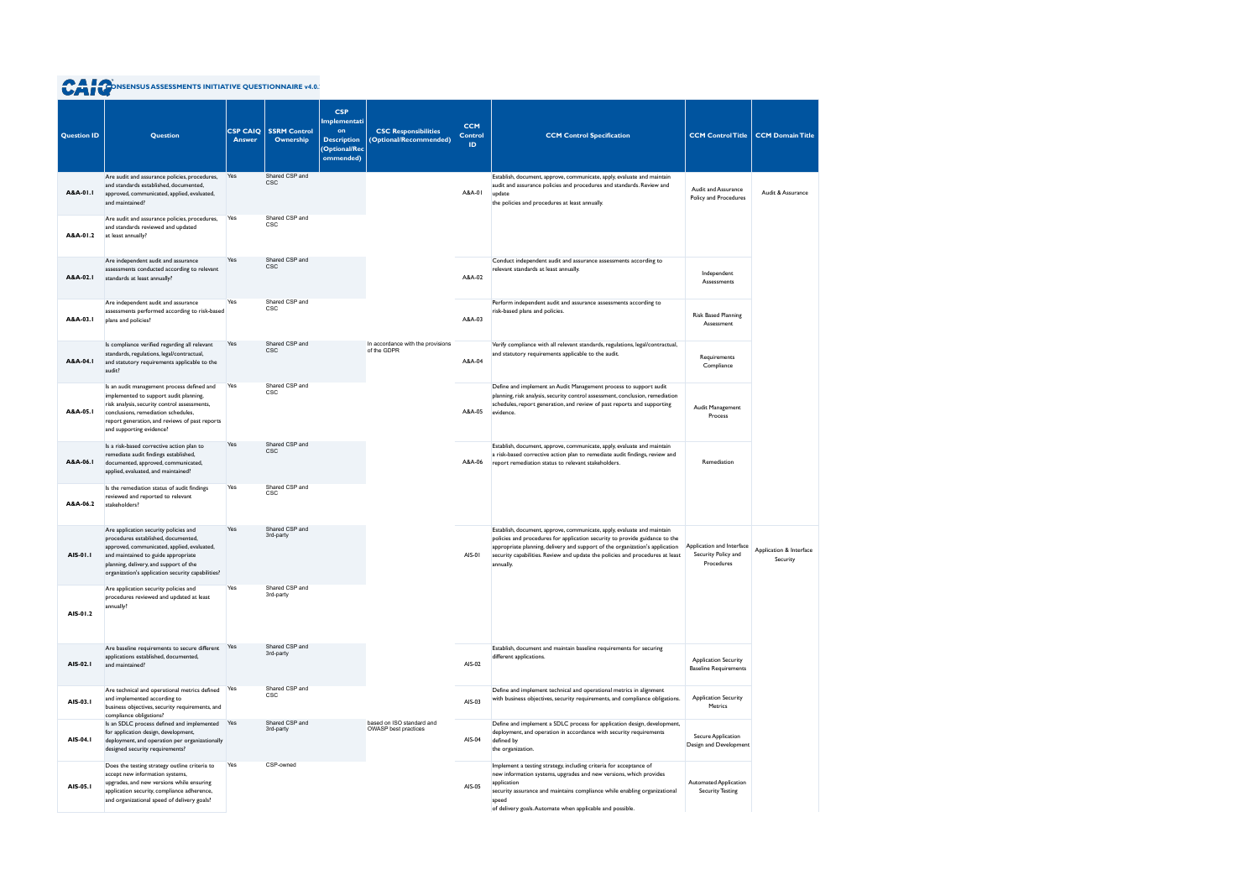| <b>Question ID</b> | <b>Question</b>                                                                                                                                                                                                                                                   | <b>CSP CAIQ</b><br><b>Answer</b> | <b>SSRM Control</b><br>Ownership | <b>CSP</b><br><b>Implementati</b><br>on<br><b>Description</b><br>(Optional/Rec<br>ommended) | <b>CSC Responsibilities</b><br>(Optional/Recommended) | <b>CCM</b><br><b>Control</b><br>ID. | <b>CCM Control Specification</b>                                                                                                                                                                                                                                                                                                     | <b>CCM Control Title</b>                                       | <b>CCM Domain Title</b>             |
|--------------------|-------------------------------------------------------------------------------------------------------------------------------------------------------------------------------------------------------------------------------------------------------------------|----------------------------------|----------------------------------|---------------------------------------------------------------------------------------------|-------------------------------------------------------|-------------------------------------|--------------------------------------------------------------------------------------------------------------------------------------------------------------------------------------------------------------------------------------------------------------------------------------------------------------------------------------|----------------------------------------------------------------|-------------------------------------|
| A&A-01.1           | Are audit and assurance policies, procedures,<br>and standards established, documented,<br>approved, communicated, applied, evaluated,<br>and maintained?                                                                                                         | Yes                              | Shared CSP and<br><b>CSC</b>     |                                                                                             |                                                       | A&A-01                              | Establish, document, approve, communicate, apply, evaluate and maintain<br>audit and assurance policies and procedures and standards. Review and<br>update<br>the policies and procedures at least annually.                                                                                                                         | Audit and Assurance<br>Policy and Procedures                   | Audit & Assurance                   |
| A&A-01.2           | Are audit and assurance policies, procedures,<br>and standards reviewed and updated<br>at least annually?                                                                                                                                                         | Yes                              | Shared CSP and<br><b>CSC</b>     |                                                                                             |                                                       |                                     |                                                                                                                                                                                                                                                                                                                                      |                                                                |                                     |
| A&A-02.I           | Are independent audit and assurance<br>assessments conducted according to relevant<br>standards at least annually?                                                                                                                                                | Yes                              | Shared CSP and<br><b>CSC</b>     |                                                                                             |                                                       | A&A-02                              | Conduct independent audit and assurance assessments according to<br>relevant standards at least annually.                                                                                                                                                                                                                            | Independent<br>Assessments                                     |                                     |
| A&A-03.I           | Are independent audit and assurance<br>assessments performed according to risk-based<br>plans and policies?                                                                                                                                                       | Yes                              | Shared CSP and<br><b>CSC</b>     |                                                                                             |                                                       | A&A-03                              | Perform independent audit and assurance assessments according to<br>risk-based plans and policies.                                                                                                                                                                                                                                   | <b>Risk Based Planning</b><br>Assessment                       |                                     |
| A&A-04.1           | Is compliance verified regarding all relevant<br>standards, regulations, legal/contractual,<br>and statutory requirements applicable to the<br>audit?                                                                                                             | Yes                              | Shared CSP and<br><b>CSC</b>     |                                                                                             | In accordance with the provisions<br>of the GDPR      | A&A-04                              | Verify compliance with all relevant standards, regulations, legal/contractual,<br>and statutory requirements applicable to the audit.                                                                                                                                                                                                | Requirements<br>Compliance                                     |                                     |
| A&A-05.1           | Is an audit management process defined and<br>implemented to support audit planning,<br>risk analysis, security control assessments,<br>conclusions, remediation schedules,<br>report generation, and reviews of past reports<br>and supporting evidence?         | Yes                              | Shared CSP and<br><b>CSC</b>     |                                                                                             |                                                       | A&A-05                              | Define and implement an Audit Management process to support audit<br>planning, risk analysis, security control assessment, conclusion, remediation<br>schedules, report generation, and review of past reports and supporting<br>evidence.                                                                                           | Audit Management<br>Process                                    |                                     |
| A&A-06.I           | Is a risk-based corrective action plan to<br>remediate audit findings established,<br>documented, approved, communicated,<br>applied, evaluated, and maintained?                                                                                                  | Yes                              | Shared CSP and<br><b>CSC</b>     |                                                                                             |                                                       | A&A-06                              | Establish, document, approve, communicate, apply, evaluate and maintain<br>a risk-based corrective action plan to remediate audit findings, review and<br>report remediation status to relevant stakeholders.                                                                                                                        | Remediation                                                    |                                     |
| A&A-06.2           | Is the remediation status of audit findings<br>reviewed and reported to relevant<br>stakeholders?                                                                                                                                                                 | Yes                              | Shared CSP and<br><b>CSC</b>     |                                                                                             |                                                       |                                     |                                                                                                                                                                                                                                                                                                                                      |                                                                |                                     |
| AIS-01.1           | Are application security policies and<br>procedures established, documented,<br>approved, communicated, applied, evaluated,<br>and maintained to guide appropriate<br>planning, delivery, and support of the<br>organization's application security capabilities? | Yes                              | Shared CSP and<br>3rd-party      |                                                                                             |                                                       | AIS-01                              | Establish, document, approve, communicate, apply, evaluate and maintain<br>policies and procedures for application security to provide guidance to the<br>appropriate planning, delivery and support of the organization's application<br>security capabilities. Review and update the policies and procedures at least<br>annually. | Application and Interface<br>Security Policy and<br>Procedures | Application & Interface<br>Security |
| AIS-01.2           | Are application security policies and<br>procedures reviewed and updated at least<br>annually?                                                                                                                                                                    | Yes                              | Shared CSP and<br>3rd-party      |                                                                                             |                                                       |                                     |                                                                                                                                                                                                                                                                                                                                      |                                                                |                                     |
| AIS-02.1           | Are baseline requirements to secure different Yes<br>applications established, documented,<br>and maintained?                                                                                                                                                     |                                  | Shared CSP and<br>3rd-party      |                                                                                             |                                                       | AIS-02                              | Establish, document and maintain baseline requirements for securing<br>different applications.                                                                                                                                                                                                                                       | <b>Application Security</b><br><b>Baseline Requirements</b>    |                                     |
| AIS-03.1           | Are technical and operational metrics defined<br>and implemented according to<br>business objectives, security requirements, and<br>compliance obligations?                                                                                                       | Yes                              | Shared CSP and<br>CSC            |                                                                                             |                                                       | AIS-03                              | Define and implement technical and operational metrics in alignment<br>with business objectives, security requirements, and compliance obligations.                                                                                                                                                                                  | <b>Application Security</b><br>Metrics                         |                                     |
| AIS-04.1           | Is an SDLC process defined and implemented<br>for application design, development,<br>deployment, and operation per organizationally<br>designed security requirements?                                                                                           | Yes                              | Shared CSP and<br>3rd-party      |                                                                                             | based on ISO standard and<br>OWASP best practices     | AIS-04                              | Define and implement a SDLC process for application design, development,<br>deployment, and operation in accordance with security requirements<br>defined by<br>the organization.                                                                                                                                                    | Secure Application<br>Design and Development                   |                                     |
| AIS-05.1           | Does the testing strategy outline criteria to<br>accept new information systems,<br>upgrades, and new versions while ensuring<br>application security, compliance adherence,<br>and organizational speed of delivery goals?                                       | Yes                              | CSP-owned                        |                                                                                             |                                                       | AIS-05                              | Implement a testing strategy, including criteria for acceptance of<br>new information systems, upgrades and new versions, which provides<br>application<br>security assurance and maintains compliance while enabling organizational<br>speed<br>of delivery goals. Automate when applicable and possible.                           | <b>Automated Application</b><br><b>Security Testing</b>        |                                     |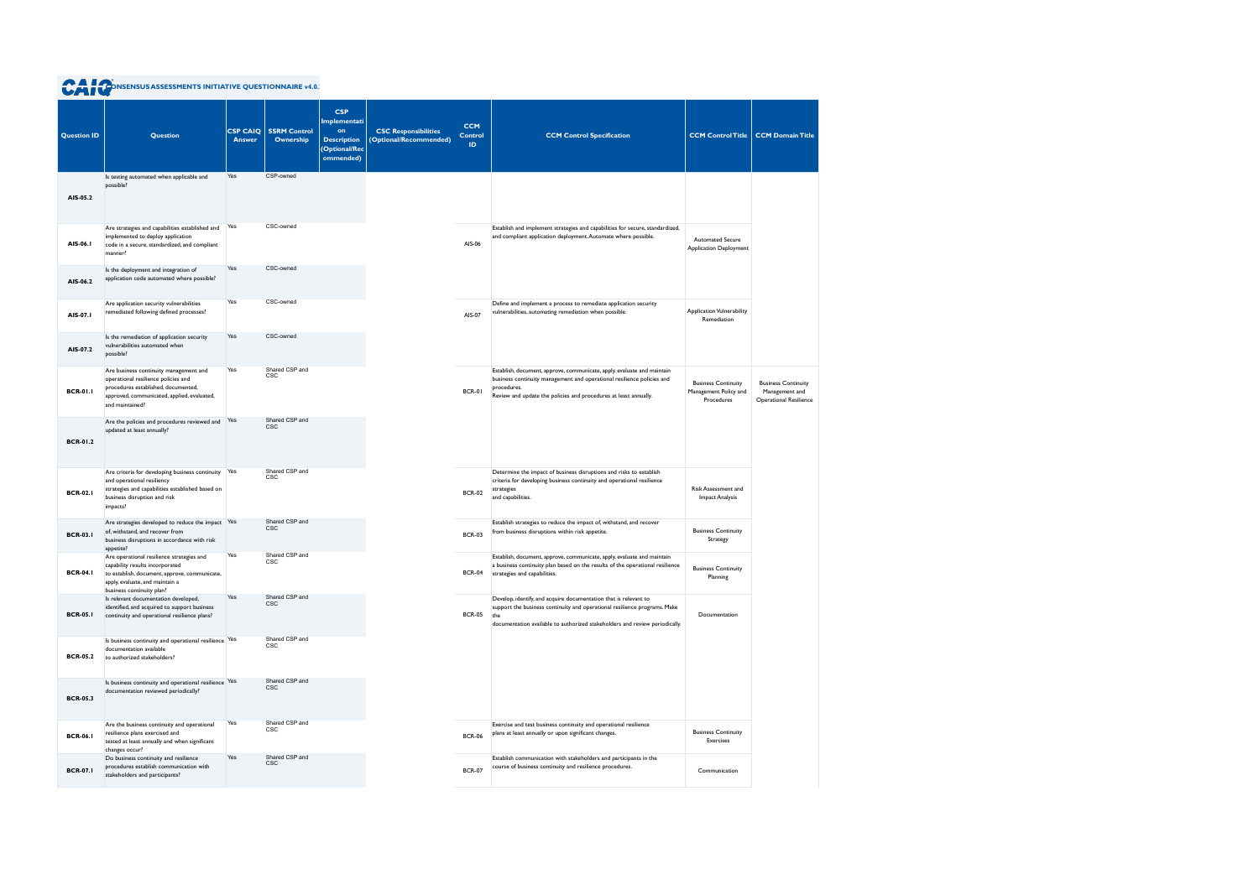|                    | <b>A POONSENSUS ASSESSMENTS INITIATIVE QUESTIONNAIRE v4.0.</b>                                                                                                                                |                                  |                                  |                                                                                       |                                                       |                                    |                                                                                                                                                                                                                                      |                                                                   |                                                                               |
|--------------------|-----------------------------------------------------------------------------------------------------------------------------------------------------------------------------------------------|----------------------------------|----------------------------------|---------------------------------------------------------------------------------------|-------------------------------------------------------|------------------------------------|--------------------------------------------------------------------------------------------------------------------------------------------------------------------------------------------------------------------------------------|-------------------------------------------------------------------|-------------------------------------------------------------------------------|
| <b>Question ID</b> | <b>Question</b>                                                                                                                                                                               | <b>CSP CAIQ</b><br><b>Answer</b> | <b>SSRM Control</b><br>Ownership | <b>CSP</b><br>Implementati<br>on<br><b>Description</b><br>(Optional/Rec)<br>ommended) | <b>CSC Responsibilities</b><br>(Optional/Recommended) | <b>CCM</b><br><b>Control</b><br>ID | <b>CCM Control Specification</b>                                                                                                                                                                                                     | <b>CCM Control Title</b>                                          | <b>CCM Domain Title</b>                                                       |
| AIS-05.2           | Is testing automated when applicable and<br>possible?                                                                                                                                         | Yes                              | CSP-owned                        |                                                                                       |                                                       |                                    |                                                                                                                                                                                                                                      |                                                                   |                                                                               |
| AIS-06.1           | Are strategies and capabilities established and<br>implemented to deploy application<br>code in a secure, standardized, and compliant<br>manner?                                              | Yes                              | CSC-owned                        |                                                                                       |                                                       | AIS-06                             | Establish and implement strategies and capabilities for secure, standardized,<br>and compliant application deployment. Automate where possible.                                                                                      | <b>Automated Secure</b><br>Application Deployment                 |                                                                               |
| AIS-06.2           | Is the deployment and integration of<br>application code automated where possible?                                                                                                            | Yes                              | CSC-owned                        |                                                                                       |                                                       |                                    |                                                                                                                                                                                                                                      |                                                                   |                                                                               |
| AIS-07.1           | Are application security vulnerabilities<br>remediated following defined processes?                                                                                                           | Yes                              | CSC-owned                        |                                                                                       |                                                       | AIS-07                             | Define and implement a process to remediate application security<br>vulnerabilities, automating remediation when possible.                                                                                                           | <b>Application Vulnerability</b><br>Remediation                   |                                                                               |
| AIS-07.2           | Is the remediation of application security<br>vulnerabilities automated when<br>possible?                                                                                                     | Yes                              | CSC-owned                        |                                                                                       |                                                       |                                    |                                                                                                                                                                                                                                      |                                                                   |                                                                               |
| <b>BCR-01.1</b>    | Are business continuity management and<br>operational resilience policies and<br>procedures established, documented,<br>approved, communicated, applied, evaluated,<br>and maintained?        | Yes                              | Shared CSP and<br><b>CSC</b>     |                                                                                       |                                                       | <b>BCR-01</b>                      | Establish, document, approve, communicate, apply, evaluate and maintain<br>business continuity management and operational resilience policies and<br>procedures.<br>Review and update the policies and procedures at least annually. | <b>Business Continuity</b><br>Management Policy and<br>Procedures | <b>Business Continuity</b><br>Management and<br><b>Operational Resilience</b> |
| <b>BCR-01.2</b>    | Are the policies and procedures reviewed and<br>updated at least annually?                                                                                                                    | Yes                              | Shared CSP and<br><b>CSC</b>     |                                                                                       |                                                       |                                    |                                                                                                                                                                                                                                      |                                                                   |                                                                               |
| <b>BCR-02.1</b>    | Are criteria for developing business continuity<br>and operational resiliency<br>strategies and capabilities established based on<br>business disruption and risk<br>impacts?                 | Yes                              | Shared CSP and<br><b>CSC</b>     |                                                                                       |                                                       | <b>BCR-02</b>                      | Determine the impact of business disruptions and risks to establish<br>criteria for developing business continuity and operational resilience<br>strategies<br>and capabilities.                                                     | Risk Assessment and<br><b>Impact Analysis</b>                     |                                                                               |
| <b>BCR-03.1</b>    | Are strategies developed to reduce the impact Yes<br>of, withstand, and recover from<br>business disruptions in accordance with risk<br>appetite?                                             |                                  | Shared CSP and<br><b>CSC</b>     |                                                                                       |                                                       | <b>BCR-03</b>                      | Establish strategies to reduce the impact of, withstand, and recover<br>from business disruptions within risk appetite.                                                                                                              | <b>Business Continuity</b><br>Strategy                            |                                                                               |
| <b>BCR-04.1</b>    | Are operational resilience strategies and<br>capability results incorporated<br>to establish, document, approve, communicate,<br>apply, evaluate, and maintain a<br>business continuity plan? | Yes                              | Shared CSP and<br><b>CSC</b>     |                                                                                       |                                                       | <b>BCR-04</b>                      | Establish, document, approve, communicate, apply, evaluate and maintain<br>a business continuity plan based on the results of the operational resilience<br>strategies and capabilities.                                             | <b>Business Continuity</b><br>Planning                            |                                                                               |
| <b>BCR-05.1</b>    | Is relevant documentation developed,<br>identified, and acquired to support business<br>continuity and operational resilience plans?                                                          | Yes                              | Shared CSP and<br><b>CSC</b>     |                                                                                       |                                                       | <b>BCR-05</b>                      | Develop, identify, and acquire documentation that is relevant to<br>support the business continuity and operational resilience programs. Make<br>the<br>documentation available to authorized stakeholders and review periodically.  | Documentation                                                     |                                                                               |
| <b>BCR-05.2</b>    | Is business continuity and operational resilience Yes<br>documentation available<br>to authorized stakeholders?                                                                               |                                  | Shared CSP and<br>CSC            |                                                                                       |                                                       |                                    |                                                                                                                                                                                                                                      |                                                                   |                                                                               |
| <b>BCR-05.3</b>    | Is business continuity and operational resilience Yes<br>documentation reviewed periodically?                                                                                                 |                                  | Shared CSP and<br><b>CSC</b>     |                                                                                       |                                                       |                                    |                                                                                                                                                                                                                                      |                                                                   |                                                                               |
| <b>BCR-06.1</b>    | Are the business continuity and operational<br>resilience plans exercised and<br>tested at least annually and when significant<br>changes occur?                                              | Yes                              | Shared CSP and<br>CSC            |                                                                                       |                                                       | <b>BCR-06</b>                      | Exercise and test business continuity and operational resilience<br>plans at least annually or upon significant changes.                                                                                                             | <b>Business Continuity</b><br>Exercises                           |                                                                               |
| <b>BCR-07.1</b>    | Do business continuity and resilience<br>procedures establish communication with<br>stakeholders and participants?                                                                            | Yes                              | Shared CSP and<br><b>CSC</b>     |                                                                                       |                                                       | <b>BCR-07</b>                      | Establish communication with stakeholders and participants in the<br>course of business continuity and resilience procedures.                                                                                                        | Communication                                                     |                                                                               |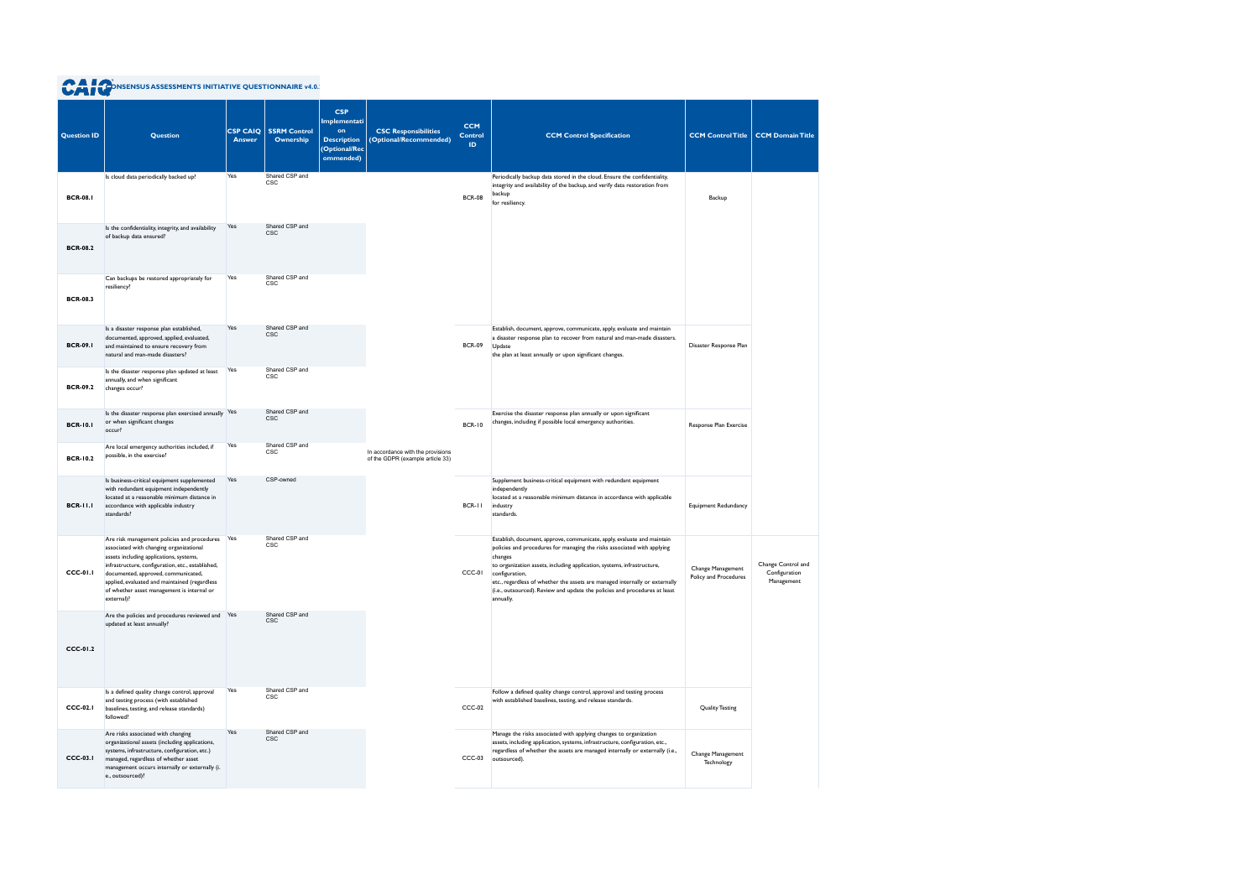| <b>CAT CONSENSUS ASSESSMENTS INITIATIVE QUESTIONNAIRE v4.0.</b> |
|-----------------------------------------------------------------|
|-----------------------------------------------------------------|

| <b>Question ID</b> | <b>Question</b><br>Is cloud data periodically backed up?                                                                                                                                                                                                                                                                                       | <b>CSP CAIQ</b><br><b>Answer</b><br>Yes | <b>SSRM Control</b><br>Ownership<br>Shared CSP and | <b>CSP</b><br>Implementati<br>on<br><b>Description</b><br>(Optional/Rec<br>ommended) | <b>CSC Responsibilities</b><br>(Optional/Recommended)                 | <b>CCM</b><br><b>Control</b><br>ID. | <b>CCM Control Specification</b><br>Periodically backup data stored in the cloud. Ensure the confidentiality,                                                                                                                                                                                                                                                                                                                        | <b>CCM Control Title</b>                   | <b>CCM Domain Title</b>                           |
|--------------------|------------------------------------------------------------------------------------------------------------------------------------------------------------------------------------------------------------------------------------------------------------------------------------------------------------------------------------------------|-----------------------------------------|----------------------------------------------------|--------------------------------------------------------------------------------------|-----------------------------------------------------------------------|-------------------------------------|--------------------------------------------------------------------------------------------------------------------------------------------------------------------------------------------------------------------------------------------------------------------------------------------------------------------------------------------------------------------------------------------------------------------------------------|--------------------------------------------|---------------------------------------------------|
| <b>BCR-08.1</b>    |                                                                                                                                                                                                                                                                                                                                                |                                         | CSC                                                |                                                                                      |                                                                       | <b>BCR-08</b>                       | integrity and availability of the backup, and verify data restoration from<br>backup<br>for resiliency.                                                                                                                                                                                                                                                                                                                              | Backup                                     |                                                   |
| <b>BCR-08.2</b>    | Is the confidentiality, integrity, and availability<br>of backup data ensured?                                                                                                                                                                                                                                                                 | Yes                                     | Shared CSP and<br><b>CSC</b>                       |                                                                                      |                                                                       |                                     |                                                                                                                                                                                                                                                                                                                                                                                                                                      |                                            |                                                   |
| <b>BCR-08.3</b>    | Can backups be restored appropriately for<br>resiliency?                                                                                                                                                                                                                                                                                       | Yes                                     | Shared CSP and<br>CSC                              |                                                                                      |                                                                       |                                     |                                                                                                                                                                                                                                                                                                                                                                                                                                      |                                            |                                                   |
| <b>BCR-09.1</b>    | Is a disaster response plan established,<br>documented, approved, applied, evaluated,<br>and maintained to ensure recovery from<br>natural and man-made disasters?                                                                                                                                                                             | Yes                                     | Shared CSP and<br>CSC                              |                                                                                      |                                                                       | <b>BCR-09</b>                       | Establish, document, approve, communicate, apply, evaluate and maintain<br>a disaster response plan to recover from natural and man-made disasters.<br>Update<br>the plan at least annually or upon significant changes.                                                                                                                                                                                                             | Disaster Response Plan                     |                                                   |
| <b>BCR-09.2</b>    | Is the disaster response plan updated at least<br>annually, and when significant<br>changes occur?                                                                                                                                                                                                                                             | Yes                                     | Shared CSP and<br><b>CSC</b>                       |                                                                                      |                                                                       |                                     |                                                                                                                                                                                                                                                                                                                                                                                                                                      |                                            |                                                   |
| <b>BCR-10.1</b>    | Is the disaster response plan exercised annually Yes<br>or when significant changes<br>occur?                                                                                                                                                                                                                                                  |                                         | Shared CSP and<br><b>CSC</b>                       |                                                                                      |                                                                       | <b>BCR-10</b>                       | Exercise the disaster response plan annually or upon significant<br>changes, including if possible local emergency authorities.                                                                                                                                                                                                                                                                                                      | Response Plan Exercise                     |                                                   |
| <b>BCR-10.2</b>    | Are local emergency authorities included, if<br>possible, in the exercise?                                                                                                                                                                                                                                                                     | Yes                                     | Shared CSP and<br>CSC                              |                                                                                      | In accordance with the provisions<br>of the GDPR (example article 33) |                                     |                                                                                                                                                                                                                                                                                                                                                                                                                                      |                                            |                                                   |
| <b>BCR-11.1</b>    | Is business-critical equipment supplemented<br>with redundant equipment independently<br>located at a reasonable minimum distance in<br>accordance with applicable industry<br>standards?                                                                                                                                                      | Yes                                     | CSP-owned                                          |                                                                                      |                                                                       | BCR-11                              | Supplement business-critical equipment with redundant equipment<br>independently<br>located at a reasonable minimum distance in accordance with applicable<br>industry<br>standards.                                                                                                                                                                                                                                                 | <b>Equipment Redundancy</b>                |                                                   |
| <b>CCC-01.1</b>    | Are risk management policies and procedures Yes<br>associated with changing organizational<br>assets including applications, systems,<br>infrastructure, configuration, etc., established,<br>documented, approved, communicated,<br>applied, evaluated and maintained (regardless<br>of whether asset management is internal or<br>external)? |                                         | Shared CSP and<br>CSC                              |                                                                                      |                                                                       | CCC-01                              | Establish, document, approve, communicate, apply, evaluate and maintain<br>policies and procedures for managing the risks associated with applying<br>changes<br>to organization assets, including application, systems, infrastructure,<br>configuration,<br>etc., regardless of whether the assets are managed internally or externally<br>(i.e., outsourced). Review and update the policies and procedures at least<br>annually. | Change Management<br>Policy and Procedures | Change Control and<br>Configuration<br>Management |
| <b>CCC-01.2</b>    | Are the policies and procedures reviewed and Yes<br>updated at least annually?                                                                                                                                                                                                                                                                 |                                         | Shared CSP and<br><b>CSC</b>                       |                                                                                      |                                                                       |                                     |                                                                                                                                                                                                                                                                                                                                                                                                                                      |                                            |                                                   |
| <b>CCC-02.1</b>    | Is a defined quality change control, approval<br>and testing process (with established<br>baselines, testing, and release standards)<br>followed?                                                                                                                                                                                              | Yes                                     | Shared CSP and<br>CSC                              |                                                                                      |                                                                       | $CCC-02$                            | Follow a defined quality change control, approval and testing process<br>with established baselines, testing, and release standards.                                                                                                                                                                                                                                                                                                 | <b>Quality Testing</b>                     |                                                   |
| $CCC-03.1$         | Are risks associated with changing<br>organizational assets (including applications,<br>systems, infrastructure, configuration, etc.)<br>managed, regardless of whether asset<br>management occurs internally or externally (i.<br>e., outsourced)?                                                                                            | Yes                                     | Shared CSP and<br><b>CSC</b>                       |                                                                                      |                                                                       | $CCC-03$                            | Manage the risks associated with applying changes to organization<br>assets, including application, systems, infrastructure, configuration, etc.,<br>regardless of whether the assets are managed internally or externally (i.e.,<br>outsourced).                                                                                                                                                                                    | Change Management<br>Technology            |                                                   |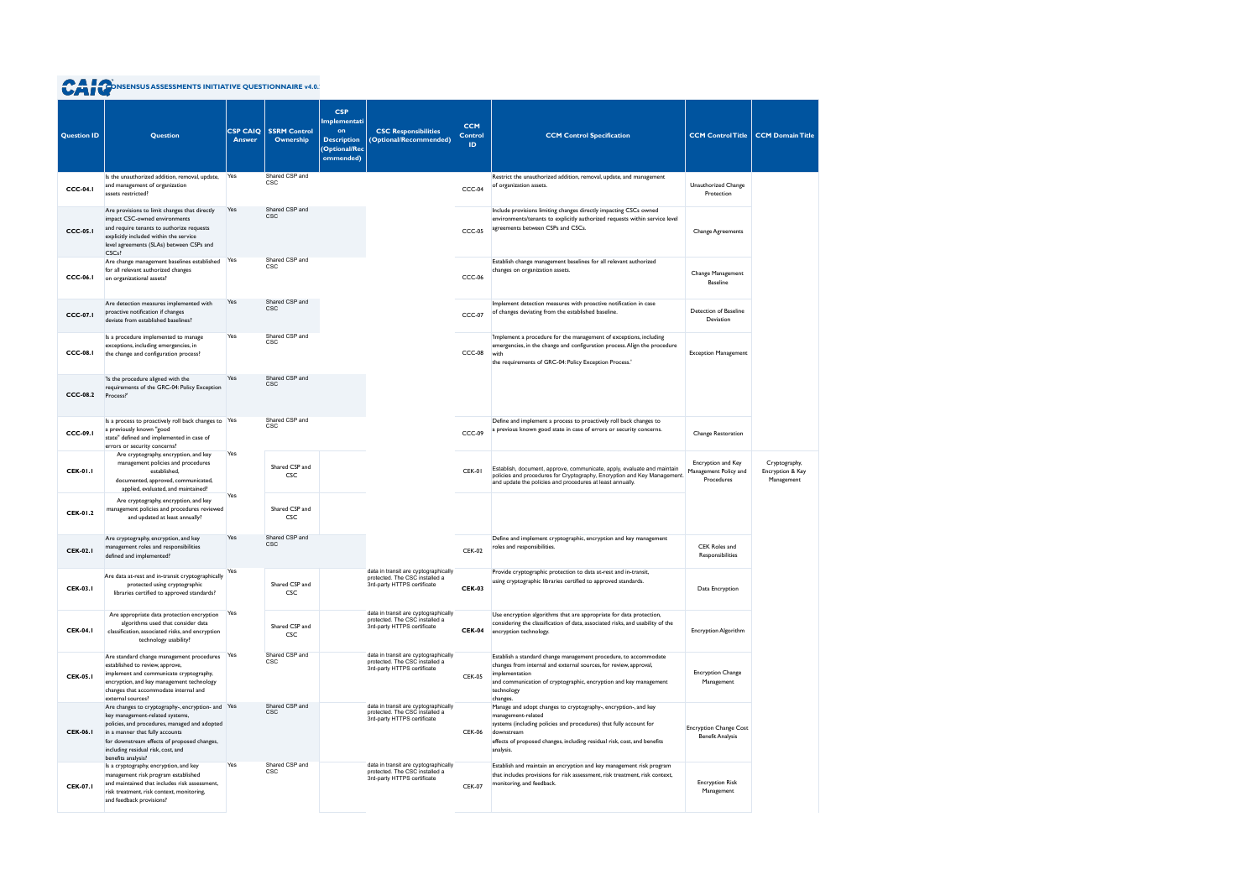|  | <b>CAT CONSENSUS ASSESSMENTS INITIATIVE QUESTIONNAIRE v4.0.</b> |
|--|-----------------------------------------------------------------|
|  |                                                                 |

| <b>Question ID</b> | <b>Question</b>                                                                                                                                                                                                                                               | <b>CSP CAIQ</b><br><b>Answer</b> | <b>SSRM Control</b><br>Ownership | <b>CSP</b><br>Implementati<br>on<br><b>Description</b><br><b>Optional/Rec</b><br>ommended) | <b>CSC Responsibilities</b><br>(Optional/Recommended)                                                 | <b>CCM</b><br><b>Control</b><br>ID. | <b>CCM Control Specification</b>                                                                                                                                                                                                                                   | <b>CCM Control Title</b>                                  | <b>CCM Domain Title</b>                         |
|--------------------|---------------------------------------------------------------------------------------------------------------------------------------------------------------------------------------------------------------------------------------------------------------|----------------------------------|----------------------------------|--------------------------------------------------------------------------------------------|-------------------------------------------------------------------------------------------------------|-------------------------------------|--------------------------------------------------------------------------------------------------------------------------------------------------------------------------------------------------------------------------------------------------------------------|-----------------------------------------------------------|-------------------------------------------------|
| <b>CCC-04.1</b>    | Is the unauthorized addition, removal, update,<br>and management of organization<br>assets restricted?                                                                                                                                                        | Yes                              | Shared CSP and<br><b>CSC</b>     |                                                                                            |                                                                                                       | CCC-04                              | Restrict the unauthorized addition, removal, update, and management<br>of organization assets.                                                                                                                                                                     | Unauthorized Change<br>Protection                         |                                                 |
| $CCC-05.1$         | Are provisions to limit changes that directly<br>impact CSC-owned environments<br>and require tenants to authorize requests<br>explicitly included within the service<br>level agreements (SLAs) between CSPs and<br>CSC <sub>s</sub> ?                       | Yes                              | Shared CSP and<br><b>CSC</b>     |                                                                                            |                                                                                                       | $CCC-05$                            | Include provisions limiting changes directly impacting CSCs owned<br>environments/tenants to explicitly authorized requests within service level<br>agreements between CSPs and CSCs.                                                                              | <b>Change Agreements</b>                                  |                                                 |
| <b>CCC-06.1</b>    | Are change management baselines established Yes<br>for all relevant authorized changes<br>on organizational assets?                                                                                                                                           |                                  | Shared CSP and<br><b>CSC</b>     |                                                                                            |                                                                                                       | <b>CCC-06</b>                       | Establish change management baselines for all relevant authorized<br>changes on organization assets.                                                                                                                                                               | Change Management<br><b>Baseline</b>                      |                                                 |
| <b>CCC-07.1</b>    | Are detection measures implemented with<br>proactive notification if changes<br>deviate from established baselines?                                                                                                                                           | Yes                              | Shared CSP and<br><b>CSC</b>     |                                                                                            |                                                                                                       | <b>CCC-07</b>                       | Implement detection measures with proactive notification in case<br>of changes deviating from the established baseline.                                                                                                                                            | Detection of Baseline<br>Deviation                        |                                                 |
| $CCC-08.1$         | Is a procedure implemented to manage<br>exceptions, including emergencies, in<br>the change and configuration process?                                                                                                                                        | Yes                              | Shared CSP and<br><b>CSC</b>     |                                                                                            |                                                                                                       | CCC-08                              | 'Implement a procedure for the management of exceptions, including<br>emergencies, in the change and configuration process. Align the procedure<br>with<br>the requirements of GRC-04: Policy Exception Process.'                                                  | <b>Exception Management</b>                               |                                                 |
| $CCC-08.2$         | 'Is the procedure aligned with the<br>requirements of the GRC-04: Policy Exception<br>Process?'                                                                                                                                                               | Yes                              | Shared CSP and<br><b>CSC</b>     |                                                                                            |                                                                                                       |                                     |                                                                                                                                                                                                                                                                    |                                                           |                                                 |
| <b>CCC-09.1</b>    | Is a process to proactively roll back changes to Yes<br>a previously known "good<br>state" defined and implemented in case of<br>errors or security concerns?                                                                                                 |                                  | Shared CSP and<br><b>CSC</b>     |                                                                                            |                                                                                                       | CCC-09                              | Define and implement a process to proactively roll back changes to<br>a previous known good state in case of errors or security concerns.                                                                                                                          | Change Restoration                                        |                                                 |
| <b>CEK-01.1</b>    | Are cryptography, encryption, and key<br>management policies and procedures<br>established,<br>documented, approved, communicated,<br>applied, evaluated, and maintained?                                                                                     | Yes                              | Shared CSP and<br><b>CSC</b>     |                                                                                            |                                                                                                       | CEK-01                              | Establish, document, approve, communicate, apply, evaluate and maintain<br>policies and procedures for Cryptography, Encryption and Key Management.<br>and update the policies and procedures at least annually.                                                   | Encryption and Key<br>Management Policy and<br>Procedures | Cryptography,<br>Encryption & Key<br>Management |
| <b>CEK-01.2</b>    | Are cryptography, encryption, and key<br>management policies and procedures reviewed<br>and updated at least annually?                                                                                                                                        | Yes                              | Shared CSP and<br><b>CSC</b>     |                                                                                            |                                                                                                       |                                     |                                                                                                                                                                                                                                                                    |                                                           |                                                 |
| <b>CEK-02.1</b>    | Are cryptography, encryption, and key<br>management roles and responsibilities<br>defined and implemented?                                                                                                                                                    | Yes                              | Shared CSP and<br><b>CSC</b>     |                                                                                            |                                                                                                       | <b>CEK-02</b>                       | Define and implement cryptographic, encryption and key management<br>roles and responsibilities.                                                                                                                                                                   | CEK Roles and<br>Responsibilities                         |                                                 |
| <b>CEK-03.1</b>    | Are data at-rest and in-transit cryptographically<br>protected using cryptographic<br>libraries certified to approved standards?                                                                                                                              | Yes                              | Shared CSP and<br>CSC            |                                                                                            | data in transit are cyptographically<br>protected. The CSC installed a<br>3rd-party HTTPS certificate | <b>CEK-03</b>                       | Provide cryptographic protection to data at-rest and in-transit,<br>using cryptographic libraries certified to approved standards.                                                                                                                                 | Data Encryption                                           |                                                 |
| <b>CEK-04.1</b>    | Are appropriate data protection encryption<br>algorithms used that consider data<br>classification, associated risks, and encryption<br>technology usability?                                                                                                 | Yes                              | Shared CSP and<br><b>CSC</b>     |                                                                                            | data in transit are cyptographically<br>protected. The CSC installed a<br>3rd-party HTTPS certificate | <b>CEK-04</b>                       | Use encryption algorithms that are appropriate for data protection,<br>considering the classification of data, associated risks, and usability of the<br>encryption technology.                                                                                    | Encryption Algorithm                                      |                                                 |
| <b>CEK-05.1</b>    | Are standard change management procedures Yes<br>established to review, approve,<br>implement and communicate cryptography,<br>encryption, and key management technology<br>changes that accommodate internal and<br>external sources?                        |                                  | Shared CSP and<br><b>CSC</b>     |                                                                                            | data in transit are cyptographically<br>protected. The CSC installed a<br>3rd-party HTTPS certificate | <b>CEK-05</b>                       | Establish a standard change management procedure, to accommodate<br>changes from internal and external sources, for review, approval,<br>implementation<br>and communication of cryptographic, encryption and key management<br>technology<br>changes.             | <b>Encryption Change</b><br>Management                    |                                                 |
| <b>CEK-06.1</b>    | Are changes to cryptography-, encryption- and Yes<br>key management-related systems,<br>policies, and procedures, managed and adopted<br>in a manner that fully accounts<br>for downstream effects of proposed changes,<br>including residual risk, cost, and |                                  | Shared CSP and<br><b>CSC</b>     |                                                                                            | data in transit are cyptographically<br>protected. The CSC installed a<br>3rd-party HTTPS certificate | <b>CEK-06</b>                       | Manage and adopt changes to cryptography-, encryption-, and key<br>management-related<br>systems (including policies and procedures) that fully account for<br>downstream<br>effects of proposed changes, including residual risk, cost, and benefits<br>analysis. | <b>Encryption Change Cost</b><br><b>Benefit Analysis</b>  |                                                 |
| <b>CEK-07.1</b>    | benefits analysis?<br>Is a cryptography, encryption, and key<br>management risk program established<br>and maintained that includes risk assessment,<br>risk treatment, risk context, monitoring,<br>and feedback provisions?                                 | Yes                              | Shared CSP and<br><b>CSC</b>     |                                                                                            | data in transit are cyptographically<br>protected. The CSC installed a<br>3rd-party HTTPS certificate | <b>CEK-07</b>                       | Establish and maintain an encryption and key management risk program<br>that includes provisions for risk assessment, risk treatment, risk context,<br>monitoring, and feedback.                                                                                   | <b>Encryption Risk</b><br>Management                      |                                                 |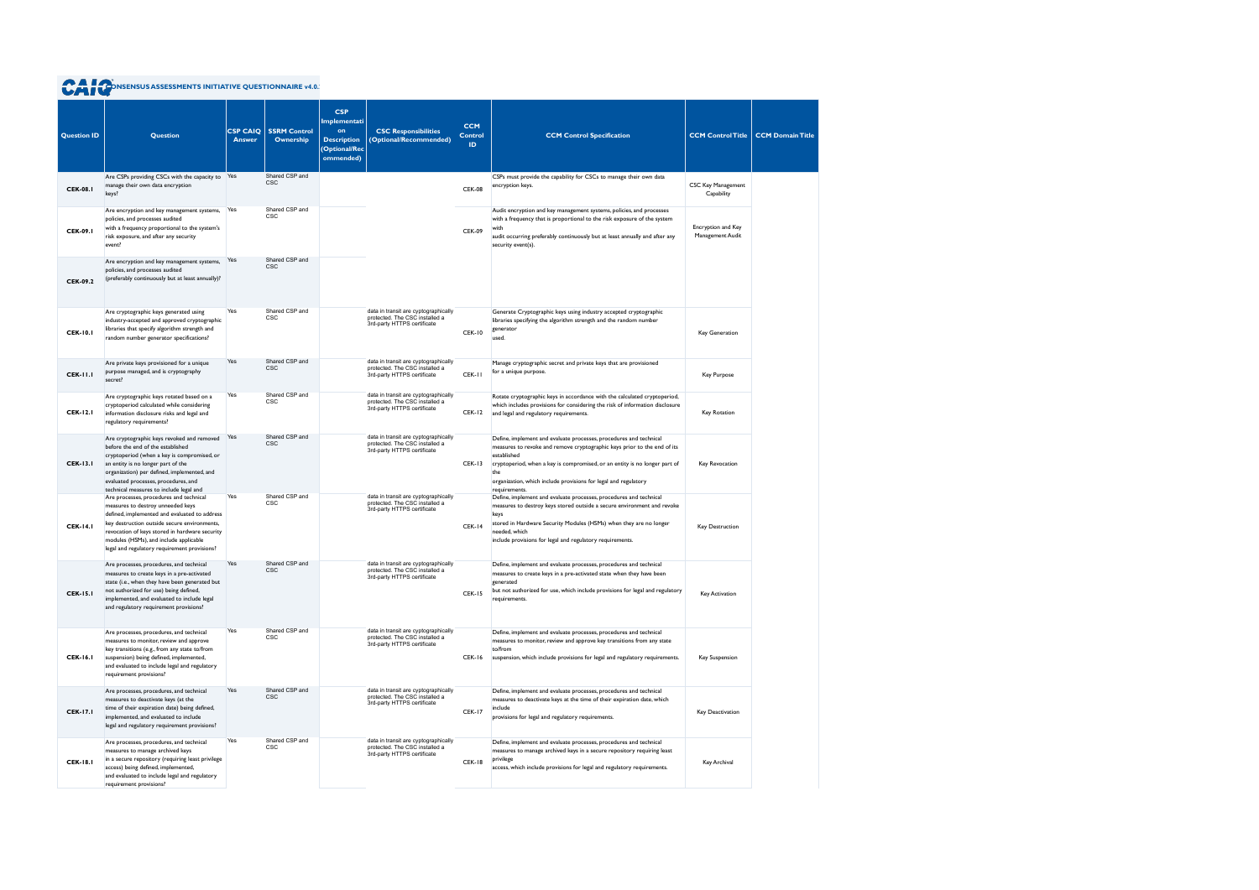| <b>Question ID</b> | <b>Question</b>                                                                                                                                                                                                                                                                                                                                                      | <b>CSP CAIQ</b><br><b>Answer</b> | <b>SSRM Control</b><br>Ownership | <b>CSP</b><br><b>Implementati</b><br>on<br><b>Description</b><br><b>(Optional/Rec</b><br>ommended) | <b>CSC Responsibilities</b><br>(Optional/Recommended)                                                 | <b>CCM</b><br><b>Control</b><br>ID. | <b>CCM Control Specification</b>                                                                                                                                                                                                                                                                                           | <b>CCM Control Title</b>                | <b>CCM Domain Title</b> |
|--------------------|----------------------------------------------------------------------------------------------------------------------------------------------------------------------------------------------------------------------------------------------------------------------------------------------------------------------------------------------------------------------|----------------------------------|----------------------------------|----------------------------------------------------------------------------------------------------|-------------------------------------------------------------------------------------------------------|-------------------------------------|----------------------------------------------------------------------------------------------------------------------------------------------------------------------------------------------------------------------------------------------------------------------------------------------------------------------------|-----------------------------------------|-------------------------|
| <b>CEK-08.1</b>    | Are CSPs providing CSCs with the capacity to Yes<br>manage their own data encryption<br>keys?                                                                                                                                                                                                                                                                        |                                  | Shared CSP and<br><b>CSC</b>     |                                                                                                    |                                                                                                       | <b>CEK-08</b>                       | CSPs must provide the capability for CSCs to manage their own data<br>encryption keys.                                                                                                                                                                                                                                     | <b>CSC Key Management</b><br>Capability |                         |
| <b>CEK-09.1</b>    | Are encryption and key management systems,<br>policies, and processes audited<br>with a frequency proportional to the system's<br>risk exposure, and after any security<br>event?                                                                                                                                                                                    | Yes                              | Shared CSP and<br><b>CSC</b>     |                                                                                                    |                                                                                                       | <b>CEK-09</b>                       | Audit encryption and key management systems, policies, and processes<br>with a frequency that is proportional to the risk exposure of the system<br>with<br>audit occurring preferably continuously but at least annually and after any<br>security event(s).                                                              | Encryption and Key<br>Management Audit  |                         |
| <b>CEK-09.2</b>    | Are encryption and key management systems,<br>policies, and processes audited<br>(preferably continuously but at least annually)?                                                                                                                                                                                                                                    | Yes                              | Shared CSP and<br><b>CSC</b>     |                                                                                                    |                                                                                                       |                                     |                                                                                                                                                                                                                                                                                                                            |                                         |                         |
| <b>CEK-10.1</b>    | Are cryptographic keys generated using<br>industry-accepted and approved cryptographic<br>libraries that specify algorithm strength and<br>random number generator specifications?                                                                                                                                                                                   | Yes                              | Shared CSP and<br><b>CSC</b>     |                                                                                                    | data in transit are cyptographically<br>protected. The CSC installed a<br>3rd-party HTTPS certificate | <b>CEK-10</b>                       | Generate Cryptographic keys using industry accepted cryptographic<br>libraries specifying the algorithm strength and the random number<br>generator<br>used.                                                                                                                                                               | Key Generation                          |                         |
| <b>CEK-11.1</b>    | Are private keys provisioned for a unique<br>purpose managed, and is cryptography<br>secret?                                                                                                                                                                                                                                                                         | Yes                              | Shared CSP and<br><b>CSC</b>     |                                                                                                    | data in transit are cyptographically<br>protected. The CSC installed a<br>3rd-party HTTPS certificate | CEK-II                              | Manage cryptographic secret and private keys that are provisioned<br>for a unique purpose.                                                                                                                                                                                                                                 | Key Purpose                             |                         |
| <b>CEK-12.1</b>    | Are cryptographic keys rotated based on a<br>cryptoperiod calculated while considering<br>information disclosure risks and legal and<br>regulatory requirements?                                                                                                                                                                                                     | Yes                              | Shared CSP and<br><b>CSC</b>     |                                                                                                    | data in transit are cyptographically<br>protected. The CSC installed a<br>3rd-party HTTPS certificate | <b>CEK-12</b>                       | Rotate cryptographic keys in accordance with the calculated cryptoperiod,<br>which includes provisions for considering the risk of information disclosure<br>and legal and regulatory requirements.                                                                                                                        | Key Rotation                            |                         |
| <b>CEK-13.1</b>    | Are cryptographic keys revoked and removed<br>before the end of the established<br>cryptoperiod (when a key is compromised, or<br>an entity is no longer part of the<br>organization) per defined, implemented, and<br>evaluated processes, procedures, and                                                                                                          | Yes                              | Shared CSP and<br><b>CSC</b>     |                                                                                                    | data in transit are cyptographically<br>protected. The CSC installed a<br>3rd-party HTTPS certificate | <b>CEK-13</b>                       | Define, implement and evaluate processes, procedures and technical<br>measures to revoke and remove cryptographic keys prior to the end of its<br>established<br>cryptoperiod, when a key is compromised, or an entity is no longer part of<br>the<br>organization, which include provisions for legal and regulatory      | Key Revocation                          |                         |
| <b>CEK-14.1</b>    | technical measures to include legal and<br>Are processes, procedures and technical<br>measures to destroy unneeded keys<br>defined, implemented and evaluated to address<br>key destruction outside secure environments,<br>revocation of keys stored in hardware security<br>modules (HSMs), and include applicable<br>legal and regulatory requirement provisions? | Yes                              | Shared CSP and<br><b>CSC</b>     |                                                                                                    | data in transit are cyptographically<br>protected. The CSC installed a<br>3rd-party HTTPS certificate | <b>CEK-14</b>                       | requirements.<br>Define, implement and evaluate processes, procedures and technical<br>measures to destroy keys stored outside a secure environment and revoke<br>keys<br>stored in Hardware Security Modules (HSMs) when they are no longer<br>needed, which<br>include provisions for legal and regulatory requirements. | Key Destruction                         |                         |
| <b>CEK-15.1</b>    | Are processes, procedures, and technical<br>measures to create keys in a pre-activated<br>state (i.e., when they have been generated but<br>not authorized for use) being defined,<br>implemented, and evaluated to include legal<br>and regulatory requirement provisions?                                                                                          | Yes                              | Shared CSP and                   |                                                                                                    | data in transit are cyptographically<br>protected. The CSC installed a<br>3rd-party HTTPS certificate | <b>CEK-15</b>                       | Define, implement and evaluate processes, procedures and technical<br>measures to create keys in a pre-activated state when they have been<br>generated<br>but not authorized for use, which include provisions for legal and regulatory<br>requirements.                                                                  | Key Activation                          |                         |
| <b>CEK-16.1</b>    | Are processes, procedures, and technical<br>measures to monitor, review and approve<br>key transitions (e.g., from any state to/from<br>suspension) being defined, implemented,<br>and evaluated to include legal and regulatory<br>requirement provisions?                                                                                                          | Yes                              | Shared CSP and<br><b>CSC</b>     |                                                                                                    | data in transit are cyptographically<br>protected. The CSC installed a<br>3rd-party HTTPS certificate | CEK-16                              | Define, implement and evaluate processes, procedures and technical<br>measures to monitor, review and approve key transitions from any state<br>to/from<br>suspension, which include provisions for legal and regulatory requirements.                                                                                     | <b>Key Suspension</b>                   |                         |
| <b>CEK-17.1</b>    | Are processes, procedures, and technical<br>measures to deactivate keys (at the<br>time of their expiration date) being defined,<br>implemented, and evaluated to include<br>legal and regulatory requirement provisions?                                                                                                                                            | Yes                              | Shared CSP and<br><b>CSC</b>     |                                                                                                    | data in transit are cyptographically<br>protected. The CSC installed a<br>3rd-party HTTPS certificate | <b>CEK-17</b>                       | Define, implement and evaluate processes, procedures and technical<br>measures to deactivate keys at the time of their expiration date, which<br>include<br>provisions for legal and regulatory requirements.                                                                                                              | Key Deactivation                        |                         |
| <b>CEK-18.1</b>    | Are processes, procedures, and technical<br>measures to manage archived keys<br>in a secure repository (requiring least privilege<br>access) being defined, implemented,<br>and evaluated to include legal and regulatory<br>requirement provisions?                                                                                                                 | Yes                              | Shared CSP and<br><b>CSC</b>     |                                                                                                    | data in transit are cyptographically<br>protected. The CSC installed a<br>3rd-party HTTPS certificate | <b>CEK-18</b>                       | Define, implement and evaluate processes, procedures and technical<br>measures to manage archived keys in a secure repository requiring least<br>privilege<br>access, which include provisions for legal and regulatory requirements.                                                                                      | Key Archival                            |                         |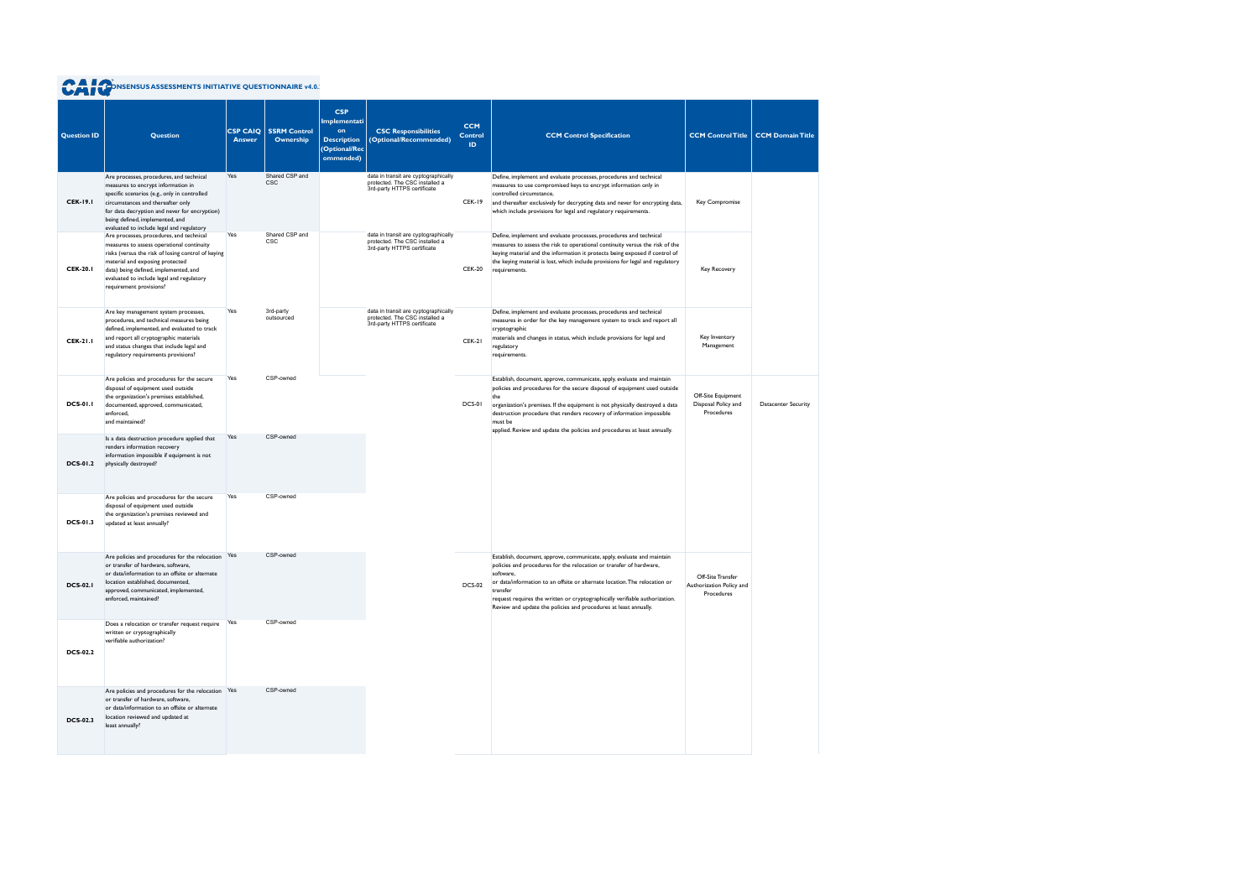| <b>Question ID</b> | Question                                                                                                                                                                                                                                                                                             | <b>CSP CAIQ</b><br><b>Answer</b> | <b>SSRM Control</b><br>Ownership | <b>CSP</b><br>Implementati<br>on<br><b>Description</b><br>(Optional/Rec<br>ommended) | <b>CSC Responsibilities</b><br>(Optional/Recommended)                                                 | <b>CCM</b><br><b>Control</b><br>ID. | <b>CCM Control Specification</b>                                                                                                                                                                                                                                                                                                                                                                             | <b>CCM Control Title</b>                                    | <b>CCM Domain Title</b>    |
|--------------------|------------------------------------------------------------------------------------------------------------------------------------------------------------------------------------------------------------------------------------------------------------------------------------------------------|----------------------------------|----------------------------------|--------------------------------------------------------------------------------------|-------------------------------------------------------------------------------------------------------|-------------------------------------|--------------------------------------------------------------------------------------------------------------------------------------------------------------------------------------------------------------------------------------------------------------------------------------------------------------------------------------------------------------------------------------------------------------|-------------------------------------------------------------|----------------------------|
| <b>CEK-19.1</b>    | Are processes, procedures, and technical<br>measures to encrypt information in<br>specific scenarios (e.g., only in controlled<br>circumstances and thereafter only<br>for data decryption and never for encryption)<br>being defined, implemented, and<br>evaluated to include legal and regulatory | Yes                              | Shared CSP and<br><b>CSC</b>     |                                                                                      | data in transit are cyptographically<br>protected. The CSC installed a<br>3rd-party HTTPS certificate | <b>CEK-19</b>                       | Define, implement and evaluate processes, procedures and technical<br>measures to use compromised keys to encrypt information only in<br>controlled circumstance,<br>and thereafter exclusively for decrypting data and never for encrypting data,<br>which include provisions for legal and regulatory requirements.                                                                                        | Key Compromise                                              |                            |
| <b>CEK-20.1</b>    | Are processes, procedures, and technical<br>measures to assess operational continuity<br>risks (versus the risk of losing control of keying<br>material and exposing protected<br>data) being defined, implemented, and<br>evaluated to include legal and regulatory<br>requirement provisions?      | Yes                              | Shared CSP and<br><b>CSC</b>     |                                                                                      | data in transit are cyptographically<br>protected. The CSC installed a<br>3rd-party HTTPS certificate | <b>CEK-20</b>                       | Define, implement and evaluate processes, procedures and technical<br>measures to assess the risk to operational continuity versus the risk of the<br>keying material and the information it protects being exposed if control of<br>the keying material is lost, which include provisions for legal and regulatory<br>requirements.                                                                         | Key Recovery                                                |                            |
| <b>CEK-21.1</b>    | Are key management system processes,<br>procedures, and technical measures being<br>defined, implemented, and evaluated to track<br>and report all cryptographic materials<br>and status changes that include legal and<br>regulatory requirements provisions?                                       | Yes                              | 3rd-party<br>outsourced          |                                                                                      | data in transit are cyptographically<br>protected. The CSC installed a<br>3rd-party HTTPS certificate | <b>CEK-21</b>                       | Define, implement and evaluate processes, procedures and technical<br>measures in order for the key management system to track and report all<br>cryptographic<br>materials and changes in status, which include provisions for legal and<br>regulatory<br>requirements.                                                                                                                                     | Key Inventory<br>Management                                 |                            |
| <b>DCS-01.1</b>    | Are policies and procedures for the secure<br>disposal of equipment used outside<br>the organization's premises established,<br>documented, approved, communicated,<br>enforced,<br>and maintained?                                                                                                  | Yes                              | CSP-owned                        |                                                                                      |                                                                                                       | DCS-01                              | Establish, document, approve, communicate, apply, evaluate and maintain<br>policies and procedures for the secure disposal of equipment used outside<br>the<br>organization's premises. If the equipment is not physically destroyed a data<br>destruction procedure that renders recovery of information impossible<br>must be<br>applied. Review and update the policies and procedures at least annually. | Off-Site Equipment<br>Disposal Policy and<br>Procedures     | <b>Datacenter Security</b> |
| <b>DCS-01.2</b>    | Is a data destruction procedure applied that<br>renders information recovery<br>information impossible if equipment is not<br>physically destroyed?                                                                                                                                                  | Yes                              | CSP-owned                        |                                                                                      |                                                                                                       |                                     |                                                                                                                                                                                                                                                                                                                                                                                                              |                                                             |                            |
| <b>DCS-01.3</b>    | Are policies and procedures for the secure<br>disposal of equipment used outside<br>the organization's premises reviewed and<br>updated at least annually?                                                                                                                                           | Yes                              | CSP-owned                        |                                                                                      |                                                                                                       |                                     |                                                                                                                                                                                                                                                                                                                                                                                                              |                                                             |                            |
| <b>DCS-02.1</b>    | Are policies and procedures for the relocation Yes<br>or transfer of hardware, software.<br>or data/information to an offsite or alternate<br>location established, documented,<br>approved, communicated, implemented,<br>enforced, maintained?                                                     |                                  | CSP-owned                        |                                                                                      |                                                                                                       | <b>DCS-02</b>                       | Establish, document, approve, communicate, apply, evaluate and maintain<br>policies and procedures for the relocation or transfer of hardware,<br>software,<br>or data/information to an offsite or alternate location. The relocation or<br>transfer<br>request requires the written or cryptographically verifiable authorization.<br>Review and update the policies and procedures at least annually.     | Off-Site Transfer<br>Authorization Policy and<br>Procedures |                            |
| <b>DCS-02.2</b>    | Does a relocation or transfer request require Yes<br>written or cryptographically<br>verifiable authorization?                                                                                                                                                                                       |                                  | CSP-owned                        |                                                                                      |                                                                                                       |                                     |                                                                                                                                                                                                                                                                                                                                                                                                              |                                                             |                            |
| <b>DCS-02.3</b>    | Are policies and procedures for the relocation Yes<br>or transfer of hardware, software,<br>or data/information to an offsite or alternate<br>location reviewed and updated at<br>least annually?                                                                                                    |                                  | CSP-owned                        |                                                                                      |                                                                                                       |                                     |                                                                                                                                                                                                                                                                                                                                                                                                              |                                                             |                            |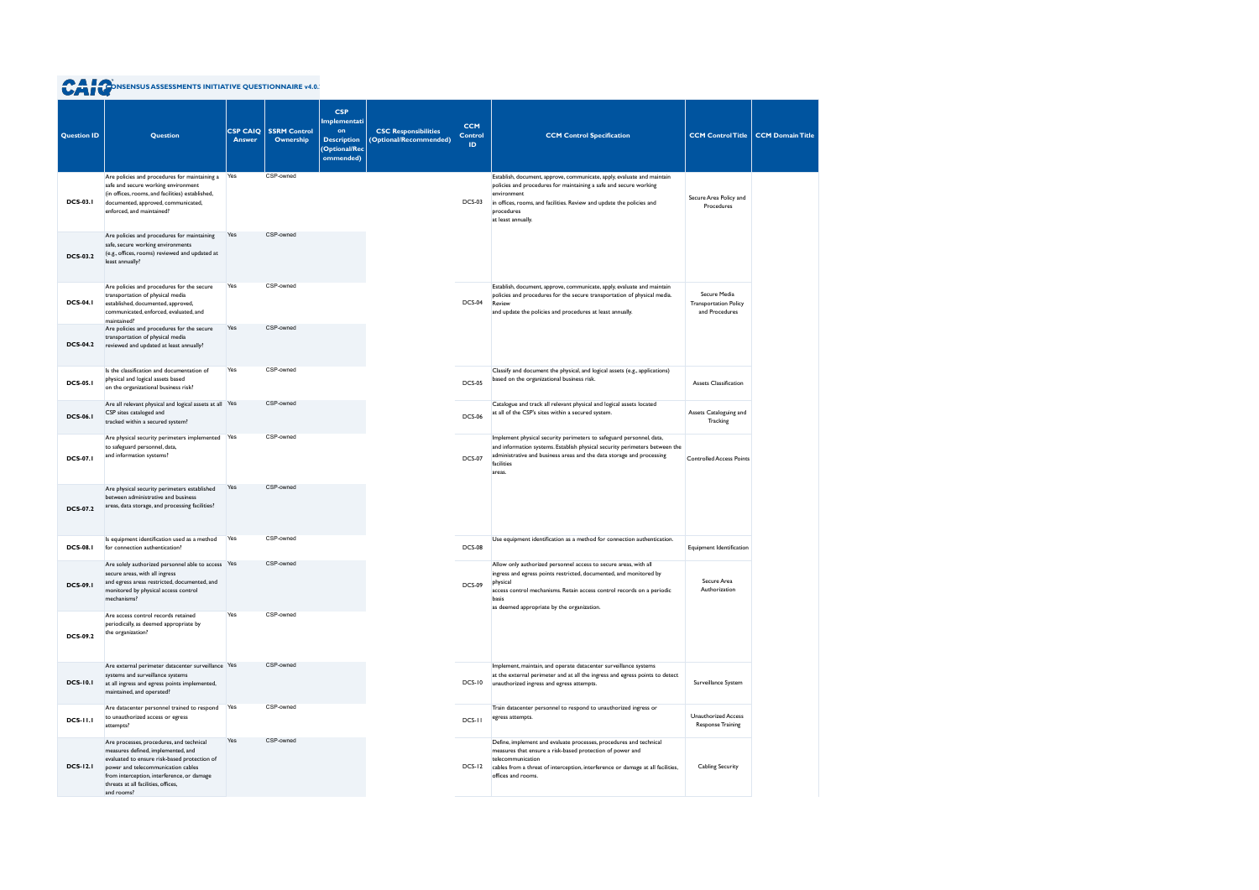| <b>Question ID</b> | <b>Question</b>                                                                                                                                                                                                                                                         | <b>CSP CAIQ</b><br><b>Answer</b> | <b>SSRM Control</b><br><b>Ownership</b> | <b>CSP</b><br>Implementati<br>on<br><b>Description</b><br>(Optional/Rec<br>ommended) | <b>CSC Responsibilities</b><br>(Optional/Recommended) | <b>CCM</b><br><b>Control</b><br>ID. | <b>CCM Control Specification</b>                                                                                                                                                                                                                                                    | <b>CCM Control Title</b>                                       | <b>CCM Domain Title</b> |
|--------------------|-------------------------------------------------------------------------------------------------------------------------------------------------------------------------------------------------------------------------------------------------------------------------|----------------------------------|-----------------------------------------|--------------------------------------------------------------------------------------|-------------------------------------------------------|-------------------------------------|-------------------------------------------------------------------------------------------------------------------------------------------------------------------------------------------------------------------------------------------------------------------------------------|----------------------------------------------------------------|-------------------------|
| <b>DCS-03.1</b>    | Are policies and procedures for maintaining a Yes<br>safe and secure working environment<br>(in offices, rooms, and facilities) established,<br>documented, approved, communicated,<br>enforced, and maintained?                                                        |                                  | CSP-owned                               |                                                                                      |                                                       | <b>DCS-03</b>                       | Establish, document, approve, communicate, apply, evaluate and maintain<br>policies and procedures for maintaining a safe and secure working<br>environment<br>in offices, rooms, and facilities. Review and update the policies and<br>procedures<br>at least annually.            | Secure Area Policy and<br>Procedures                           |                         |
| <b>DCS-03.2</b>    | Are policies and procedures for maintaining<br>safe, secure working environments<br>(e.g., offices, rooms) reviewed and updated at<br>least annually?                                                                                                                   | Yes                              | CSP-owned                               |                                                                                      |                                                       |                                     |                                                                                                                                                                                                                                                                                     |                                                                |                         |
| <b>DCS-04.1</b>    | Are policies and procedures for the secure<br>transportation of physical media<br>established, documented, approved,<br>communicated, enforced, evaluated, and<br>maintained?                                                                                           | Yes                              | CSP-owned                               |                                                                                      |                                                       | DCS-04                              | Establish, document, approve, communicate, apply, evaluate and maintain<br>policies and procedures for the secure transportation of physical media.<br>Review<br>and update the policies and procedures at least annually.                                                          | Secure Media<br><b>Transportation Policy</b><br>and Procedures |                         |
| <b>DCS-04.2</b>    | Are policies and procedures for the secure<br>transportation of physical media<br>reviewed and updated at least annually?                                                                                                                                               | Yes                              | CSP-owned                               |                                                                                      |                                                       |                                     |                                                                                                                                                                                                                                                                                     |                                                                |                         |
| <b>DCS-05.1</b>    | Is the classification and documentation of<br>physical and logical assets based<br>on the organizational business risk?                                                                                                                                                 | Yes                              | CSP-owned                               |                                                                                      |                                                       | <b>DCS-05</b>                       | Classify and document the physical, and logical assets (e.g., applications)<br>based on the organizational business risk.                                                                                                                                                           | <b>Assets Classification</b>                                   |                         |
| <b>DCS-06.1</b>    | Are all relevant physical and logical assets at all Yes<br>CSP sites cataloged and<br>tracked within a secured system?                                                                                                                                                  |                                  | CSP-owned                               |                                                                                      |                                                       | <b>DCS-06</b>                       | Catalogue and track all relevant physical and logical assets located<br>at all of the CSP's sites within a secured system.                                                                                                                                                          | Assets Cataloguing and<br>Tracking                             |                         |
| <b>DCS-07.1</b>    | Are physical security perimeters implemented Yes<br>to safeguard personnel, data,<br>and information systems?                                                                                                                                                           |                                  | CSP-owned                               |                                                                                      |                                                       | <b>DCS-07</b>                       | Implement physical security perimeters to safeguard personnel, data,<br>and information systems. Establish physical security perimeters between the<br>administrative and business areas and the data storage and processing<br>facilities<br>areas.                                | <b>Controlled Access Points</b>                                |                         |
| <b>DCS-07.2</b>    | Are physical security perimeters established<br>between administrative and business<br>areas, data storage, and processing facilities?                                                                                                                                  | Yes                              | CSP-owned                               |                                                                                      |                                                       |                                     |                                                                                                                                                                                                                                                                                     |                                                                |                         |
| <b>DCS-08.1</b>    | Is equipment identification used as a method<br>for connection authentication?                                                                                                                                                                                          | Yes                              | CSP-owned                               |                                                                                      |                                                       | <b>DCS-08</b>                       | Use equipment identification as a method for connection authentication.                                                                                                                                                                                                             | Equipment Identification                                       |                         |
| <b>DCS-09.1</b>    | Are solely authorized personnel able to access Yes<br>secure areas, with all ingress<br>and egress areas restricted, documented, and<br>monitored by physical access control<br>mechanisms?                                                                             |                                  | CSP-owned                               |                                                                                      |                                                       | <b>DCS-09</b>                       | Allow only authorized personnel access to secure areas, with all<br>ingress and egress points restricted, documented, and monitored by<br>physical<br>access control mechanisms. Retain access control records on a periodic<br>basis<br>as deemed appropriate by the organization. | Secure Area<br>Authorization                                   |                         |
| <b>DCS-09.2</b>    | Are access control records retained<br>periodically, as deemed appropriate by<br>the organization?                                                                                                                                                                      | Yes                              | CSP-owned                               |                                                                                      |                                                       |                                     |                                                                                                                                                                                                                                                                                     |                                                                |                         |
| <b>DCS-10.1</b>    | Are external perimeter datacenter surveillance Yes<br>systems and surveillance systems<br>at all ingress and egress points implemented,<br>maintained, and operated?                                                                                                    |                                  | CSP-owned                               |                                                                                      |                                                       | <b>DCS-10</b>                       | Implement, maintain, and operate datacenter surveillance systems<br>at the external perimeter and at all the ingress and egress points to detect<br>unauthorized ingress and egress attempts.                                                                                       | Surveillance System                                            |                         |
| <b>DCS-11.1</b>    | Are datacenter personnel trained to respond<br>to unauthorized access or egress<br>attempts?                                                                                                                                                                            | Yes                              | CSP-owned                               |                                                                                      |                                                       | DCS-II                              | Train datacenter personnel to respond to unauthorized ingress or<br>egress attempts.                                                                                                                                                                                                | <b>Unauthorized Access</b><br><b>Response Training</b>         |                         |
| <b>DCS-12.1</b>    | Are processes, procedures, and technical<br>measures defined, implemented, and<br>evaluated to ensure risk-based protection of<br>power and telecommunication cables<br>from interception, interference, or damage<br>threats at all facilities, offices,<br>and rooms? | Yes                              | CSP-owned                               |                                                                                      |                                                       | DCS-12                              | Define, implement and evaluate processes, procedures and technical<br>measures that ensure a risk-based protection of power and<br>telecommunication<br>cables from a threat of interception, interference or damage at all facilities,<br>offices and rooms.                       | <b>Cabling Security</b>                                        |                         |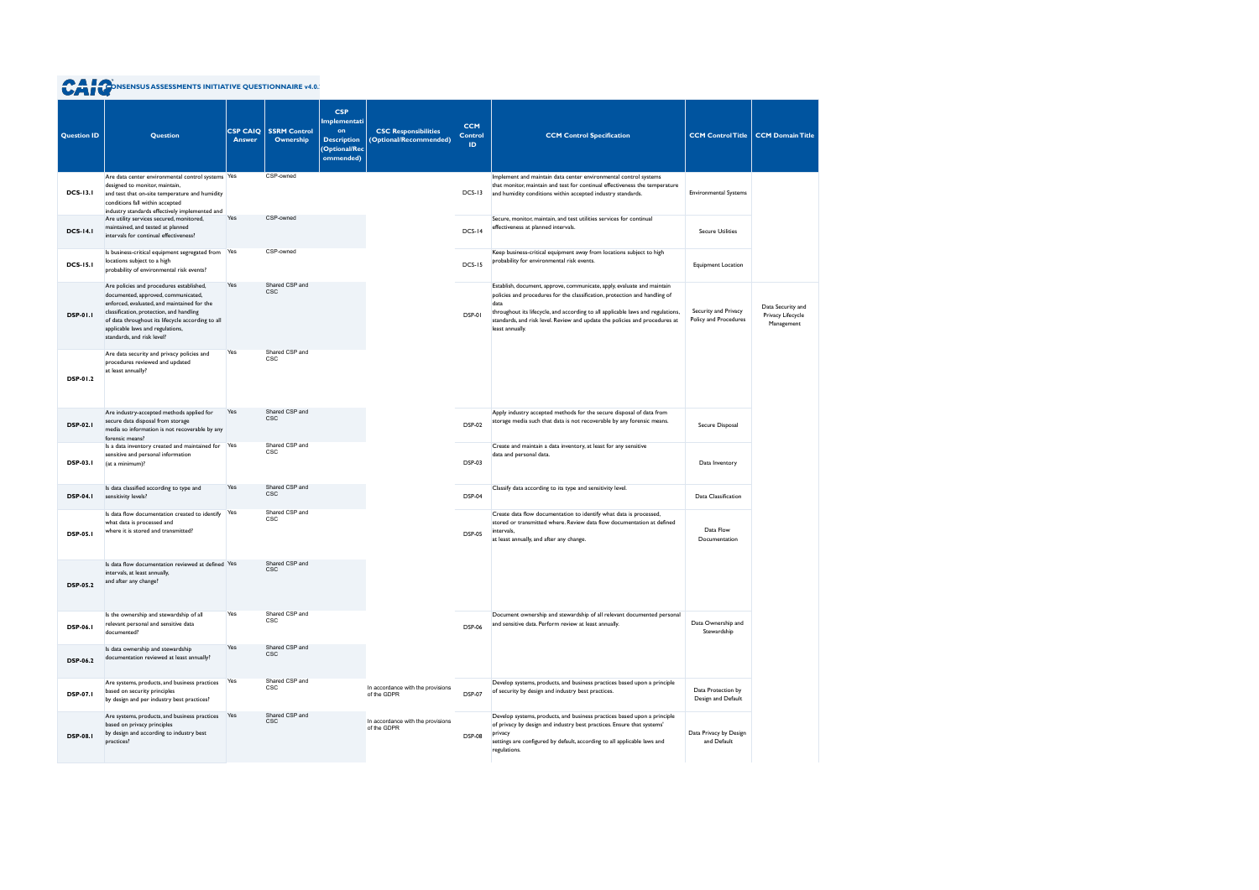|                    | <b>A POINT AND ASSESSMENTS INITIATIVE QUESTIONNAIRE v4.0.</b>                                                                                                                                                                                                                                     |                                  |                                  |                                                                                             |                                                       |                                     |                                                                                                                                                                                                                                                                                                                                                    |                                               |                                                      |
|--------------------|---------------------------------------------------------------------------------------------------------------------------------------------------------------------------------------------------------------------------------------------------------------------------------------------------|----------------------------------|----------------------------------|---------------------------------------------------------------------------------------------|-------------------------------------------------------|-------------------------------------|----------------------------------------------------------------------------------------------------------------------------------------------------------------------------------------------------------------------------------------------------------------------------------------------------------------------------------------------------|-----------------------------------------------|------------------------------------------------------|
| <b>Question ID</b> | <b>Question</b>                                                                                                                                                                                                                                                                                   | <b>CSP CAIO</b><br><b>Answer</b> | <b>SSRM Control</b><br>Ownership | <b>CSP</b><br>Implementati<br>on<br><b>Description</b><br><b>(Optional/Rec</b><br>ommended) | <b>CSC Responsibilities</b><br>(Optional/Recommended) | <b>CCM</b><br><b>Control</b><br>ID. | <b>CCM Control Specification</b>                                                                                                                                                                                                                                                                                                                   | <b>CCM Control Title</b>                      | <b>CCM Domain Title</b>                              |
| <b>DCS-13.1</b>    | Are data center environmental control systems Yes<br>designed to monitor, maintain,<br>and test that on-site temperature and humidity<br>conditions fall within accepted<br>industry standards effectively implemented and                                                                        |                                  | CSP-owned                        |                                                                                             |                                                       | $DCS-13$                            | Implement and maintain data center environmental control systems<br>that monitor, maintain and test for continual effectiveness the temperature<br>and humidity conditions within accepted industry standards.                                                                                                                                     | <b>Environmental Systems</b>                  |                                                      |
| <b>DCS-14.1</b>    | Are utility services secured, monitored,<br>maintained, and tested at planned<br>intervals for continual effectiveness?                                                                                                                                                                           | Yes                              | CSP-owned                        |                                                                                             |                                                       | $DCS-14$                            | Secure, monitor, maintain, and test utilities services for continual<br>effectiveness at planned intervals.                                                                                                                                                                                                                                        | <b>Secure Utilities</b>                       |                                                      |
| <b>DCS-15.1</b>    | Is business-critical equipment segregated from<br>locations subject to a high<br>probability of environmental risk events?                                                                                                                                                                        | Yes                              | CSP-owned                        |                                                                                             |                                                       | $DCS-15$                            | Keep business-critical equipment away from locations subject to high<br>probability for environmental risk events.                                                                                                                                                                                                                                 | Equipment Location                            |                                                      |
| <b>DSP-01.1</b>    | Are policies and procedures established,<br>documented, approved, communicated,<br>enforced, evaluated, and maintained for the<br>classification, protection, and handling<br>of data throughout its lifecycle according to all<br>applicable laws and regulations,<br>standards, and risk level? | Yes                              | Shared CSP and<br><b>CSC</b>     |                                                                                             |                                                       | DSP-01                              | Establish, document, approve, communicate, apply, evaluate and maintain<br>policies and procedures for the classification, protection and handling of<br>data<br>throughout its lifecycle, and according to all applicable laws and regulations,<br>standards, and risk level. Review and update the policies and procedures at<br>least annually. | Security and Privacy<br>Policy and Procedures | Data Security and<br>Privacy Lifecycle<br>Management |
| DSP-01.2           | Are data security and privacy policies and<br>procedures reviewed and updated<br>at least annually?                                                                                                                                                                                               | Yes                              | Shared CSP and<br>CSC            |                                                                                             |                                                       |                                     |                                                                                                                                                                                                                                                                                                                                                    |                                               |                                                      |
| <b>DSP-02.1</b>    | Are industry-accepted methods applied for<br>secure data disposal from storage<br>media so information is not recoverable by any<br>forensic means?                                                                                                                                               | Yes                              | Shared CSP and<br><b>CSC</b>     |                                                                                             |                                                       | <b>DSP-02</b>                       | Apply industry accepted methods for the secure disposal of data from<br>storage media such that data is not recoverable by any forensic means.                                                                                                                                                                                                     | Secure Disposal                               |                                                      |
| <b>DSP-03.1</b>    | Is a data inventory created and maintained for<br>sensitive and personal information<br>(at a minimum)?                                                                                                                                                                                           | Yes                              | Shared CSP and<br><b>CSC</b>     |                                                                                             |                                                       | <b>DSP-03</b>                       | Create and maintain a data inventory, at least for any sensitive<br>data and personal data.                                                                                                                                                                                                                                                        | Data Inventory                                |                                                      |
| <b>DSP-04.1</b>    | Is data classified according to type and<br>sensitivity levels?                                                                                                                                                                                                                                   | Yes                              | Shared CSP and<br><b>CSC</b>     |                                                                                             |                                                       | <b>DSP-04</b>                       | Classify data according to its type and sensitivity level.                                                                                                                                                                                                                                                                                         | Data Classification                           |                                                      |
| <b>DSP-05.1</b>    | Is data flow documentation created to identify<br>what data is processed and<br>where it is stored and transmitted?                                                                                                                                                                               | Yes                              | Shared CSP and<br><b>CSC</b>     |                                                                                             |                                                       | <b>DSP-05</b>                       | Create data flow documentation to identify what data is processed,<br>stored or transmitted where. Review data flow documentation at defined<br>intervals,<br>at least annually, and after any change.                                                                                                                                             | Data Flow<br>Documentation                    |                                                      |
| <b>DSP-05.2</b>    | Is data flow documentation reviewed at defined Yes<br>intervals, at least annually,<br>and after any change?                                                                                                                                                                                      |                                  | Shared CSP and<br><b>CSC</b>     |                                                                                             |                                                       |                                     |                                                                                                                                                                                                                                                                                                                                                    |                                               |                                                      |
| <b>DSP-06.1</b>    | Is the ownership and stewardship of all<br>relevant personal and sensitive data<br>documented?                                                                                                                                                                                                    | Yes                              | Shared CSP and<br>CSC            |                                                                                             |                                                       | <b>DSP-06</b>                       | Document ownership and stewardship of all relevant documented personal<br>and sensitive data. Perform review at least annually.                                                                                                                                                                                                                    | Data Ownership and<br>Stewardship             |                                                      |
| <b>DSP-06.2</b>    | Is data ownership and stewardship<br>documentation reviewed at least annually?                                                                                                                                                                                                                    | Yes                              | Shared CSP and<br><b>CSC</b>     |                                                                                             |                                                       |                                     |                                                                                                                                                                                                                                                                                                                                                    |                                               |                                                      |
| <b>DSP-07.1</b>    | Are systems, products, and business practices<br>based on security principles<br>by design and per industry best practices?                                                                                                                                                                       | Yes                              | Shared CSP and<br>CSC            |                                                                                             | In accordance with the provisions<br>of the GDPR      | <b>DSP-07</b>                       | Develop systems, products, and business practices based upon a principle<br>of security by design and industry best practices.                                                                                                                                                                                                                     | Data Protection by<br>Design and Default      |                                                      |
| <b>DSP-08.1</b>    | Are systems, products, and business practices<br>based on privacy principles<br>by design and according to industry best<br>practices?                                                                                                                                                            | Yes                              | Shared CSP and<br><b>CSC</b>     |                                                                                             | In accordance with the provisions<br>of the GDPR      | <b>DSP-08</b>                       | Develop systems, products, and business practices based upon a principle<br>of privacy by design and industry best practices. Ensure that systems'<br>privacy<br>settings are configured by default, according to all applicable laws and<br>regulations.                                                                                          | Data Privacy by Design<br>and Default         |                                                      |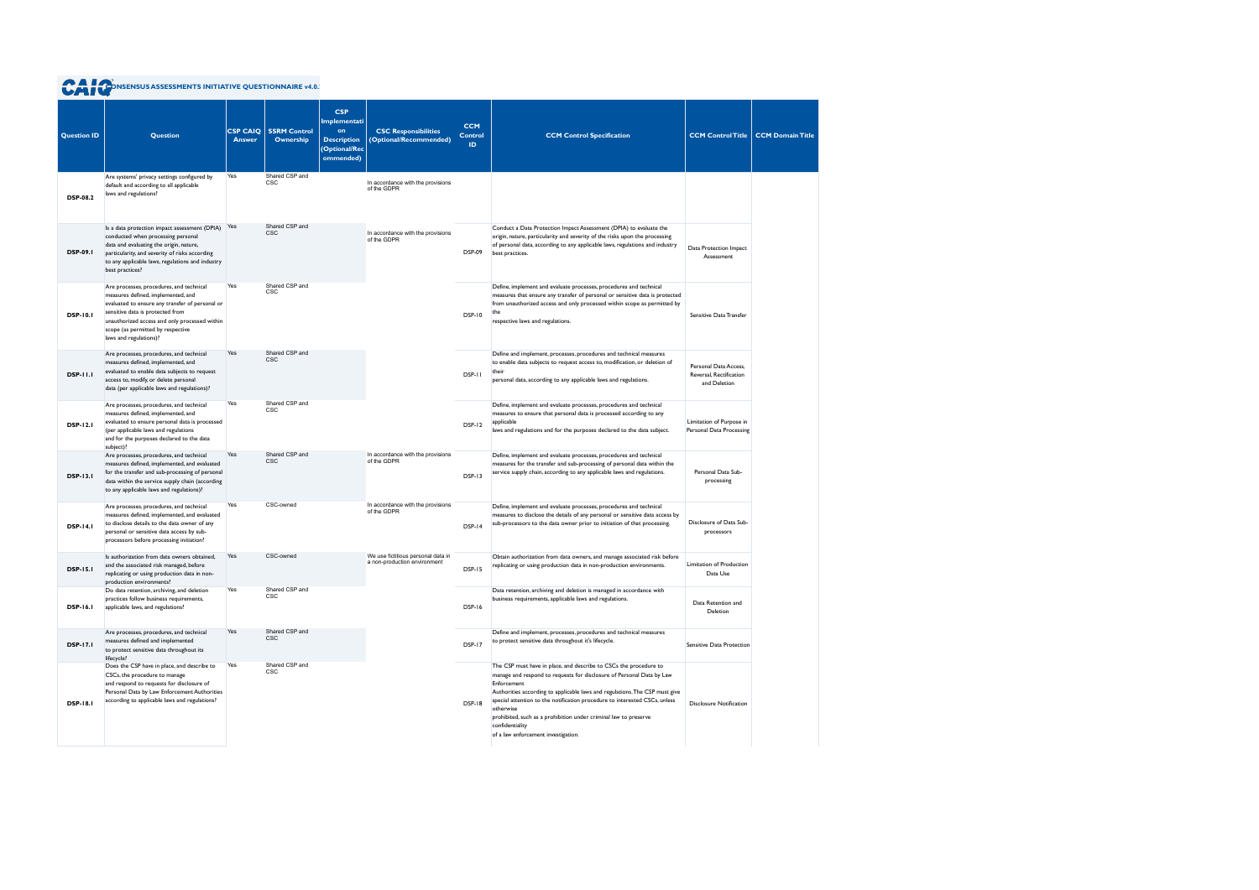|  |  | <b>CAT CONSENSUS ASSESSMENTS INITIATIVE QUESTIONNAIRE v4.0.</b> |  |
|--|--|-----------------------------------------------------------------|--|
|  |  |                                                                 |  |

| <b>Question ID</b> | Question                                                                                                                                                                                                                                                                              | <b>CSP CAIQ</b><br><b>Answer</b> | <b>SSRM Control</b><br>Ownership | <b>CSP</b><br>Implementati<br>on<br><b>Description</b><br>(Optional/Rec<br>ommended) | <b>CSC Responsibilities</b><br>(Optional/Recommended)              | <b>CCM</b><br><b>Control</b><br>ID. | <b>CCM Control Specification</b>                                                                                                                                                                                                                                                                                                                                                                                                                                  | <b>CCM Control Title</b>                                         | <b>CCM Domain Title</b> |
|--------------------|---------------------------------------------------------------------------------------------------------------------------------------------------------------------------------------------------------------------------------------------------------------------------------------|----------------------------------|----------------------------------|--------------------------------------------------------------------------------------|--------------------------------------------------------------------|-------------------------------------|-------------------------------------------------------------------------------------------------------------------------------------------------------------------------------------------------------------------------------------------------------------------------------------------------------------------------------------------------------------------------------------------------------------------------------------------------------------------|------------------------------------------------------------------|-------------------------|
| <b>DSP-08.2</b>    | Are systems' privacy settings configured by<br>default and according to all applicable<br>laws and regulations?                                                                                                                                                                       | Yes                              | Shared CSP and<br><b>CSC</b>     |                                                                                      | In accordance with the provisions<br>of the GDPR                   |                                     |                                                                                                                                                                                                                                                                                                                                                                                                                                                                   |                                                                  |                         |
| <b>DSP-09.1</b>    | Is a data protection impact assessment (DPIA) Yes<br>conducted when processing personal<br>data and evaluating the origin, nature,<br>particularity, and severity of risks according<br>to any applicable laws, regulations and industry<br>best practices?                           |                                  | Shared CSP and<br><b>CSC</b>     |                                                                                      | In accordance with the provisions<br>of the GDPR                   | <b>DSP-09</b>                       | Conduct a Data Protection Impact Assessment (DPIA) to evaluate the<br>origin, nature, particularity and severity of the risks upon the processing<br>of personal data, according to any applicable laws, regulations and industry<br>best practices.                                                                                                                                                                                                              | Data Protection Impact<br>Assessment                             |                         |
| <b>DSP-10.1</b>    | Are processes, procedures, and technical<br>measures defined, implemented, and<br>evaluated to ensure any transfer of personal or<br>sensitive data is protected from<br>unauthorized access and only processed within<br>scope (as permitted by respective<br>laws and regulations)? | Yes                              | Shared CSP and<br>CSC            |                                                                                      |                                                                    | <b>DSP-10</b>                       | Define, implement and evaluate processes, procedures and technical<br>measures that ensure any transfer of personal or sensitive data is protected<br>from unauthorized access and only processed within scope as permitted by<br>the<br>respective laws and regulations.                                                                                                                                                                                         | Sensitive Data Transfer                                          |                         |
| <b>DSP-11.1</b>    | Are processes, procedures, and technical<br>measures defined, implemented, and<br>evaluated to enable data subjects to request<br>access to, modify, or delete personal<br>data (per applicable laws and regulations)?                                                                | Yes                              | Shared CSP and<br><b>CSC</b>     |                                                                                      |                                                                    | DSP-11                              | Define and implement, processes, procedures and technical measures<br>to enable data subjects to request access to, modification, or deletion of<br>their<br>personal data, according to any applicable laws and regulations.                                                                                                                                                                                                                                     | Personal Data Access,<br>Reversal, Rectification<br>and Deletion |                         |
| <b>DSP-12.1</b>    | Are processes, procedures, and technical<br>measures defined, implemented, and<br>evaluated to ensure personal data is processed<br>(per applicable laws and regulations<br>and for the purposes declared to the data<br>subject)?                                                    | Yes                              | Shared CSP and<br><b>CSC</b>     |                                                                                      |                                                                    | DSP-12                              | Define, implement and evaluate processes, procedures and technical<br>measures to ensure that personal data is processed according to any<br>applicable<br>laws and regulations and for the purposes declared to the data subject.                                                                                                                                                                                                                                | Limitation of Purpose in<br>Personal Data Processing             |                         |
| <b>DSP-13.1</b>    | Are processes, procedures, and technical<br>measures defined, implemented, and evaluated<br>for the transfer and sub-processing of personal<br>data within the service supply chain (according<br>to any applicable laws and regulations)?                                            | Yes                              | Shared CSP and<br><b>CSC</b>     |                                                                                      | In accordance with the provisions<br>of the GDPR                   | <b>DSP-13</b>                       | Define, implement and evaluate processes, procedures and technical<br>measures for the transfer and sub-processing of personal data within the<br>service supply chain, according to any applicable laws and regulations.                                                                                                                                                                                                                                         | Personal Data Sub-<br>processing                                 |                         |
| <b>DSP-14.1</b>    | Are processes, procedures, and technical<br>measures defined, implemented, and evaluated<br>to disclose details to the data owner of any<br>personal or sensitive data access by sub-<br>processors before processing initiation?                                                     | Yes                              | CSC-owned                        |                                                                                      | In accordance with the provisions<br>of the GDPR                   | DSP-14                              | Define, implement and evaluate processes, procedures and technical<br>measures to disclose the details of any personal or sensitive data access by<br>sub-processors to the data owner prior to initiation of that processing.                                                                                                                                                                                                                                    | Disclosure of Data Sub-<br>processors                            |                         |
| <b>DSP-15.1</b>    | Is authorization from data owners obtained.<br>and the associated risk managed, before<br>replicating or using production data in non-<br>production environments?                                                                                                                    | Yes                              | CSC-owned                        |                                                                                      | We use fictitious personal data in<br>a non-production environment | <b>DSP-15</b>                       | Obtain authorization from data owners, and manage associated risk before<br>replicating or using production data in non-production environments.                                                                                                                                                                                                                                                                                                                  | Limitation of Production<br>Data Use                             |                         |
| <b>DSP-16.1</b>    | Do data retention, archiving, and deletion<br>practices follow business requirements,<br>applicable laws, and regulations?                                                                                                                                                            | Yes                              | Shared CSP and<br>CSC            |                                                                                      |                                                                    | DSP-16                              | Data retention, archiving and deletion is managed in accordance with<br>business requirements, applicable laws and regulations.                                                                                                                                                                                                                                                                                                                                   | Data Retention and<br>Deletion                                   |                         |
| <b>DSP-17.1</b>    | Are processes, procedures, and technical<br>measures defined and implemented<br>to protect sensitive data throughout its<br>lifecycle?                                                                                                                                                | Yes                              | Shared CSP and<br><b>CSC</b>     |                                                                                      |                                                                    | DSP-17                              | Define and implement, processes, procedures and technical measures<br>to protect sensitive data throughout it's lifecycle.                                                                                                                                                                                                                                                                                                                                        | Sensitive Data Protection                                        |                         |
| <b>DSP-18.1</b>    | Does the CSP have in place, and describe to<br>CSCs, the procedure to manage<br>and respond to requests for disclosure of<br>Personal Data by Law Enforcement Authorities<br>according to applicable laws and regulations?                                                            | Yes                              | Shared CSP and<br><b>CSC</b>     |                                                                                      |                                                                    | DSP-18                              | The CSP must have in place, and describe to CSCs the procedure to<br>manage and respond to requests for disclosure of Personal Data by Law<br>Enforcement<br>Authorities according to applicable laws and regulations. The CSP must give<br>special attention to the notification procedure to interested CSCs, unless<br>otherwise<br>prohibited, such as a prohibition under criminal law to preserve<br>confidentiality<br>of a law enforcement investigation. | <b>Disclosure Notification</b>                                   |                         |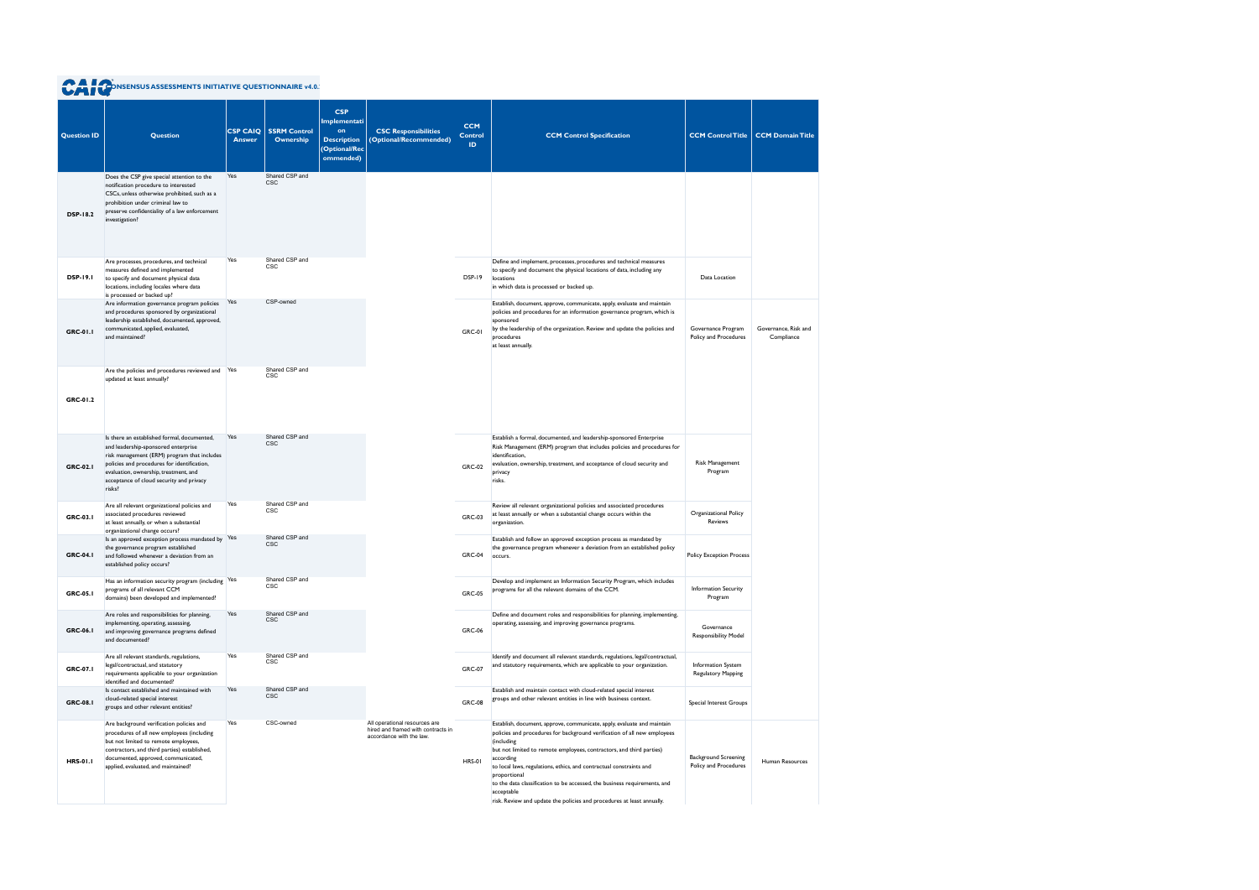| <b>Question ID</b> | <b>Question</b>                                                                                                                                                                                                                                                                 | <b>CSP CAIQ</b><br><b>Answer</b> | <b>SSRM Control</b><br>Ownership | <b>CSP</b><br>Implementati<br>on<br><b>Description</b><br>(Optional/Rec<br>ommended) | <b>CSC Responsibilities</b><br>(Optional/Recommended)                                           | <b>CCM</b><br><b>Control</b><br>ID. | <b>CCM Control Specification</b>                                                                                                                                                                                                                                                                                                                                                                                                                                                                                   | <b>CCM Control Title</b>                             | <b>CCM Domain Title</b>            |
|--------------------|---------------------------------------------------------------------------------------------------------------------------------------------------------------------------------------------------------------------------------------------------------------------------------|----------------------------------|----------------------------------|--------------------------------------------------------------------------------------|-------------------------------------------------------------------------------------------------|-------------------------------------|--------------------------------------------------------------------------------------------------------------------------------------------------------------------------------------------------------------------------------------------------------------------------------------------------------------------------------------------------------------------------------------------------------------------------------------------------------------------------------------------------------------------|------------------------------------------------------|------------------------------------|
| <b>DSP-18.2</b>    | Does the CSP give special attention to the<br>notification procedure to interested<br>CSCs, unless otherwise prohibited, such as a<br>prohibition under criminal law to<br>preserve confidentiality of a law enforcement<br>investigation?                                      | Yes                              | Shared CSP and<br><b>CSC</b>     |                                                                                      |                                                                                                 |                                     |                                                                                                                                                                                                                                                                                                                                                                                                                                                                                                                    |                                                      |                                    |
| <b>DSP-19.1</b>    | Are processes, procedures, and technical<br>measures defined and implemented<br>to specify and document physical data<br>locations, including locales where data<br>is processed or backed up?                                                                                  | Yes                              | Shared CSP and<br><b>CSC</b>     |                                                                                      |                                                                                                 | DSP-19                              | Define and implement, processes, procedures and technical measures<br>to specify and document the physical locations of data, including any<br>locations<br>in which data is processed or backed up.                                                                                                                                                                                                                                                                                                               | Data Location                                        |                                    |
| <b>GRC-01.1</b>    | Are information governance program policies<br>and procedures sponsored by organizational<br>leadership established, documented, approved,<br>communicated, applied, evaluated,<br>and maintained?                                                                              | Yes                              | CSP-owned                        |                                                                                      |                                                                                                 | GRC-01                              | Establish, document, approve, communicate, apply, evaluate and maintain<br>policies and procedures for an information governance program, which is<br>sponsored<br>by the leadership of the organization. Review and update the policies and<br>procedures<br>at least annually.                                                                                                                                                                                                                                   | Governance Program<br>Policy and Procedures          | Governance, Risk and<br>Compliance |
| GRC-01.2           | Are the policies and procedures reviewed and Yes<br>updated at least annually?                                                                                                                                                                                                  |                                  | Shared CSP and<br><b>CSC</b>     |                                                                                      |                                                                                                 |                                     |                                                                                                                                                                                                                                                                                                                                                                                                                                                                                                                    |                                                      |                                    |
| <b>GRC-02.1</b>    | Is there an established formal, documented,<br>and leadership-sponsored enterprise<br>risk management (ERM) program that includes<br>policies and procedures for identification,<br>evaluation, ownership, treatment, and<br>acceptance of cloud security and privacy<br>risks? | Yes                              | Shared CSP and<br><b>CSC</b>     |                                                                                      |                                                                                                 | <b>GRC-02</b>                       | Establish a formal, documented, and leadership-sponsored Enterprise<br>Risk Management (ERM) program that includes policies and procedures for<br>identification,<br>evaluation, ownership, treatment, and acceptance of cloud security and<br>privacy<br>risks.                                                                                                                                                                                                                                                   | <b>Risk Management</b><br>Program                    |                                    |
| <b>GRC-03.1</b>    | Are all relevant organizational policies and<br>associated procedures reviewed<br>at least annually, or when a substantial<br>organizational change occurs?                                                                                                                     | Yes                              | Shared CSP and<br>CSC            |                                                                                      |                                                                                                 | <b>GRC-03</b>                       | Review all relevant organizational policies and associated procedures<br>at least annually or when a substantial change occurs within the<br>organization.                                                                                                                                                                                                                                                                                                                                                         | Organizational Policy<br>Reviews                     |                                    |
| <b>GRC-04.1</b>    | Is an approved exception process mandated by Yes<br>the governance program established<br>and followed whenever a deviation from an<br>established policy occurs?                                                                                                               |                                  | Shared CSP and<br><b>CSC</b>     |                                                                                      |                                                                                                 | <b>GRC-04</b>                       | Establish and follow an approved exception process as mandated by<br>the governance program whenever a deviation from an established policy<br>occurs.                                                                                                                                                                                                                                                                                                                                                             | <b>Policy Exception Process</b>                      |                                    |
| <b>GRC-05.1</b>    | Has an information security program (including Yes<br>programs of all relevant CCM<br>domains) been developed and implemented?                                                                                                                                                  |                                  | Shared CSP and<br>CSC            |                                                                                      |                                                                                                 | <b>GRC-05</b>                       | Develop and implement an Information Security Program, which includes<br>programs for all the relevant domains of the CCM.                                                                                                                                                                                                                                                                                                                                                                                         | <b>Information Security</b><br>Program               |                                    |
| <b>GRC-06.1</b>    | Are roles and responsibilities for planning,<br>implementing, operating, assessing,<br>and improving governance programs defined<br>and documented?                                                                                                                             | Yes                              | Shared CSP and<br><b>CSC</b>     |                                                                                      |                                                                                                 | <b>GRC-06</b>                       | Define and document roles and responsibilities for planning, implementing,<br>operating, assessing, and improving governance programs.                                                                                                                                                                                                                                                                                                                                                                             | Governance<br><b>Responsibility Model</b>            |                                    |
| <b>GRC-07.1</b>    | Are all relevant standards, regulations,<br>legal/contractual, and statutory<br>requirements applicable to your organization<br>identified and documented?                                                                                                                      | Yes                              | Shared CSP and<br><b>CSC</b>     |                                                                                      |                                                                                                 | <b>GRC-07</b>                       | Identify and document all relevant standards, regulations, legal/contractual,<br>and statutory requirements, which are applicable to your organization.                                                                                                                                                                                                                                                                                                                                                            | Information System<br>Regulatory Mapping             |                                    |
| <b>GRC-08.1</b>    | Is contact established and maintained with<br>cloud-related special interest<br>groups and other relevant entities?                                                                                                                                                             | Yes                              | Shared CSP and<br><b>CSC</b>     |                                                                                      |                                                                                                 | <b>GRC-08</b>                       | Establish and maintain contact with cloud-related special interest<br>groups and other relevant entities in line with business context.                                                                                                                                                                                                                                                                                                                                                                            | Special Interest Groups                              |                                    |
| <b>HRS-01.1</b>    | Are background verification policies and<br>procedures of all new employees (including<br>but not limited to remote employees,<br>contractors, and third parties) established,<br>documented, approved, communicated,<br>applied, evaluated, and maintained?                    | Yes                              | CSC-owned                        |                                                                                      | All operational resources are<br>hired and framed with contracts in<br>accordance with the law. | <b>HRS-01</b>                       | Establish, document, approve, communicate, apply, evaluate and maintain<br>policies and procedures for background verification of all new employees<br>(including<br>but not limited to remote employees, contractors, and third parties)<br>according<br>to local laws, regulations, ethics, and contractual constraints and<br>proportional<br>to the data classification to be accessed, the business requirements, and<br>acceptable<br>risk. Review and update the policies and procedures at least annually. | <b>Background Screening</b><br>Policy and Procedures | Human Resources                    |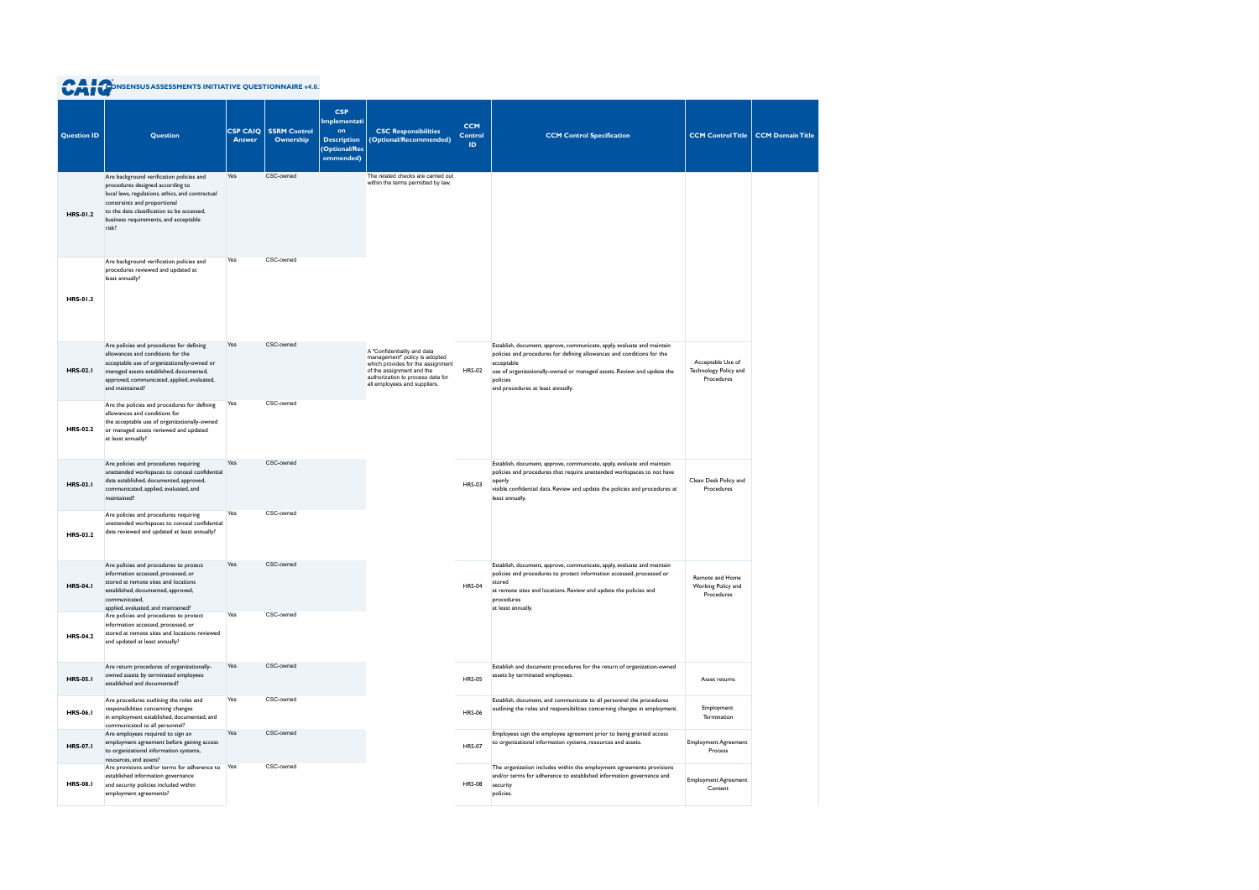| <b>Question ID</b> | <b>Question</b>                                                                                                                                                                                                                                                  | <b>CSP CAIQ</b><br><b>Answer</b> | <b>SSRM Control</b><br>Ownership | <b>CSP</b><br>Implementati<br>on<br><b>Description</b><br>(Optional/Rec<br>ommended) | <b>CSC Responsibilities</b><br>(Optional/Recommended)                                                                                                                                               | <b>CCM</b><br><b>Control</b><br>ID | <b>CCM Control Specification</b>                                                                                                                                                                                                                                                           | <b>CCM Control Title</b>                                 | <b>CCM Domain Title</b> |
|--------------------|------------------------------------------------------------------------------------------------------------------------------------------------------------------------------------------------------------------------------------------------------------------|----------------------------------|----------------------------------|--------------------------------------------------------------------------------------|-----------------------------------------------------------------------------------------------------------------------------------------------------------------------------------------------------|------------------------------------|--------------------------------------------------------------------------------------------------------------------------------------------------------------------------------------------------------------------------------------------------------------------------------------------|----------------------------------------------------------|-------------------------|
| <b>HRS-01.2</b>    | Are background verification policies and<br>procedures designed according to<br>local laws, regulations, ethics, and contractual<br>constraints and proportional<br>to the data classification to be accessed,<br>business requirements, and acceptable<br>risk? | Yes                              | CSC-owned                        |                                                                                      | The related checks are carried out<br>within the terms permitted by law.                                                                                                                            |                                    |                                                                                                                                                                                                                                                                                            |                                                          |                         |
| <b>HRS-01.3</b>    | Are background verification policies and<br>procedures reviewed and updated at<br>least annually?                                                                                                                                                                | Yes                              | CSC-owned                        |                                                                                      |                                                                                                                                                                                                     |                                    |                                                                                                                                                                                                                                                                                            |                                                          |                         |
| <b>HRS-02.1</b>    | Are policies and procedures for defining<br>allowances and conditions for the<br>acceptable use of organizationally-owned or<br>managed assets established, documented,<br>approved, communicated, applied, evaluated,<br>and maintained?                        | Yes                              | CSC-owned                        |                                                                                      | A "Confidentiality and data<br>management" policy is adopted<br>which provides for the assignment<br>of the assignment and the<br>authorization to process data for<br>all employees and suppliers. | <b>HRS-02</b>                      | Establish, document, approve, communicate, apply, evaluate and maintain<br>policies and procedures for defining allowances and conditions for the<br>acceptable<br>use of organizationally-owned or managed assets. Review and update the<br>policies<br>and procedures at least annually. | Acceptable Use of<br>Technology Policy and<br>Procedures |                         |
| <b>HRS-02.2</b>    | Are the policies and procedures for defining<br>allowances and conditions for<br>the acceptable use of organizationally-owned<br>or managed assets reviewed and updated<br>at least annually?                                                                    | Yes                              | CSC-owned                        |                                                                                      |                                                                                                                                                                                                     |                                    |                                                                                                                                                                                                                                                                                            |                                                          |                         |
| <b>HRS-03.1</b>    | Are policies and procedures requiring<br>unattended workspaces to conceal confidential<br>data established, documented, approved,<br>communicated, applied, evaluated, and<br>maintained?                                                                        | Yes                              | CSC-owned                        |                                                                                      |                                                                                                                                                                                                     | <b>HRS-03</b>                      | Establish, document, approve, communicate, apply, evaluate and maintain<br>policies and procedures that require unattended workspaces to not have<br>openly<br>visible confidential data. Review and update the policies and procedures at<br>least annually.                              | Clean Desk Policy and<br>Procedures                      |                         |
| <b>HRS-03.2</b>    | Are policies and procedures requiring<br>unattended workspaces to conceal confidential<br>data reviewed and updated at least annually?                                                                                                                           | Yes                              | CSC-owned                        |                                                                                      |                                                                                                                                                                                                     |                                    |                                                                                                                                                                                                                                                                                            |                                                          |                         |
| <b>HRS-04.1</b>    | Are policies and procedures to protect<br>information accessed, processed, or<br>stored at remote sites and locations<br>established, documented, approved,<br>communicated,<br>applied, evaluated, and maintained?                                              | Yes                              | CSC-owned                        |                                                                                      |                                                                                                                                                                                                     | <b>HRS-04</b>                      | Establish, document, approve, communicate, apply, evaluate and maintain<br>policies and procedures to protect information accessed, processed or<br>stored<br>at remote sites and locations. Review and update the policies and<br>procedures<br>at least annually.                        | Remote and Home<br>Working Policy and<br>Procedures      |                         |
| <b>HRS-04.2</b>    | Are policies and procedures to protect<br>information accessed, processed, or<br>stored at remote sites and locations reviewed<br>and updated at least annually?                                                                                                 | Yes                              | CSC-owned                        |                                                                                      |                                                                                                                                                                                                     |                                    |                                                                                                                                                                                                                                                                                            |                                                          |                         |
| <b>HRS-05.1</b>    | Are return procedures of organizationally-<br>owned assets by terminated employees<br>established and documented?                                                                                                                                                | Yes                              | CSC-owned                        |                                                                                      |                                                                                                                                                                                                     | <b>HRS-05</b>                      | Establish and document procedures for the return of organization-owned<br>assets by terminated employees.                                                                                                                                                                                  | Asset returns                                            |                         |
| <b>HRS-06.1</b>    | Are procedures outlining the roles and<br>responsibilities concerning changes<br>in employment established, documented, and<br>communicated to all personnel?                                                                                                    | Yes                              | CSC-owned                        |                                                                                      |                                                                                                                                                                                                     | <b>HRS-06</b>                      | Establish, document, and communicate to all personnel the procedures<br>outlining the roles and responsibilities concerning changes in employment.                                                                                                                                         | Employment<br>Termination                                |                         |
| <b>HRS-07.1</b>    | Are employees required to sign an<br>employment agreement before gaining access<br>to organizational information systems,<br>resources, and assets?                                                                                                              | Yes                              | CSC-owned                        |                                                                                      |                                                                                                                                                                                                     | <b>HRS-07</b>                      | Employees sign the employee agreement prior to being granted access<br>to organizational information systems, resources and assets.                                                                                                                                                        | <b>Employment Agreement</b><br>Process                   |                         |
| <b>HRS-08.1</b>    | Are provisions and/or terms for adherence to<br>established information governance<br>and security policies included within<br>employment agreements?                                                                                                            | Yes                              | CSC-owned                        |                                                                                      |                                                                                                                                                                                                     | <b>HRS-08</b>                      | The organization includes within the employment agreements provisions<br>and/or terms for adherence to established information governance and<br>security<br>policies.                                                                                                                     | <b>Employment Agreement</b><br>Content                   |                         |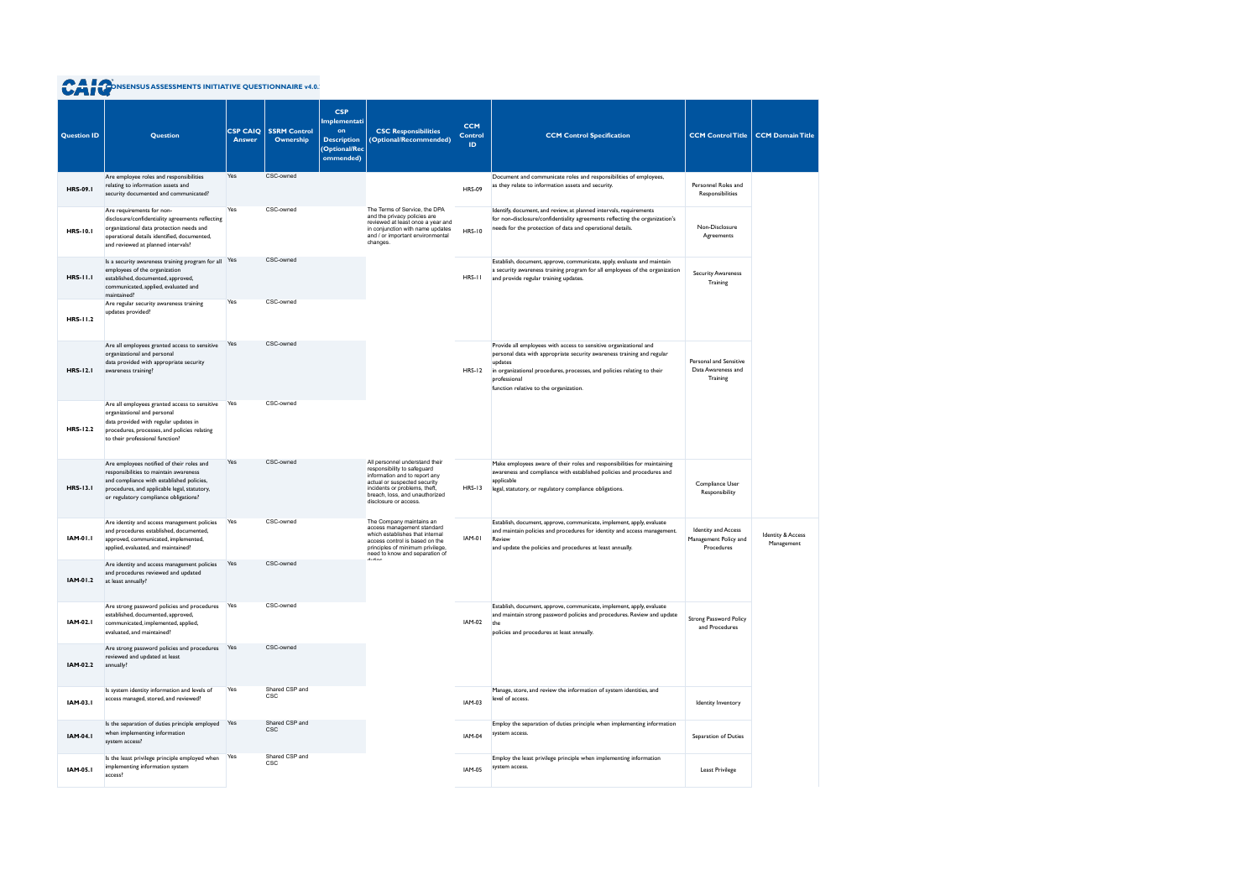| <b>Question ID</b> | <b>Question</b>                                                                                                                                                                                                           | <b>CSP CAIQ</b><br><b>Answer</b> | <b>SSRM Control</b><br>Ownership | <b>CSP</b><br>Implementati<br>on<br><b>Description</b><br>(Optional/Rec<br>ommended) | <b>CSC Responsibilities</b><br>(Optional/Recommended)                                                                                                                                                                      | <b>CCM</b><br><b>Control</b><br><b>ID</b> | <b>CCM Control Specification</b>                                                                                                                                                                                                                                                            | <b>CCM Control Title</b>                                          | <b>CCM Domain Title</b>                    |
|--------------------|---------------------------------------------------------------------------------------------------------------------------------------------------------------------------------------------------------------------------|----------------------------------|----------------------------------|--------------------------------------------------------------------------------------|----------------------------------------------------------------------------------------------------------------------------------------------------------------------------------------------------------------------------|-------------------------------------------|---------------------------------------------------------------------------------------------------------------------------------------------------------------------------------------------------------------------------------------------------------------------------------------------|-------------------------------------------------------------------|--------------------------------------------|
| <b>HRS-09.1</b>    | Are employee roles and responsibilities<br>relating to information assets and<br>security documented and communicated?                                                                                                    | Yes                              | CSC-owned                        |                                                                                      |                                                                                                                                                                                                                            | <b>HRS-09</b>                             | Document and communicate roles and responsibilities of employees,<br>as they relate to information assets and security.                                                                                                                                                                     | Personnel Roles and<br>Responsibilities                           |                                            |
| <b>HRS-10.1</b>    | Are requirements for non-<br>disclosure/confidentiality agreements reflecting<br>organizational data protection needs and<br>operational details identified, documented,<br>and reviewed at planned intervals?            | Yes                              | CSC-owned                        |                                                                                      | The Terms of Service, the DPA<br>and the privacy policies are<br>reviewed at least once a year and<br>in conjunction with name updates<br>and / or important environmental<br>changes.                                     | <b>HRS-10</b>                             | Identify, document, and review, at planned intervals, requirements<br>for non-disclosure/confidentiality agreements reflecting the organization's<br>needs for the protection of data and operational details.                                                                              | Non-Disclosure<br>Agreements                                      |                                            |
| <b>HRS-11.1</b>    | Is a security awareness training program for all Yes<br>employees of the organization<br>established, documented, approved,<br>communicated, applied, evaluated and<br>maintained?                                        |                                  | CSC-owned                        |                                                                                      |                                                                                                                                                                                                                            | $HRS-11$                                  | Establish, document, approve, communicate, apply, evaluate and maintain<br>a security awareness training program for all employees of the organization<br>and provide regular training updates.                                                                                             | <b>Security Awareness</b><br>Training                             |                                            |
| HRS-11.2           | Are regular security awareness training<br>updates provided?                                                                                                                                                              | Yes                              | CSC-owned                        |                                                                                      |                                                                                                                                                                                                                            |                                           |                                                                                                                                                                                                                                                                                             |                                                                   |                                            |
| <b>HRS-12.1</b>    | Are all employees granted access to sensitive<br>organizational and personal<br>data provided with appropriate security<br>awareness training?                                                                            | Yes                              | CSC-owned                        |                                                                                      |                                                                                                                                                                                                                            | $HRS-12$                                  | Provide all employees with access to sensitive organizational and<br>personal data with appropriate security awareness training and regular<br>updates<br>in organizational procedures, processes, and policies relating to their<br>professional<br>function relative to the organization. | Personal and Sensitive<br>Data Awareness and<br>Training          |                                            |
| <b>HRS-12.2</b>    | Are all employees granted access to sensitive<br>organizational and personal<br>data provided with regular updates in<br>procedures, processes, and policies relating<br>to their professional function?                  | Yes                              | CSC-owned                        |                                                                                      |                                                                                                                                                                                                                            |                                           |                                                                                                                                                                                                                                                                                             |                                                                   |                                            |
| <b>HRS-13.1</b>    | Are employees notified of their roles and<br>responsibilities to maintain awareness<br>and compliance with established policies,<br>procedures, and applicable legal, statutory,<br>or regulatory compliance obligations? | Yes                              | CSC-owned                        |                                                                                      | All personnel understand their<br>responsibility to safeguard<br>information and to report any<br>actual or suspected security<br>incidents or problems, theft,<br>breach, loss, and unauthorized<br>disclosure or access. | <b>HRS-13</b>                             | Make employees aware of their roles and responsibilities for maintaining<br>awareness and compliance with established policies and procedures and<br>applicable<br>legal, statutory, or regulatory compliance obligations.                                                                  | Compliance User<br>Responsibility                                 |                                            |
| <b>IAM-01.1</b>    | Are identity and access management policies<br>and procedures established, documented,<br>approved, communicated, implemented,<br>applied, evaluated, and maintained?                                                     | Yes                              | CSC-owned                        |                                                                                      | The Company maintains an<br>access management standard<br>which establishes that internal<br>access control is based on the<br>principles of minimum privilege,<br>need to know and separation of                          | IAM-01                                    | Establish, document, approve, communicate, implement, apply, evaluate<br>and maintain policies and procedures for identity and access management.<br>Review<br>and update the policies and procedures at least annually.                                                                    | <b>Identity and Access</b><br>Management Policy and<br>Procedures | <b>Identity &amp; Access</b><br>Management |
| IAM-01.2           | Are identity and access management policies<br>and procedures reviewed and updated<br>at least annually?                                                                                                                  | Yes                              | CSC-owned                        |                                                                                      |                                                                                                                                                                                                                            |                                           |                                                                                                                                                                                                                                                                                             |                                                                   |                                            |
| <b>IAM-02.1</b>    | Are strong password policies and procedures<br>established, documented, approved,<br>communicated, implemented, applied,<br>evaluated, and maintained?                                                                    | Yes                              | CSC-owned                        |                                                                                      |                                                                                                                                                                                                                            | <b>IAM-02</b>                             | Establish, document, approve, communicate, implement, apply, evaluate<br>and maintain strong password policies and procedures. Review and update<br>the<br>policies and procedures at least annually.                                                                                       | Strong Password Policy<br>and Procedures                          |                                            |
| IAM-02.2           | Are strong password policies and procedures<br>reviewed and updated at least<br>annually?                                                                                                                                 | Yes                              | CSC-owned                        |                                                                                      |                                                                                                                                                                                                                            |                                           |                                                                                                                                                                                                                                                                                             |                                                                   |                                            |
| IAM-03.1           | Is system identity information and levels of<br>access managed, stored, and reviewed?                                                                                                                                     | Yes                              | Shared CSP and<br><b>CSC</b>     |                                                                                      |                                                                                                                                                                                                                            | IAM-03                                    | Manage, store, and review the information of system identities, and<br>level of access.                                                                                                                                                                                                     | Identity Inventory                                                |                                            |
| <b>IAM-04.1</b>    | Is the separation of duties principle employed Yes<br>when implementing information<br>system access?                                                                                                                     |                                  | Shared CSP and<br><b>CSC</b>     |                                                                                      |                                                                                                                                                                                                                            | <b>IAM-04</b>                             | Employ the separation of duties principle when implementing information<br>system access.                                                                                                                                                                                                   | Separation of Duties                                              |                                            |
| <b>IAM-05.1</b>    | Is the least privilege principle employed when<br>implementing information system<br>access?                                                                                                                              | Yes                              | Shared CSP and<br>CSC            |                                                                                      |                                                                                                                                                                                                                            | <b>IAM-05</b>                             | Employ the least privilege principle when implementing information<br>system access.                                                                                                                                                                                                        | Least Privilege                                                   |                                            |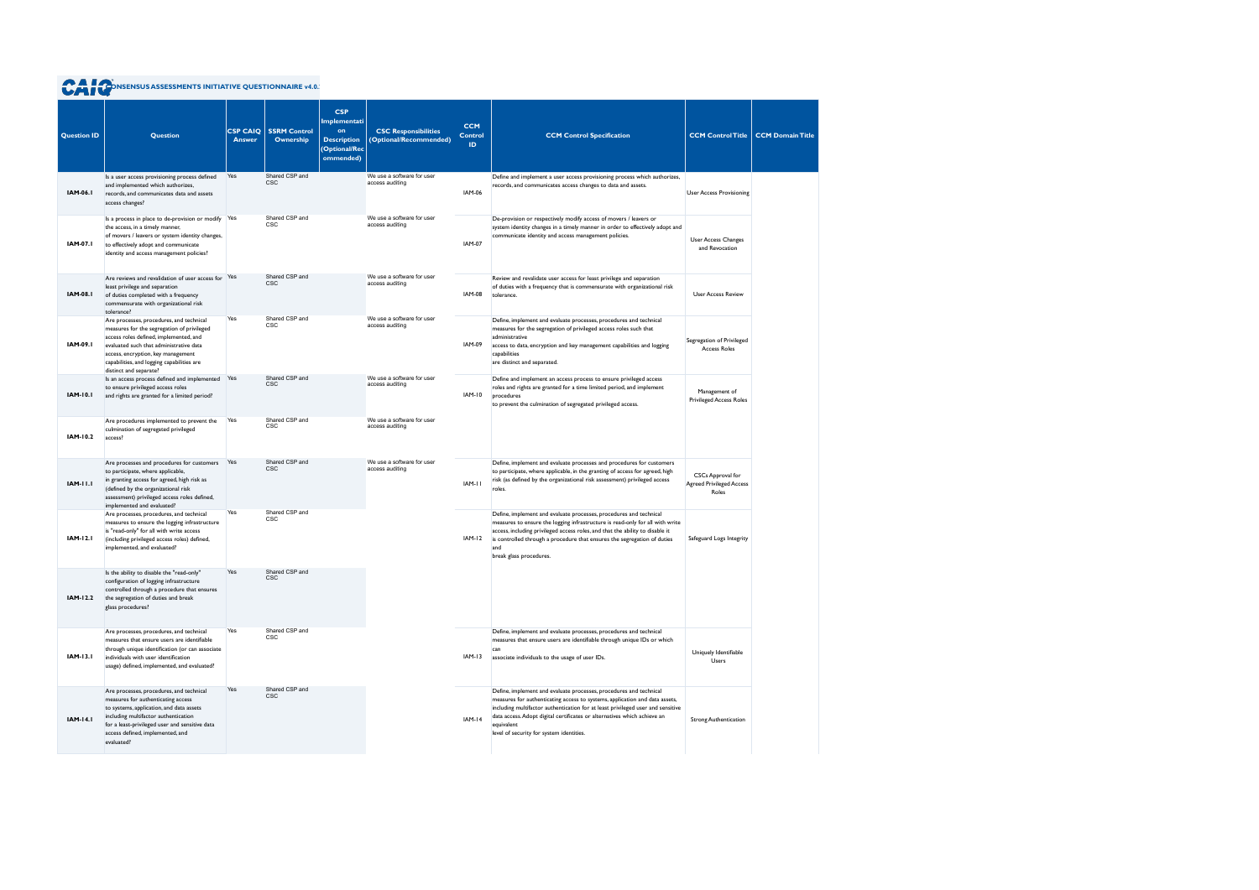| <b>Question ID</b> | <b>Question</b>                                                                                                                                                                                                                                                                           | <b>CSP CAIQ</b><br><b>Answer</b> | <b>SSRM Control</b><br>Ownership | <b>CSP</b><br>Implementati<br>on<br><b>Description</b><br>(Optional/Rec<br>ommended) | <b>CSC Responsibilities</b><br>(Optional/Recommended) | <b>CCM</b><br><b>Control</b><br>ID. | <b>CCM Control Specification</b>                                                                                                                                                                                                                                                                                                                                           | <b>CCM Control Title</b>                                      | <b>CCM Domain Title</b> |
|--------------------|-------------------------------------------------------------------------------------------------------------------------------------------------------------------------------------------------------------------------------------------------------------------------------------------|----------------------------------|----------------------------------|--------------------------------------------------------------------------------------|-------------------------------------------------------|-------------------------------------|----------------------------------------------------------------------------------------------------------------------------------------------------------------------------------------------------------------------------------------------------------------------------------------------------------------------------------------------------------------------------|---------------------------------------------------------------|-------------------------|
| <b>IAM-06.1</b>    | Is a user access provisioning process defined<br>and implemented which authorizes,<br>records, and communicates data and assets<br>access changes?                                                                                                                                        | Yes                              | Shared CSP and<br><b>CSC</b>     |                                                                                      | We use a software for user<br>access auditing         | <b>IAM-06</b>                       | Define and implement a user access provisioning process which authorizes,<br>records, and communicates access changes to data and assets.                                                                                                                                                                                                                                  | <b>User Access Provisioning</b>                               |                         |
| IAM-07.1           | Is a process in place to de-provision or modify Yes<br>the access, in a timely manner,<br>of movers / leavers or system identity changes,<br>to effectively adopt and communicate<br>identity and access management policies?                                                             |                                  | Shared CSP and<br>CSC            |                                                                                      | We use a software for user<br>access auditing         | <b>IAM-07</b>                       | De-provision or respectively modify access of movers / leavers or<br>system identity changes in a timely manner in order to effectively adopt and<br>communicate identity and access management policies.                                                                                                                                                                  | <b>User Access Changes</b><br>and Revocation                  |                         |
| <b>IAM-08.1</b>    | Are reviews and revalidation of user access for Yes<br>least privilege and separation<br>of duties completed with a frequency<br>commensurate with organizational risk<br>tolerance?                                                                                                      |                                  | Shared CSP and<br><b>CSC</b>     |                                                                                      | We use a software for user<br>access auditing         | <b>IAM-08</b>                       | Review and revalidate user access for least privilege and separation<br>of duties with a frequency that is commensurate with organizational risk<br>tolerance.                                                                                                                                                                                                             | <b>User Access Review</b>                                     |                         |
| <b>IAM-09.1</b>    | Are processes, procedures, and technical<br>measures for the segregation of privileged<br>access roles defined, implemented, and<br>evaluated such that administrative data<br>access, encryption, key management<br>capabilities, and logging capabilities are<br>distinct and separate? | Yes                              | Shared CSP and<br><b>CSC</b>     |                                                                                      | We use a software for user<br>access auditing         | <b>IAM-09</b>                       | Define, implement and evaluate processes, procedures and technical<br>measures for the segregation of privileged access roles such that<br>administrative<br>access to data, encryption and key management capabilities and logging<br>capabilities<br>are distinct and separated.                                                                                         | Segregation of Privileged<br><b>Access Roles</b>              |                         |
| <b>IAM-10.1</b>    | Is an access process defined and implemented<br>to ensure privileged access roles<br>and rights are granted for a limited period?                                                                                                                                                         | Yes                              | Shared CSP and<br><b>CSC</b>     |                                                                                      | We use a software for user<br>access auditing         | <b>IAM-10</b>                       | Define and implement an access process to ensure privileged access<br>roles and rights are granted for a time limited period, and implement<br>procedures<br>to prevent the culmination of segregated privileged access.                                                                                                                                                   | Management of<br><b>Privileged Access Roles</b>               |                         |
| IAM-10.2           | Are procedures implemented to prevent the<br>culmination of segregated privileged<br>access?                                                                                                                                                                                              | Yes                              | Shared CSP and<br><b>CSC</b>     |                                                                                      | We use a software for user<br>access auditing         |                                     |                                                                                                                                                                                                                                                                                                                                                                            |                                                               |                         |
| <b>IAM-11.1</b>    | Are processes and procedures for customers<br>to participate, where applicable,<br>in granting access for agreed, high risk as<br>(defined by the organizational risk<br>assessment) privileged access roles defined,<br>implemented and evaluated?                                       | Yes                              | Shared CSP and<br><b>CSC</b>     |                                                                                      | We use a software for user<br>access auditing         | IAM-II                              | Define, implement and evaluate processes and procedures for customers<br>to participate, where applicable, in the granting of access for agreed, high<br>risk (as defined by the organizational risk assessment) privileged access<br>roles.                                                                                                                               | CSCs Approval for<br><b>Agreed Privileged Access</b><br>Roles |                         |
| <b>IAM-12.1</b>    | Are processes, procedures, and technical<br>measures to ensure the logging infrastructure<br>is "read-only" for all with write access<br>(including privileged access roles) defined,<br>implemented, and evaluated?                                                                      | Yes                              | Shared CSP and<br>CSC            |                                                                                      |                                                       | IAM-12                              | Define, implement and evaluate processes, procedures and technical<br>measures to ensure the logging infrastructure is read-only for all with write<br>access, including privileged access roles, and that the ability to disable it<br>is controlled through a procedure that ensures the segregation of duties<br>and<br>break glass procedures.                         | Safeguard Logs Integrity                                      |                         |
| <b>IAM-12.2</b>    | Is the ability to disable the "read-only"<br>configuration of logging infrastructure<br>controlled through a procedure that ensures<br>the segregation of duties and break<br>glass procedures?                                                                                           | Yes                              | Shared CSP and<br>CSC            |                                                                                      |                                                       |                                     |                                                                                                                                                                                                                                                                                                                                                                            |                                                               |                         |
| IAM-13.1           | Are processes, procedures, and technical<br>measures that ensure users are identifiable<br>through unique identification (or can associate<br>individuals with user identification<br>usage) defined, implemented, and evaluated?                                                         | Yes                              | Shared CSP and<br><b>CSC</b>     |                                                                                      |                                                       | $IAM-13$                            | Define, implement and evaluate processes, procedures and technical<br>measures that ensure users are identifiable through unique IDs or which<br>can<br>associate individuals to the usage of user IDs.                                                                                                                                                                    | Uniquely Identifiable<br>Users                                |                         |
| <b>IAM-14.1</b>    | Are processes, procedures, and technical<br>measures for authenticating access<br>to systems, application, and data assets<br>including multifactor authentication<br>for a least-privileged user and sensitive data<br>access defined, implemented, and<br>evaluated?                    | Yes                              | Shared CSP and<br><b>CSC</b>     |                                                                                      |                                                       | $IAM-14$                            | Define, implement and evaluate processes, procedures and technical<br>measures for authenticating access to systems, application and data assets,<br>including multifactor authentication for at least privileged user and sensitive<br>data access. Adopt digital certificates or alternatives which achieve an<br>equivalent<br>level of security for system identities. | <b>Strong Authentication</b>                                  |                         |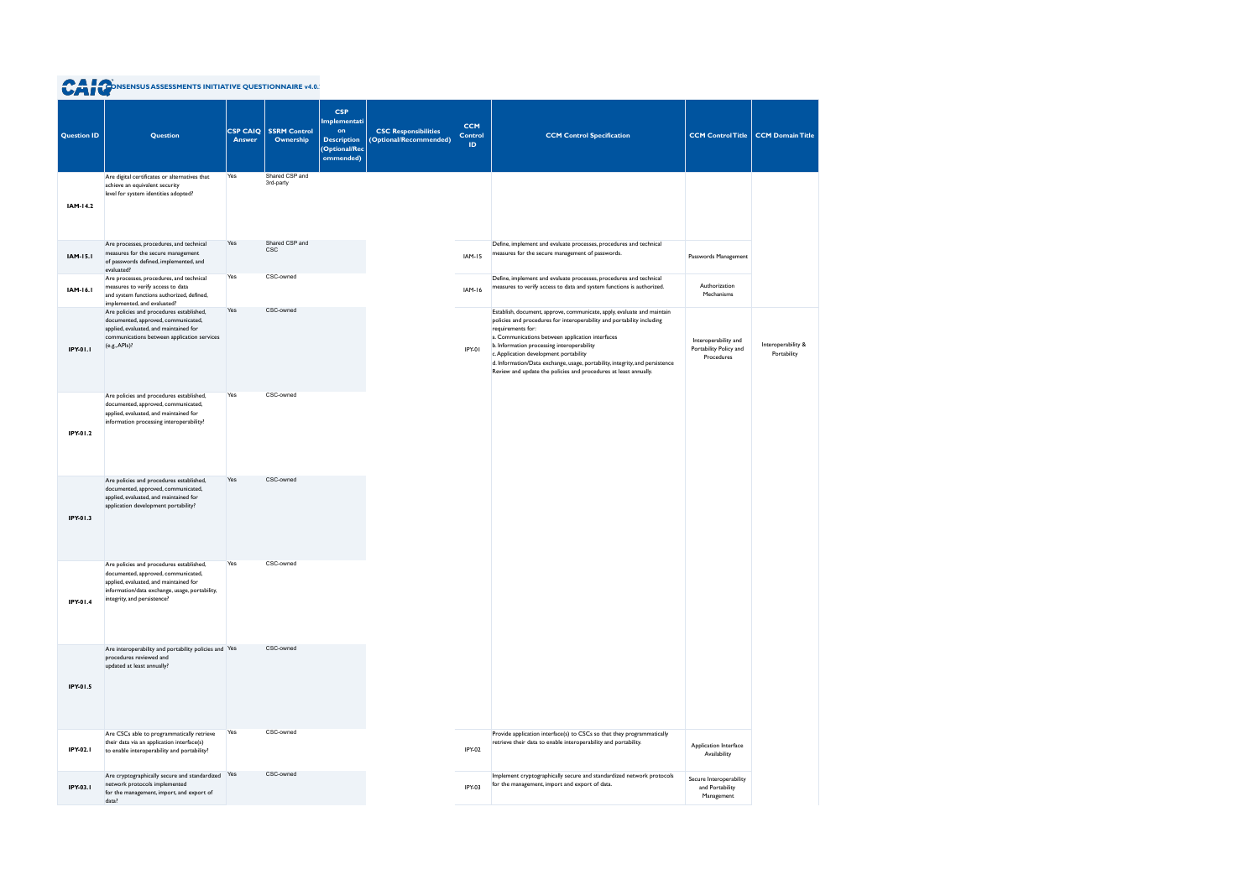|                    | <b>A CONSENSUS ASSESSMENTS INITIATIVE QUESTIONNAIRE v4.0.</b>                                                                                                                                              |                                  |                                  |                                                                                      |                                                       |                                     |                                                                                                                                                                                                                                                                                                                                                                                                                                                                        |                                                              |                                           |
|--------------------|------------------------------------------------------------------------------------------------------------------------------------------------------------------------------------------------------------|----------------------------------|----------------------------------|--------------------------------------------------------------------------------------|-------------------------------------------------------|-------------------------------------|------------------------------------------------------------------------------------------------------------------------------------------------------------------------------------------------------------------------------------------------------------------------------------------------------------------------------------------------------------------------------------------------------------------------------------------------------------------------|--------------------------------------------------------------|-------------------------------------------|
| <b>Question ID</b> | <b>Question</b>                                                                                                                                                                                            | <b>CSP CAIQ</b><br><b>Answer</b> | <b>SSRM Control</b><br>Ownership | <b>CSP</b><br>Implementati<br>on<br><b>Description</b><br>(Optional/Rec<br>ommended) | <b>CSC Responsibilities</b><br>(Optional/Recommended) | <b>CCM</b><br><b>Control</b><br>ID. | <b>CCM Control Specification</b>                                                                                                                                                                                                                                                                                                                                                                                                                                       |                                                              | <b>CCM Control Title CCM Domain Title</b> |
| IAM-14.2           | Are digital certificates or alternatives that<br>achieve an equivalent security<br>level for system identities adopted?                                                                                    | Yes                              | Shared CSP and<br>3rd-party      |                                                                                      |                                                       |                                     |                                                                                                                                                                                                                                                                                                                                                                                                                                                                        |                                                              |                                           |
| <b>IAM-15.1</b>    | Are processes, procedures, and technical<br>measures for the secure management<br>of passwords defined, implemented, and<br>evaluated?                                                                     | Yes                              | Shared CSP and<br>CSC            |                                                                                      |                                                       | <b>IAM-15</b>                       | Define, implement and evaluate processes, procedures and technical<br>measures for the secure management of passwords.                                                                                                                                                                                                                                                                                                                                                 | Passwords Management                                         |                                           |
| IAM-16.1           | Are processes, procedures, and technical<br>measures to verify access to data<br>and system functions authorized, defined,<br>implemented, and evaluated?                                                  | Yes                              | CSC-owned                        |                                                                                      |                                                       | <b>IAM-16</b>                       | Define, implement and evaluate processes, procedures and technical<br>measures to verify access to data and system functions is authorized.                                                                                                                                                                                                                                                                                                                            | Authorization<br>Mechanisms                                  |                                           |
| IPY-01.1           | Are policies and procedures established,<br>documented, approved, communicated,<br>applied, evaluated, and maintained for<br>communications between application services<br>(e.g., APIs)?                  | Yes                              | CSC-owned                        |                                                                                      |                                                       | IPY-01                              | Establish, document, approve, communicate, apply, evaluate and maintain<br>policies and procedures for interoperability and portability including<br>requirements for:<br>a. Communications between application interfaces<br>b. Information processing interoperability<br>c. Application development portability<br>d. Information/Data exchange, usage, portability, integrity, and persistence<br>Review and update the policies and procedures at least annually. | Interoperability and<br>Portability Policy and<br>Procedures | Interoperability &<br>Portability         |
| IPY-01.2           | Are policies and procedures established,<br>documented, approved, communicated,<br>applied, evaluated, and maintained for<br>information processing interoperability?                                      | Yes                              | CSC-owned                        |                                                                                      |                                                       |                                     |                                                                                                                                                                                                                                                                                                                                                                                                                                                                        |                                                              |                                           |
| IPY-01.3           | Are policies and procedures established,<br>documented, approved, communicated,<br>applied, evaluated, and maintained for<br>application development portability?                                          | Yes                              | CSC-owned                        |                                                                                      |                                                       |                                     |                                                                                                                                                                                                                                                                                                                                                                                                                                                                        |                                                              |                                           |
| IPY-01.4           | Are policies and procedures established,<br>documented, approved, communicated,<br>applied, evaluated, and maintained for<br>information/data exchange, usage, portability,<br>integrity, and persistence? | Yes                              | CSC-owned                        |                                                                                      |                                                       |                                     |                                                                                                                                                                                                                                                                                                                                                                                                                                                                        |                                                              |                                           |
| IPY-01.5           | Are interoperability and portability policies and Yes<br>procedures reviewed and<br>updated at least annually?                                                                                             |                                  | CSC-owned                        |                                                                                      |                                                       |                                     |                                                                                                                                                                                                                                                                                                                                                                                                                                                                        |                                                              |                                           |
| IPY-02.1           | Are CSCs able to programmatically retrieve<br>their data via an application interface(s)<br>to enable interoperability and portability?                                                                    | Yes                              | CSC-owned                        |                                                                                      |                                                       | <b>IPY-02</b>                       | Provide application interface(s) to CSCs so that they programmatically<br>retrieve their data to enable interoperability and portability.                                                                                                                                                                                                                                                                                                                              | Application Interface<br>Availability                        |                                           |
| IPY-03.1           | Are cryptographically secure and standardized Yes<br>network protocols implemented<br>for the management, import, and export of<br>data?                                                                   |                                  | CSC-owned                        |                                                                                      |                                                       | IPY-03                              | Implement cryptographically secure and standardized network protocols<br>for the management, import and export of data.                                                                                                                                                                                                                                                                                                                                                | Secure Interoperability<br>and Portability<br>Management     |                                           |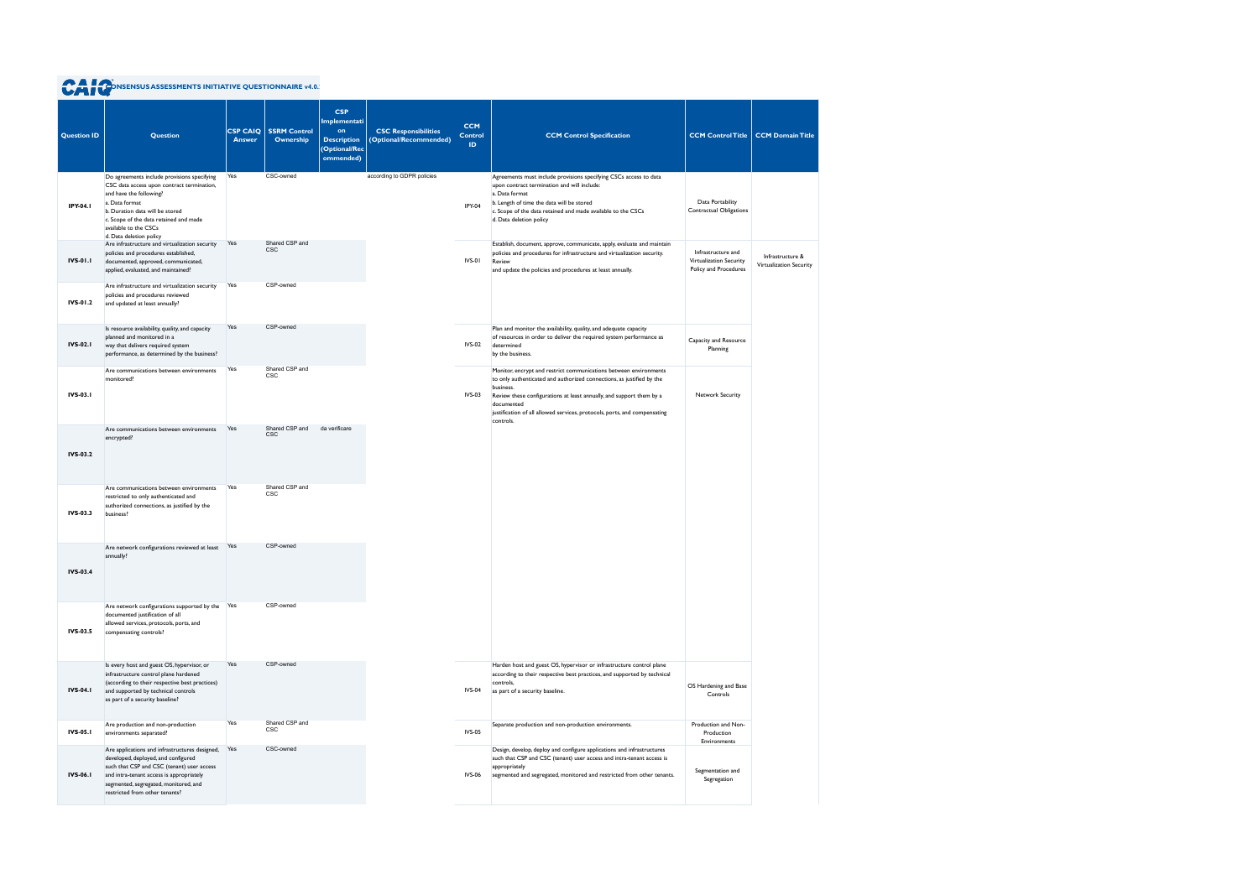| <b>Question ID</b> | <b>Question</b>                                                                                                                                                                                                                                                         | <b>CSP CAIQ</b><br><b>Answer</b> | <b>SSRM Control</b><br>Ownership | <b>CSP</b><br>Implementati<br>on<br><b>Description</b><br>(Optional/Rec<br>ommended) | <b>CSC Responsibilities</b><br>(Optional/Recommended) | <b>CCM</b><br><b>Control</b><br>ID. | <b>CCM Control Specification</b>                                                                                                                                                                                                                                                                                                        | <b>CCM Control Title</b>                                               | <b>CCM Domain Title</b>                     |
|--------------------|-------------------------------------------------------------------------------------------------------------------------------------------------------------------------------------------------------------------------------------------------------------------------|----------------------------------|----------------------------------|--------------------------------------------------------------------------------------|-------------------------------------------------------|-------------------------------------|-----------------------------------------------------------------------------------------------------------------------------------------------------------------------------------------------------------------------------------------------------------------------------------------------------------------------------------------|------------------------------------------------------------------------|---------------------------------------------|
| IPY-04.1           | Do agreements include provisions specifying<br>CSC data access upon contract termination,<br>and have the following?<br>a. Data format<br>b. Duration data will be stored<br>c. Scope of the data retained and made<br>available to the CSCs<br>d. Data deletion policy | Yes                              | CSC-owned                        |                                                                                      | according to GDPR policies                            | IPY-04                              | Agreements must include provisions specifying CSCs access to data<br>upon contract termination and will include:<br>a. Data format<br>b. Length of time the data will be stored<br>c. Scope of the data retained and made available to the CSCs<br>d. Data deletion policy                                                              | Data Portability<br><b>Contractual Obligations</b>                     |                                             |
| <b>IVS-01.1</b>    | Are infrastructure and virtualization security<br>policies and procedures established,<br>documented, approved, communicated,<br>applied, evaluated, and maintained?                                                                                                    | Yes                              | Shared CSP and<br><b>CSC</b>     |                                                                                      |                                                       | IVS-01                              | Establish, document, approve, communicate, apply, evaluate and maintain<br>policies and procedures for infrastructure and virtualization security.<br>Review<br>and update the policies and procedures at least annually.                                                                                                               | Infrastructure and<br>Virtualization Security<br>Policy and Procedures | Infrastructure &<br>Virtualization Security |
| <b>IVS-01.2</b>    | Are infrastructure and virtualization security<br>policies and procedures reviewed<br>and updated at least annually?                                                                                                                                                    | Yes                              | CSP-owned                        |                                                                                      |                                                       |                                     |                                                                                                                                                                                                                                                                                                                                         |                                                                        |                                             |
| <b>IVS-02.1</b>    | Is resource availability, quality, and capacity<br>planned and monitored in a<br>way that delivers required system<br>performance, as determined by the business?                                                                                                       | Yes                              | CSP-owned                        |                                                                                      |                                                       | <b>IVS-02</b>                       | Plan and monitor the availability, quality, and adequate capacity<br>of resources in order to deliver the required system performance as<br>determined<br>by the business.                                                                                                                                                              | Capacity and Resource<br>Planning                                      |                                             |
| IVS-03.1           | Are communications between environments<br>monitored?                                                                                                                                                                                                                   | Yes                              | Shared CSP and<br>CSC            |                                                                                      |                                                       | <b>IVS-03</b>                       | Monitor, encrypt and restrict communications between environments<br>to only authenticated and authorized connections, as justified by the<br>business.<br>Review these configurations at least annually, and support them by a<br>documented<br>justification of all allowed services, protocols, ports, and compensating<br>controls. | Network Security                                                       |                                             |
| <b>IVS-03.2</b>    | Are communications between environments<br>encrypted?                                                                                                                                                                                                                   | Yes                              | Shared CSP and<br><b>CSC</b>     | da verificare                                                                        |                                                       |                                     |                                                                                                                                                                                                                                                                                                                                         |                                                                        |                                             |
| IVS-03.3           | Are communications between environments<br>restricted to only authenticated and<br>authorized connections, as justified by the<br>business?                                                                                                                             | Yes                              | Shared CSP and<br><b>CSC</b>     |                                                                                      |                                                       |                                     |                                                                                                                                                                                                                                                                                                                                         |                                                                        |                                             |
| <b>IVS-03.4</b>    | Are network configurations reviewed at least<br>annually?                                                                                                                                                                                                               | Yes                              | CSP-owned                        |                                                                                      |                                                       |                                     |                                                                                                                                                                                                                                                                                                                                         |                                                                        |                                             |
| IVS-03.5           | Are network configurations supported by the Yes<br>documented justification of all<br>allowed services, protocols, ports, and<br>compensating controls?                                                                                                                 |                                  | CSP-owned                        |                                                                                      |                                                       |                                     |                                                                                                                                                                                                                                                                                                                                         |                                                                        |                                             |
| <b>IVS-04.1</b>    | Is every host and guest OS, hypervisor, or<br>infrastructure control plane hardened<br>(according to their respective best practices)<br>and supported by technical controls<br>as part of a security baseline?                                                         | Yes                              | CSP-owned                        |                                                                                      |                                                       | IVS-04                              | Harden host and guest OS, hypervisor or infrastructure control plane<br>according to their respective best practices, and supported by technical<br>controls,<br>as part of a security baseline.                                                                                                                                        | OS Hardening and Base<br>Controls                                      |                                             |
| IVS-05.1           | Are production and non-production<br>environments separated?                                                                                                                                                                                                            | Yes                              | Shared CSP and<br>CSC            |                                                                                      |                                                       | <b>IVS-05</b>                       | Separate production and non-production environments.                                                                                                                                                                                                                                                                                    | Production and Non-<br>Production                                      |                                             |
| <b>IVS-06.1</b>    | Are applications and infrastructures designed,<br>developed, deployed, and configured<br>such that CSP and CSC (tenant) user access<br>and intra-tenant access is appropriately<br>segmented, segregated, monitored, and<br>restricted from other tenants?              | Yes                              | CSC-owned                        |                                                                                      |                                                       | IVS-06                              | Design, develop, deploy and configure applications and infrastructures<br>such that CSP and CSC (tenant) user access and intra-tenant access is<br>appropriately<br>segmented and segregated, monitored and restricted from other tenants.                                                                                              | Environments<br>Segmentation and<br>Segregation                        |                                             |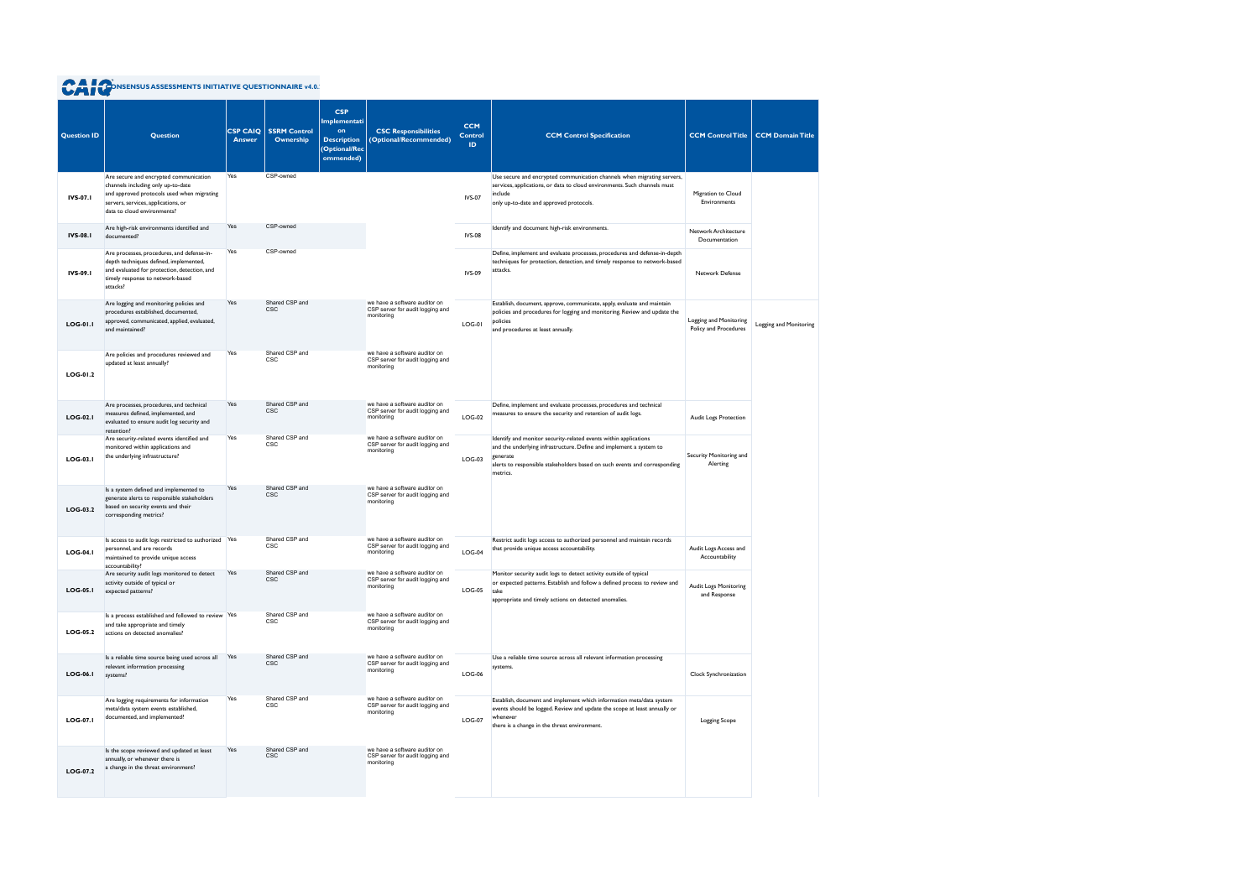| <b>Question ID</b> | Question                                                                                                                                                                                         | <b>CSP CAIQ</b><br><b>Answer</b> | <b>SSRM Control</b><br>Ownership | <b>CSP</b><br><b>Implementati</b><br>on<br><b>Description</b><br>(Optional/Rec<br>ommended) | <b>CSC Responsibilities</b><br>(Optional/Recommended)                           | <b>CCM</b><br><b>Control</b><br><b>ID</b> | <b>CCM Control Specification</b>                                                                                                                                                                                                             | <b>CCM Control Title</b>                        | <b>CCM Domain Title</b> |
|--------------------|--------------------------------------------------------------------------------------------------------------------------------------------------------------------------------------------------|----------------------------------|----------------------------------|---------------------------------------------------------------------------------------------|---------------------------------------------------------------------------------|-------------------------------------------|----------------------------------------------------------------------------------------------------------------------------------------------------------------------------------------------------------------------------------------------|-------------------------------------------------|-------------------------|
| <b>IVS-07.1</b>    | Are secure and encrypted communication<br>channels including only up-to-date<br>and approved protocols used when migrating<br>servers, services, applications, or<br>data to cloud environments? | Yes                              | CSP-owned                        |                                                                                             |                                                                                 | <b>IVS-07</b>                             | Use secure and encrypted communication channels when migrating servers,<br>services, applications, or data to cloud environments. Such channels must<br>include<br>only up-to-date and approved protocols.                                   | Migration to Cloud<br>Environments              |                         |
| <b>IVS-08.1</b>    | Are high-risk environments identified and<br>documented?                                                                                                                                         | Yes                              | CSP-owned                        |                                                                                             |                                                                                 | <b>IVS-08</b>                             | Identify and document high-risk environments.                                                                                                                                                                                                | Network Architecture<br>Documentation           |                         |
| IVS-09.1           | Are processes, procedures, and defense-in-<br>depth techniques defined, implemented,<br>and evaluated for protection, detection, and<br>timely response to network-based<br>attacks?             | Yes                              | CSP-owned                        |                                                                                             |                                                                                 | <b>IVS-09</b>                             | Define, implement and evaluate processes, procedures and defense-in-depth<br>techniques for protection, detection, and timely response to network-based<br>attacks.                                                                          | Network Defense                                 |                         |
| <b>LOG-01.1</b>    | Are logging and monitoring policies and<br>procedures established, documented,<br>approved, communicated, applied, evaluated,<br>and maintained?                                                 | Yes                              | Shared CSP and<br><b>CSC</b>     |                                                                                             | we have a software auditor on<br>CSP server for audit logging and<br>monitoring | <b>LOG-01</b>                             | Establish, document, approve, communicate, apply, evaluate and maintain<br>policies and procedures for logging and monitoring. Review and update the<br>policies<br>and procedures at least annually.                                        | Logging and Monitoring<br>Policy and Procedures | Logging and Monitoring  |
| LOG-01.2           | Are policies and procedures reviewed and<br>updated at least annually?                                                                                                                           | Yes                              | Shared CSP and<br>CSC            |                                                                                             | we have a software auditor on<br>CSP server for audit logging and<br>monitoring |                                           |                                                                                                                                                                                                                                              |                                                 |                         |
| <b>LOG-02.1</b>    | Are processes, procedures, and technical<br>measures defined, implemented, and<br>evaluated to ensure audit log security and<br>retention?                                                       | Yes                              | Shared CSP and<br><b>CSC</b>     |                                                                                             | we have a software auditor on<br>CSP server for audit logging and<br>monitoring | $LOG-02$                                  | Define, implement and evaluate processes, procedures and technical<br>measures to ensure the security and retention of audit logs.                                                                                                           | Audit Logs Protection                           |                         |
| LOG-03.1           | Are security-related events identified and<br>monitored within applications and<br>the underlying infrastructure?                                                                                | Yes                              | Shared CSP and<br><b>CSC</b>     |                                                                                             | we have a software auditor on<br>CSP server for audit logging and<br>monitoring | $LOG-03$                                  | Identify and monitor security-related events within applications<br>and the underlying infrastructure. Define and implement a system to<br>generate<br>alerts to responsible stakeholders based on such events and corresponding<br>metrics. | Security Monitoring and<br>Alerting             |                         |
| LOG-03.2           | Is a system defined and implemented to<br>generate alerts to responsible stakeholders<br>based on security events and their<br>corresponding metrics?                                            | Yes                              | Shared CSP and<br><b>CSC</b>     |                                                                                             | we have a software auditor on<br>CSP server for audit logging and<br>monitoring |                                           |                                                                                                                                                                                                                                              |                                                 |                         |
| $LOG-04.1$         | Is access to audit logs restricted to authorized Yes<br>personnel, and are records<br>maintained to provide unique access<br>accountability?                                                     |                                  | Shared CSP and<br><b>CSC</b>     |                                                                                             | we have a software auditor on<br>CSP server for audit logging and<br>monitoring | $LOG-04$                                  | Restrict audit logs access to authorized personnel and maintain records<br>that provide unique access accountability.                                                                                                                        | Audit Logs Access and<br>Accountability         |                         |
| $LOG-05.1$         | Are security audit logs monitored to detect<br>activity outside of typical or<br>expected patterns?                                                                                              | Yes                              | Shared CSP and<br><b>CSC</b>     |                                                                                             | we have a software auditor on<br>CSP server for audit logging and<br>monitoring | $LOG-05$                                  | Monitor security audit logs to detect activity outside of typical<br>or expected patterns. Establish and follow a defined process to review and<br>take<br>appropriate and timely actions on detected anomalies.                             | Audit Logs Monitoring<br>and Response           |                         |
| <b>LOG-05.2</b>    | Is a process established and followed to review Yes<br>and take appropriate and timely<br>actions on detected anomalies?                                                                         |                                  | Shared CSP and<br><b>CSC</b>     |                                                                                             | we have a software auditor on<br>CSP server for audit logging and<br>monitoring |                                           |                                                                                                                                                                                                                                              |                                                 |                         |
| $LOG-06.1$         | Is a reliable time source being used across all<br>relevant information processing<br>systems?                                                                                                   | Yes                              | Shared CSP and<br><b>CSC</b>     |                                                                                             | we have a software auditor on<br>CSP server for audit logging and<br>monitoring | $LOG-06$                                  | Use a reliable time source across all relevant information processing<br>systems.                                                                                                                                                            | Clock Synchronization                           |                         |
| <b>LOG-07.1</b>    | Are logging requirements for information<br>meta/data system events established,<br>documented, and implemented?                                                                                 | Yes                              | Shared CSP and<br>CSC            |                                                                                             | we have a software auditor on<br>CSP server for audit logging and<br>monitoring | $LOG-07$                                  | Establish, document and implement which information meta/data system<br>events should be logged. Review and update the scope at least annually or<br>whenever<br>there is a change in the threat environment.                                | Logging Scope                                   |                         |
| LOG-07.2           | Is the scope reviewed and updated at least<br>annually, or whenever there is<br>a change in the threat environment?                                                                              | Yes                              | Shared CSP and<br><b>CSC</b>     |                                                                                             | we have a software auditor on<br>CSP server for audit logging and<br>monitoring |                                           |                                                                                                                                                                                                                                              |                                                 |                         |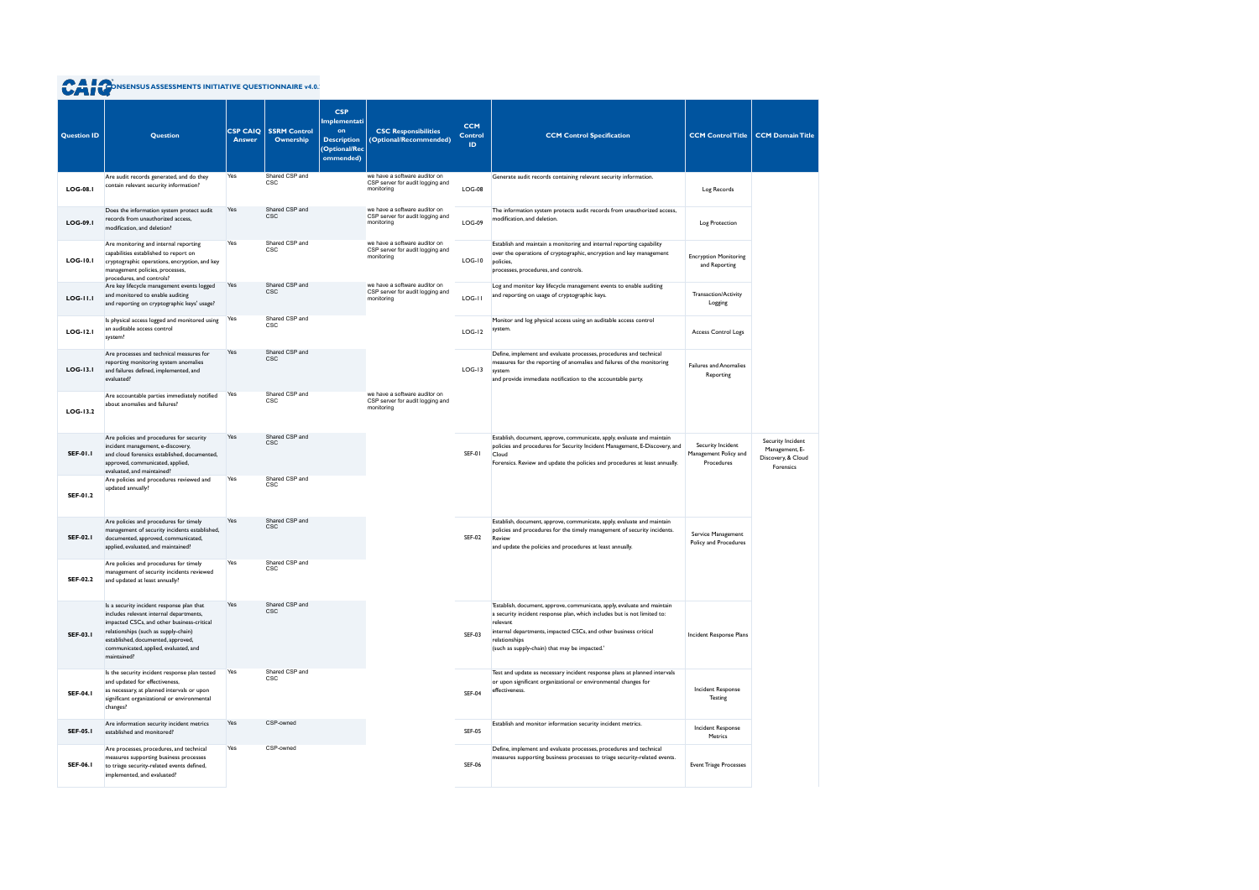| <b>Question ID</b> | <b>Question</b>                                                                                                                                                                                                                                                          | <b>CSP CAIQ</b><br><b>Answer</b> | <b>SSRM Control</b><br>Ownership | <b>CSP</b><br><b>Implementati</b><br>on<br><b>Description</b><br>(Optional/Rec<br>ommended) | <b>CSC Responsibilities</b><br>(Optional/Recommended)                           | <b>CCM</b><br><b>Control</b><br>ID. | <b>CCM Control Specification</b>                                                                                                                                                                                                                                                                       | <b>CCM Control Title</b>                                 | <b>CCM Domain Title</b>                                                |
|--------------------|--------------------------------------------------------------------------------------------------------------------------------------------------------------------------------------------------------------------------------------------------------------------------|----------------------------------|----------------------------------|---------------------------------------------------------------------------------------------|---------------------------------------------------------------------------------|-------------------------------------|--------------------------------------------------------------------------------------------------------------------------------------------------------------------------------------------------------------------------------------------------------------------------------------------------------|----------------------------------------------------------|------------------------------------------------------------------------|
| <b>LOG-08.1</b>    | Are audit records generated, and do they<br>contain relevant security information?                                                                                                                                                                                       | Yes                              | Shared CSP and<br><b>CSC</b>     |                                                                                             | we have a software auditor on<br>CSP server for audit logging and<br>monitoring | $LOG-08$                            | Generate audit records containing relevant security information.                                                                                                                                                                                                                                       | Log Records                                              |                                                                        |
| <b>LOG-09.1</b>    | Does the information system protect audit<br>records from unauthorized access,<br>modification, and deletion?                                                                                                                                                            | Yes                              | Shared CSP and<br><b>CSC</b>     |                                                                                             | we have a software auditor on<br>CSP server for audit logging and<br>monitoring | <b>LOG-09</b>                       | The information system protects audit records from unauthorized access,<br>modification, and deletion.                                                                                                                                                                                                 | Log Protection                                           |                                                                        |
| <b>LOG-10.1</b>    | Are monitoring and internal reporting<br>capabilities established to report on<br>cryptographic operations, encryption, and key<br>management policies, processes,<br>procedures, and controls?                                                                          | Yes                              | Shared CSP and<br><b>CSC</b>     |                                                                                             | we have a software auditor on<br>CSP server for audit logging and<br>monitoring | $LOG-10$                            | Establish and maintain a monitoring and internal reporting capability<br>over the operations of cryptographic, encryption and key management<br>policies,<br>processes, procedures, and controls.                                                                                                      | <b>Encryption Monitoring</b><br>and Reporting            |                                                                        |
| <b>LOG-11.1</b>    | Are key lifecycle management events logged<br>and monitored to enable auditing<br>and reporting on cryptographic keys' usage?                                                                                                                                            | Yes                              | Shared CSP and<br><b>CSC</b>     |                                                                                             | we have a software auditor on<br>CSP server for audit logging and<br>monitoring | LOG-II                              | Log and monitor key lifecycle management events to enable auditing<br>and reporting on usage of cryptographic keys.                                                                                                                                                                                    | Transaction/Activity<br>Logging                          |                                                                        |
| <b>LOG-12.1</b>    | Is physical access logged and monitored using<br>an auditable access control<br>system?                                                                                                                                                                                  | Yes                              | Shared CSP and<br><b>CSC</b>     |                                                                                             |                                                                                 | $LOG-12$                            | Monitor and log physical access using an auditable access control<br>system.                                                                                                                                                                                                                           | <b>Access Control Logs</b>                               |                                                                        |
| $LOG-13.1$         | Are processes and technical measures for<br>reporting monitoring system anomalies<br>and failures defined, implemented, and<br>evaluated?                                                                                                                                | Yes                              | Shared CSP and<br><b>CSC</b>     |                                                                                             |                                                                                 | $LOG-13$                            | Define, implement and evaluate processes, procedures and technical<br>measures for the reporting of anomalies and failures of the monitoring<br>system<br>and provide immediate notification to the accountable party.                                                                                 | <b>Failures and Anomalies</b><br>Reporting               |                                                                        |
| $LOG-13.2$         | Are accountable parties immediately notified<br>about anomalies and failures?                                                                                                                                                                                            | Yes                              | Shared CSP and<br><b>CSC</b>     |                                                                                             | we have a software auditor on<br>CSP server for audit logging and<br>monitoring |                                     |                                                                                                                                                                                                                                                                                                        |                                                          |                                                                        |
| <b>SEF-01.1</b>    | Are policies and procedures for security<br>incident management, e-discovery,<br>and cloud forensics established, documented,<br>approved, communicated, applied,<br>evaluated, and maintained?                                                                          | Yes                              | Shared CSP and<br><b>CSC</b>     |                                                                                             |                                                                                 | SEF-01                              | Establish, document, approve, communicate, apply, evaluate and maintain<br>policies and procedures for Security Incident Management, E-Discovery, and<br>Cloud<br>Forensics. Review and update the policies and procedures at least annually.                                                          | Security Incident<br>Management Policy and<br>Procedures | Security Incident<br>Management, E-<br>Discovery, & Cloud<br>Forensics |
| SEF-01.2           | Are policies and procedures reviewed and<br>updated annually?                                                                                                                                                                                                            | Yes                              | Shared CSP and<br><b>CSC</b>     |                                                                                             |                                                                                 |                                     |                                                                                                                                                                                                                                                                                                        |                                                          |                                                                        |
| <b>SEF-02.1</b>    | Are policies and procedures for timely<br>management of security incidents established,<br>documented, approved, communicated,<br>applied, evaluated, and maintained?                                                                                                    | Yes                              | Shared CSP and<br><b>CSC</b>     |                                                                                             |                                                                                 | <b>SEF-02</b>                       | Establish, document, approve, communicate, apply, evaluate and maintain<br>policies and procedures for the timely management of security incidents.<br>Review<br>and update the policies and procedures at least annually.                                                                             | Service Management<br>Policy and Procedures              |                                                                        |
| <b>SEF-02.2</b>    | Are policies and procedures for timely<br>management of security incidents reviewed<br>and updated at least annually?                                                                                                                                                    | Yes                              | Shared CSP and                   |                                                                                             |                                                                                 |                                     |                                                                                                                                                                                                                                                                                                        |                                                          |                                                                        |
| <b>SEF-03.1</b>    | Is a security incident response plan that<br>includes relevant internal departments,<br>impacted CSCs, and other business-critical<br>relationships (such as supply-chain)<br>established, documented, approved,<br>communicated, applied, evaluated, and<br>maintained? | Yes                              | Shared CSP and<br><b>CSC</b>     |                                                                                             |                                                                                 | <b>SEF-03</b>                       | 'Establish, document, approve, communicate, apply, evaluate and maintain<br>a security incident response plan, which includes but is not limited to:<br>relevant<br>internal departments, impacted CSCs, and other business critical<br>relationships<br>(such as supply-chain) that may be impacted.' | Incident Response Plans                                  |                                                                        |
| <b>SEF-04.1</b>    | Is the security incident response plan tested<br>and updated for effectiveness,<br>as necessary, at planned intervals or upon<br>significant organizational or environmental<br>changes?                                                                                 | Yes                              | Shared CSP and<br><b>CSC</b>     |                                                                                             |                                                                                 | <b>SEF-04</b>                       | Test and update as necessary incident response plans at planned intervals<br>or upon significant organizational or environmental changes for<br>effectiveness.                                                                                                                                         | Incident Response<br>Testing                             |                                                                        |
| <b>SEF-05.1</b>    | Are information security incident metrics<br>established and monitored?                                                                                                                                                                                                  | Yes                              | CSP-owned                        |                                                                                             |                                                                                 | <b>SEF-05</b>                       | Establish and monitor information security incident metrics.                                                                                                                                                                                                                                           | Incident Response<br>Metrics                             |                                                                        |
| <b>SEF-06.1</b>    | Are processes, procedures, and technical<br>measures supporting business processes<br>to triage security-related events defined,<br>implemented, and evaluated?                                                                                                          | Yes                              | CSP-owned                        |                                                                                             |                                                                                 | <b>SEF-06</b>                       | Define, implement and evaluate processes, procedures and technical<br>measures supporting business processes to triage security-related events.                                                                                                                                                        | <b>Event Triage Processes</b>                            |                                                                        |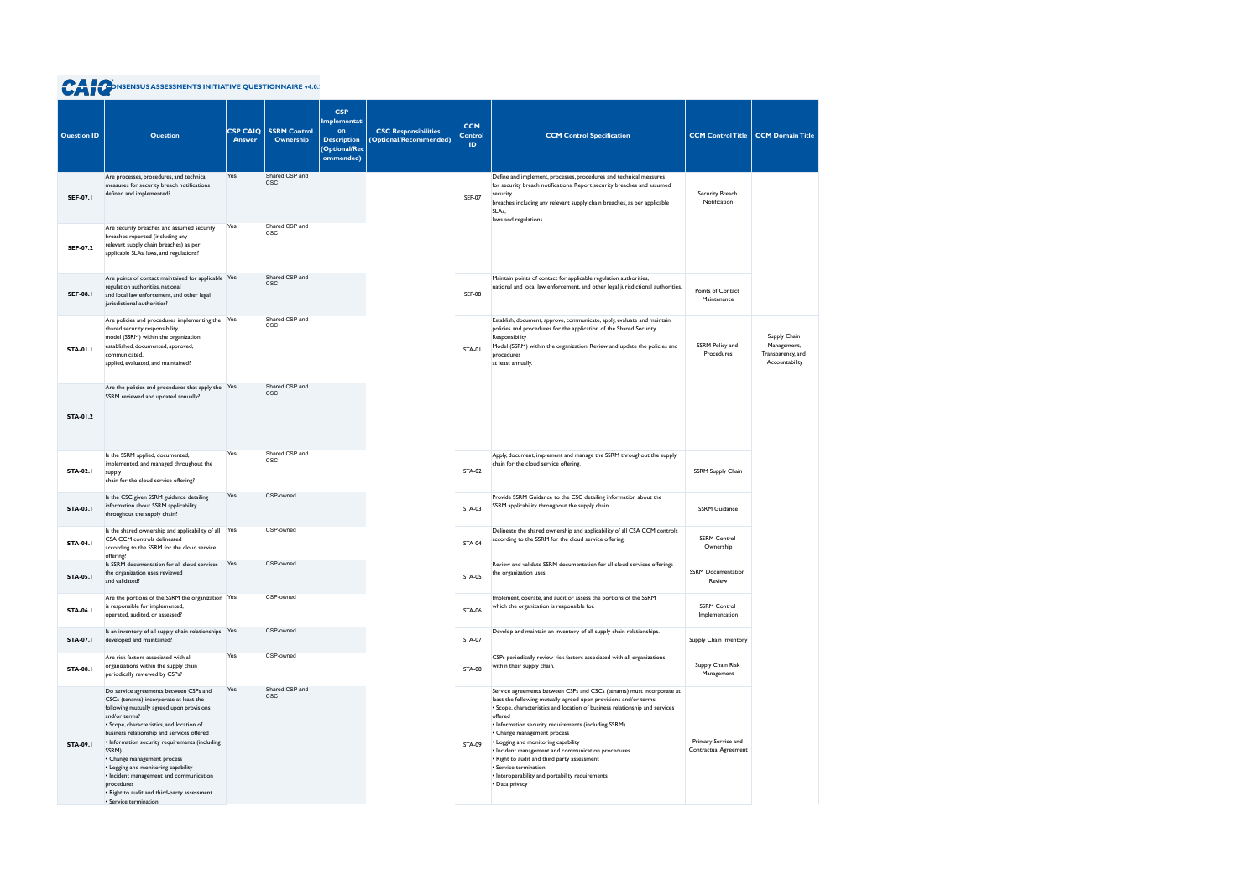| <b>Question ID</b> | Question                                                                                                                                                                                                                                                                                                                                                                                                                                                                                                     | <b>CSP CAIQ</b><br><b>Answer</b> | <b>SSRM Control</b><br>Ownership | <b>CSP</b><br>Implementati<br>on<br><b>Description</b><br>(Optional/Rec<br>ommended) | <b>CSC Responsibilities</b><br>(Optional/Recommended) | <b>CCM</b><br><b>Control</b><br>ID. | <b>CCM Control Specification</b>                                                                                                                                                                                                                                                                                                                                                                                                                                                                                                                                       | <b>CCM Control Title</b>                     | <b>CCM Domain Title</b>                                            |
|--------------------|--------------------------------------------------------------------------------------------------------------------------------------------------------------------------------------------------------------------------------------------------------------------------------------------------------------------------------------------------------------------------------------------------------------------------------------------------------------------------------------------------------------|----------------------------------|----------------------------------|--------------------------------------------------------------------------------------|-------------------------------------------------------|-------------------------------------|------------------------------------------------------------------------------------------------------------------------------------------------------------------------------------------------------------------------------------------------------------------------------------------------------------------------------------------------------------------------------------------------------------------------------------------------------------------------------------------------------------------------------------------------------------------------|----------------------------------------------|--------------------------------------------------------------------|
| <b>SEF-07.1</b>    | Are processes, procedures, and technical<br>measures for security breach notifications<br>defined and implemented?                                                                                                                                                                                                                                                                                                                                                                                           | Yes                              | Shared CSP and<br><b>CSC</b>     |                                                                                      |                                                       | <b>SEF-07</b>                       | Define and implement, processes, procedures and technical measures<br>for security breach notifications. Report security breaches and assumed<br>security<br>breaches including any relevant supply chain breaches, as per applicable<br>SLAs,<br>laws and regulations.                                                                                                                                                                                                                                                                                                | Security Breach<br>Notification              |                                                                    |
| <b>SEF-07.2</b>    | Are security breaches and assumed security<br>breaches reported (including any<br>relevant supply chain breaches) as per<br>applicable SLAs, laws, and regulations?                                                                                                                                                                                                                                                                                                                                          | Yes                              | Shared CSP and<br>CSC            |                                                                                      |                                                       |                                     |                                                                                                                                                                                                                                                                                                                                                                                                                                                                                                                                                                        |                                              |                                                                    |
| <b>SEF-08.1</b>    | Are points of contact maintained for applicable<br>regulation authorities, national<br>and local law enforcement, and other legal<br>jurisdictional authorities?                                                                                                                                                                                                                                                                                                                                             | Yes                              | Shared CSP and<br><b>CSC</b>     |                                                                                      |                                                       | <b>SEF-08</b>                       | Maintain points of contact for applicable regulation authorities,<br>national and local law enforcement, and other legal jurisdictional authorities.                                                                                                                                                                                                                                                                                                                                                                                                                   | Points of Contact<br>Maintenance             |                                                                    |
| <b>STA-01.1</b>    | Are policies and procedures implementing the Yes<br>shared security responsibility<br>model (SSRM) within the organization<br>established, documented, approved,<br>communicated.<br>applied, evaluated, and maintained?                                                                                                                                                                                                                                                                                     |                                  | Shared CSP and<br><b>CSC</b>     |                                                                                      |                                                       | STA-01                              | Establish, document, approve, communicate, apply, evaluate and maintain<br>policies and procedures for the application of the Shared Security<br>Responsibility<br>Model (SSRM) within the organization. Review and update the policies and<br>procedures<br>at least annually.                                                                                                                                                                                                                                                                                        | SSRM Policy and<br>Procedures                | Supply Chain<br>Management,<br>Transparency, and<br>Accountability |
| <b>STA-01.2</b>    | Are the policies and procedures that apply the Yes<br>SSRM reviewed and updated annually?                                                                                                                                                                                                                                                                                                                                                                                                                    |                                  | Shared CSP and<br><b>CSC</b>     |                                                                                      |                                                       |                                     |                                                                                                                                                                                                                                                                                                                                                                                                                                                                                                                                                                        |                                              |                                                                    |
| <b>STA-02.1</b>    | Is the SSRM applied, documented,<br>implemented, and managed throughout the<br>supply<br>chain for the cloud service offering?                                                                                                                                                                                                                                                                                                                                                                               | Yes                              | Shared CSP and<br><b>CSC</b>     |                                                                                      |                                                       | <b>STA-02</b>                       | Apply, document, implement and manage the SSRM throughout the supply<br>chain for the cloud service offering.                                                                                                                                                                                                                                                                                                                                                                                                                                                          | <b>SSRM Supply Chain</b>                     |                                                                    |
| <b>STA-03.1</b>    | Is the CSC given SSRM guidance detailing<br>information about SSRM applicability<br>throughout the supply chain?                                                                                                                                                                                                                                                                                                                                                                                             | Yes                              | CSP-owned                        |                                                                                      |                                                       | <b>STA-03</b>                       | Provide SSRM Guidance to the CSC detailing information about the<br>SSRM applicability throughout the supply chain.                                                                                                                                                                                                                                                                                                                                                                                                                                                    | <b>SSRM Guidance</b>                         |                                                                    |
| <b>STA-04.1</b>    | Is the shared ownership and applicability of all<br>CSA CCM controls delineated<br>according to the SSRM for the cloud service<br>offering?                                                                                                                                                                                                                                                                                                                                                                  | Yes                              | CSP-owned                        |                                                                                      |                                                       | <b>STA-04</b>                       | Delineate the shared ownership and applicability of all CSA CCM controls<br>according to the SSRM for the cloud service offering.                                                                                                                                                                                                                                                                                                                                                                                                                                      | <b>SSRM Control</b><br>Ownership             |                                                                    |
| <b>STA-05.1</b>    | Is SSRM documentation for all cloud services<br>the organization uses reviewed<br>and validated?                                                                                                                                                                                                                                                                                                                                                                                                             | Yes                              | CSP-owned                        |                                                                                      |                                                       | <b>STA-05</b>                       | Review and validate SSRM documentation for all cloud services offerings<br>the organization uses.                                                                                                                                                                                                                                                                                                                                                                                                                                                                      | <b>SSRM Documentation</b><br>Review          |                                                                    |
| <b>STA-06.1</b>    | Are the portions of the SSRM the organization Yes<br>is responsible for implemented,<br>operated, audited, or assessed?                                                                                                                                                                                                                                                                                                                                                                                      |                                  | CSP-owned                        |                                                                                      |                                                       | <b>STA-06</b>                       | Implement, operate, and audit or assess the portions of the SSRM<br>which the organization is responsible for.                                                                                                                                                                                                                                                                                                                                                                                                                                                         | <b>SSRM Control</b><br>Implementation        |                                                                    |
| <b>STA-07.1</b>    | Is an inventory of all supply chain relationships Yes<br>developed and maintained?                                                                                                                                                                                                                                                                                                                                                                                                                           |                                  | CSP-owned                        |                                                                                      |                                                       | <b>STA-07</b>                       | Develop and maintain an inventory of all supply chain relationships.                                                                                                                                                                                                                                                                                                                                                                                                                                                                                                   | Supply Chain Inventory                       |                                                                    |
| <b>STA-08.1</b>    | Are risk factors associated with all<br>organizations within the supply chain<br>periodically reviewed by CSPs?                                                                                                                                                                                                                                                                                                                                                                                              | Yes                              | CSP-owned                        |                                                                                      |                                                       | <b>STA-08</b>                       | CSPs periodically review risk factors associated with all organizations<br>within their supply chain.                                                                                                                                                                                                                                                                                                                                                                                                                                                                  | Supply Chain Risk<br>Management              |                                                                    |
| <b>STA-09.1</b>    | Do service agreements between CSPs and<br>CSCs (tenants) incorporate at least the<br>following mutually agreed upon provisions<br>and/or terms?<br>• Scope, characteristics, and location of<br>business relationship and services offered<br>• Information security requirements (including<br>SSRM)<br>• Change management process<br>• Logging and monitoring capability<br>• Incident management and communication<br>procedures<br>• Right to audit and third-party assessment<br>• Service termination | Yes                              | Shared CSP and<br><b>CSC</b>     |                                                                                      |                                                       | STA-09                              | Service agreements between CSPs and CSCs (tenants) must incorporate at<br>least the following mutually-agreed upon provisions and/or terms:<br>• Scope, characteristics and location of business relationship and services<br>offered<br>• Information security requirements (including SSRM)<br>• Change management process<br>• Logging and monitoring capability<br>• Incident management and communication procedures<br>• Right to audit and third party assessment<br>• Service termination<br>• Interoperability and portability requirements<br>• Data privacy | Primary Service and<br>Contractual Agreement |                                                                    |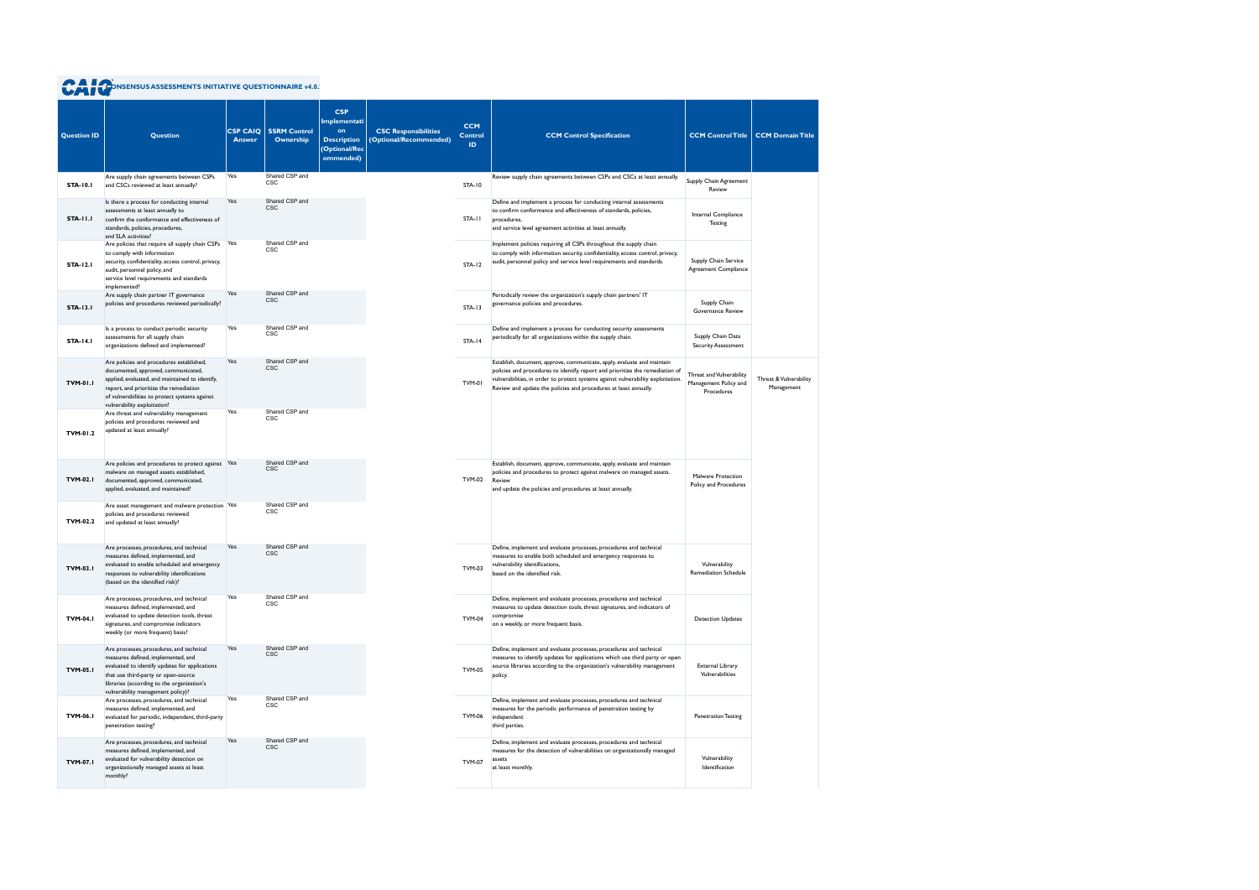| <b>Question ID</b> | <b>Question</b>                                                                                                                                                                                                                                              | <b>CSP CAIQ</b><br><b>Answer</b> | <b>SSRM Control</b><br>Ownership | <b>CSP</b><br>Implementati<br>on<br><b>Description</b><br>(Optional/Rec<br>ommended) | <b>CSC Responsibilities</b><br>(Optional/Recommended) | <b>CCM</b><br><b>Control</b><br>ID. | <b>CCM Control Specification</b>                                                                                                                                                                                                                                                                                 | <b>CCM Control Title</b>                                        | <b>CCM Domain Title</b>              |
|--------------------|--------------------------------------------------------------------------------------------------------------------------------------------------------------------------------------------------------------------------------------------------------------|----------------------------------|----------------------------------|--------------------------------------------------------------------------------------|-------------------------------------------------------|-------------------------------------|------------------------------------------------------------------------------------------------------------------------------------------------------------------------------------------------------------------------------------------------------------------------------------------------------------------|-----------------------------------------------------------------|--------------------------------------|
| <b>STA-10.1</b>    | Are supply chain agreements between CSPs<br>and CSCs reviewed at least annually?                                                                                                                                                                             | Yes                              | Shared CSP and<br><b>CSC</b>     |                                                                                      |                                                       | <b>STA-10</b>                       | Review supply chain agreements between CSPs and CSCs at least annually.                                                                                                                                                                                                                                          | Supply Chain Agreement<br>Review                                |                                      |
| <b>STA-11.1</b>    | Is there a process for conducting internal<br>assessments at least annually to<br>confirm the conformance and effectiveness of<br>standards, policies, procedures,<br>and SLA activities?                                                                    | Yes                              | Shared CSP and<br><b>CSC</b>     |                                                                                      |                                                       | STA-11                              | Define and implement a process for conducting internal assessments<br>to confirm conformance and effectiveness of standards, policies,<br>procedures,<br>and service level agreement activities at least annually.                                                                                               | Internal Compliance<br>Testing                                  |                                      |
| <b>STA-12.1</b>    | Are policies that require all supply chain CSPs<br>to comply with information<br>security, confidentiality, access control, privacy,<br>audit, personnel policy, and<br>service level requirements and standards<br>implemented?                             | Yes                              | Shared CSP and<br>CSC            |                                                                                      |                                                       | STA-12                              | Implement policies requiring all CSPs throughout the supply chain<br>to comply with information security, confidentiality, access control, privacy,<br>audit, personnel policy and service level requirements and standards.                                                                                     | Supply Chain Service<br>Agreement Compliance                    |                                      |
| <b>STA-13.1</b>    | Are supply chain partner IT governance<br>policies and procedures reviewed periodically?                                                                                                                                                                     | Yes                              | Shared CSP and<br><b>CSC</b>     |                                                                                      |                                                       | <b>STA-13</b>                       | Periodically review the organization's supply chain partners' IT<br>governance policies and procedures.                                                                                                                                                                                                          | Supply Chain<br>Governance Review                               |                                      |
| <b>STA-14.1</b>    | Is a process to conduct periodic security<br>assessments for all supply chain<br>organizations defined and implemented?                                                                                                                                      | Yes                              | Shared CSP and<br>CSC            |                                                                                      |                                                       | <b>STA-14</b>                       | Define and implement a process for conducting security assessments<br>periodically for all organizations within the supply chain.                                                                                                                                                                                | Supply Chain Data<br>Security Assessment                        |                                      |
| <b>TVM-01.1</b>    | Are policies and procedures established,<br>documented, approved, communicated,<br>applied, evaluated, and maintained to identify,<br>report, and prioritize the remediation<br>of vulnerabilities to protect systems against<br>vulnerability exploitation? | Yes                              | Shared CSP and<br><b>CSC</b>     |                                                                                      |                                                       | TVM-01                              | Establish, document, approve, communicate, apply, evaluate and maintain<br>policies and procedures to identify, report and prioritize the remediation of<br>vulnerabilities, in order to protect systems against vulnerability exploitation.<br>Review and update the policies and procedures at least annually. | Threat and Vulnerability<br>Management Policy and<br>Procedures | Threat & Vulnerability<br>Management |
| TVM-01.2           | Are threat and vulnerability management<br>policies and procedures reviewed and<br>updated at least annually?                                                                                                                                                | Yes                              | Shared CSP and<br><b>CSC</b>     |                                                                                      |                                                       |                                     |                                                                                                                                                                                                                                                                                                                  |                                                                 |                                      |
| <b>TVM-02.1</b>    | Are policies and procedures to protect against Yes<br>malware on managed assets established,<br>documented, approved, communicated,<br>applied, evaluated, and maintained?                                                                                   |                                  | Shared CSP and<br><b>CSC</b>     |                                                                                      |                                                       | <b>TVM-02</b>                       | Establish, document, approve, communicate, apply, evaluate and maintain<br>policies and procedures to protect against malware on managed assets.<br>Review<br>and update the policies and procedures at least annually.                                                                                          | Malware Protection<br>Policy and Procedures                     |                                      |
| TVM-02.2           | Are asset management and malware protection Yes<br>policies and procedures reviewed<br>and updated at least annually?                                                                                                                                        |                                  | Shared CSP and<br>CSC            |                                                                                      |                                                       |                                     |                                                                                                                                                                                                                                                                                                                  |                                                                 |                                      |
| <b>TVM-03.1</b>    | Are processes, procedures, and technical<br>measures defined, implemented, and<br>evaluated to enable scheduled and emergency<br>responses to vulnerability identifications<br>(based on the identified risk)?                                               | Yes                              | Shared CSP and<br><b>CSC</b>     |                                                                                      |                                                       | <b>TVM-03</b>                       | Define, implement and evaluate processes, procedures and technical<br>measures to enable both scheduled and emergency responses to<br>vulnerability identifications,<br>based on the identified risk.                                                                                                            | Vulnerability<br><b>Remediation Schedule</b>                    |                                      |
| <b>TVM-04.1</b>    | Are processes, procedures, and technical<br>measures defined, implemented, and<br>evaluated to update detection tools, threat<br>signatures, and compromise indicators<br>weekly (or more frequent) basis?                                                   | Yes                              | Shared CSP and<br><b>CSC</b>     |                                                                                      |                                                       | <b>TVM-04</b>                       | Define, implement and evaluate processes, procedures and technical<br>measures to update detection tools, threat signatures, and indicators of<br>compromise<br>on a weekly, or more frequent basis.                                                                                                             | <b>Detection Updates</b>                                        |                                      |
| <b>TVM-05.1</b>    | Are processes, procedures, and technical<br>measures defined, implemented, and<br>evaluated to identify updates for applications<br>that use third-party or open-source<br>libraries (according to the organization's<br>vulnerability management policy)?   | Yes                              | Shared CSP and<br><b>CSC</b>     |                                                                                      |                                                       | <b>TVM-05</b>                       | Define, implement and evaluate processes, procedures and technical<br>measures to identify updates for applications which use third party or open<br>source libraries according to the organization's vulnerability management<br>policy.                                                                        | External Library<br>Vulnerabilities                             |                                      |
| <b>TVM-06.1</b>    | Are processes, procedures, and technical<br>measures defined, implemented, and<br>evaluated for periodic, independent, third-party<br>penetration testing?                                                                                                   | Yes                              | Shared CSP and<br><b>CSC</b>     |                                                                                      |                                                       | <b>TVM-06</b>                       | Define, implement and evaluate processes, procedures and technical<br>measures for the periodic performance of penetration testing by<br>independent<br>third parties.                                                                                                                                           | <b>Penetration Testing</b>                                      |                                      |
| <b>TVM-07.1</b>    | Are processes, procedures, and technical<br>measures defined, implemented, and<br>evaluated for vulnerability detection on<br>organizationally managed assets at least<br>monthly?                                                                           | Yes                              | Shared CSP and<br><b>CSC</b>     |                                                                                      |                                                       | <b>TVM-07</b>                       | Define, implement and evaluate processes, procedures and technical<br>measures for the detection of vulnerabilities on organizationally managed<br>assets<br>at least monthly.                                                                                                                                   | Vulnerability<br>Identification                                 |                                      |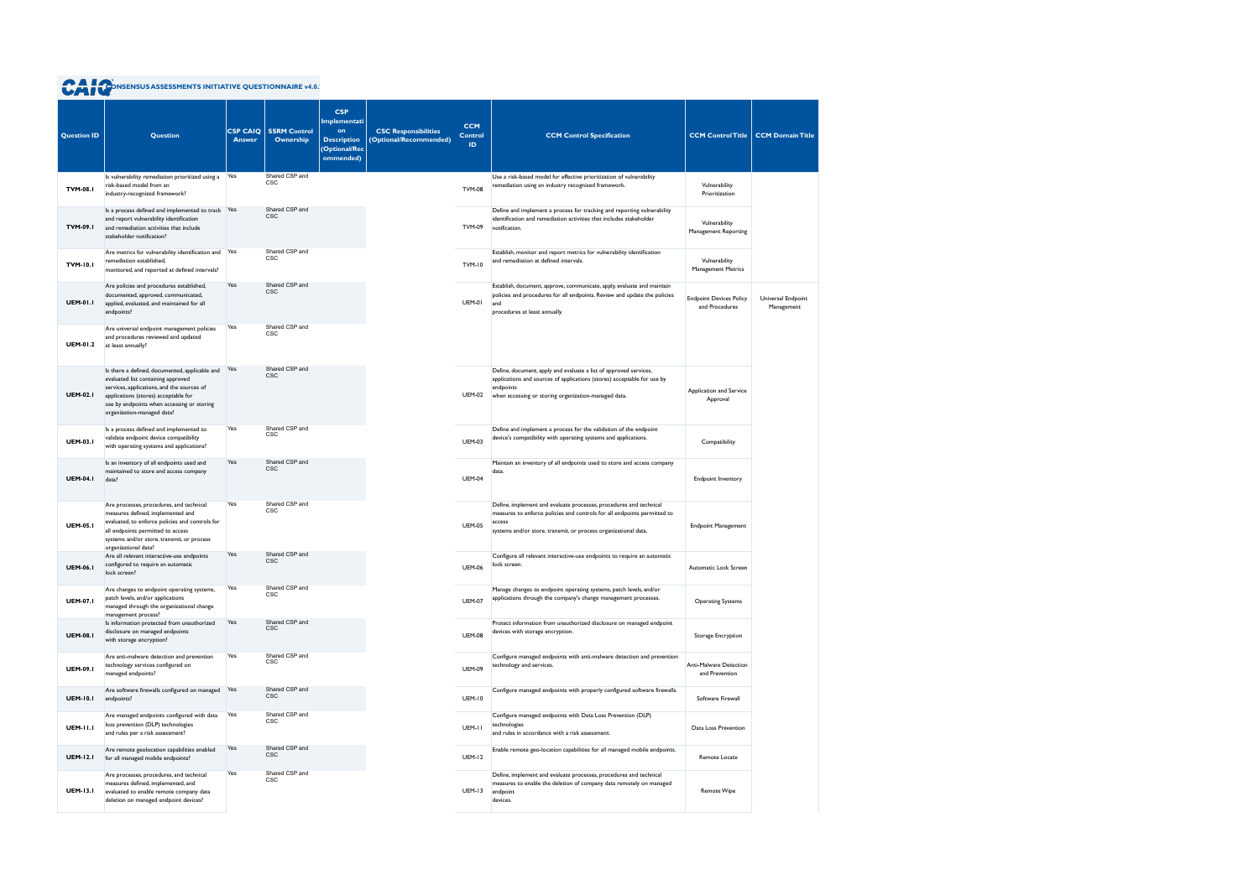| <b>Question ID</b> | <b>Question</b>                                                                                                                                                                                                                                        | <b>CSP CAIQ</b><br><b>Answer</b> | <b>SSRM Control</b><br>Ownership | <b>CSP</b><br>Implementati<br>on<br><b>Description</b><br>(Optional/Rec<br>ommended) | <b>CSC Responsibilities</b><br>(Optional/Recommended) | <b>CCM</b><br>Control<br>ID | <b>CCM Control Specification</b>                                                                                                                                                                                            | <b>CCM Control Title</b>                         | <b>CCM Domain Title</b>          |
|--------------------|--------------------------------------------------------------------------------------------------------------------------------------------------------------------------------------------------------------------------------------------------------|----------------------------------|----------------------------------|--------------------------------------------------------------------------------------|-------------------------------------------------------|-----------------------------|-----------------------------------------------------------------------------------------------------------------------------------------------------------------------------------------------------------------------------|--------------------------------------------------|----------------------------------|
| <b>TVM-08.1</b>    | Is vulnerability remediation prioritized using a Yes<br>risk-based model from an<br>industry-recognized framework?                                                                                                                                     |                                  | Shared CSP and<br>CSC            |                                                                                      |                                                       | <b>TVM-08</b>               | Use a risk-based model for effective prioritization of vulnerability<br>remediation using an industry recognized framework.                                                                                                 | Vulnerability<br>Prioritization                  |                                  |
| <b>TVM-09.1</b>    | Is a process defined and implemented to track Yes<br>and report vulnerability identification<br>and remediation activities that include<br>stakeholder notification?                                                                                   |                                  | Shared CSP and<br><b>CSC</b>     |                                                                                      |                                                       | <b>TVM-09</b>               | Define and implement a process for tracking and reporting vulnerability<br>identification and remediation activities that includes stakeholder<br>notification.                                                             | Vulnerability<br>Management Reporting            |                                  |
| <b>TVM-10.1</b>    | Are metrics for vulnerability identification and<br>remediation established,<br>monitored, and reported at defined intervals?                                                                                                                          | Yes                              | Shared CSP and<br>CSC            |                                                                                      |                                                       | <b>TVM-10</b>               | Establish, monitor and report metrics for vulnerability identification<br>and remediation at defined intervals.                                                                                                             | Vulnerability<br><b>Management Metrics</b>       |                                  |
| <b>UEM-01.1</b>    | Are policies and procedures established,<br>documented, approved, communicated,<br>applied, evaluated, and maintained for all<br>endpoints?                                                                                                            | Yes                              | Shared CSP and<br><b>CSC</b>     |                                                                                      |                                                       | <b>UEM-01</b>               | Establish, document, approve, communicate, apply, evaluate and maintain<br>policies and procedures for all endpoints. Review and update the policies<br>and<br>procedures at least annually.                                | <b>Endpoint Devices Policy</b><br>and Procedures | Universal Endpoint<br>Management |
| <b>UEM-01.2</b>    | Are universal endpoint management policies<br>and procedures reviewed and updated<br>at least annually?                                                                                                                                                | Yes                              | Shared CSP and<br><b>CSC</b>     |                                                                                      |                                                       |                             |                                                                                                                                                                                                                             |                                                  |                                  |
| <b>UEM-02.1</b>    | Is there a defined, documented, applicable and<br>evaluated list containing approved<br>services, applications, and the sources of<br>applications (stores) acceptable for<br>use by endpoints when accessing or storing<br>organization-managed data? | Yes                              | Shared CSP and<br><b>CSC</b>     |                                                                                      |                                                       | <b>UEM-02</b>               | Define, document, apply and evaluate a list of approved services,<br>applications and sources of applications (stores) acceptable for use by<br>endpoints<br>when accessing or storing organization-managed data.           | Application and Service<br>Approval              |                                  |
| <b>UEM-03.1</b>    | Is a process defined and implemented to<br>validate endpoint device compatibility<br>with operating systems and applications?                                                                                                                          | Yes                              | Shared CSP and<br>CSC            |                                                                                      |                                                       | <b>UEM-03</b>               | Define and implement a process for the validation of the endpoint<br>device's compatibility with operating systems and applications.                                                                                        | Compatibility                                    |                                  |
| <b>UEM-04.1</b>    | Is an inventory of all endpoints used and<br>maintained to store and access company<br>data?                                                                                                                                                           | Yes                              | Shared CSP and<br><b>CSC</b>     |                                                                                      |                                                       | <b>UEM-04</b>               | Maintain an inventory of all endpoints used to store and access company<br>data.                                                                                                                                            | <b>Endpoint Inventory</b>                        |                                  |
| <b>UEM-05.1</b>    | Are processes, procedures, and technical<br>measures defined, implemented and<br>evaluated, to enforce policies and controls for<br>all endpoints permitted to access<br>systems and/or store, transmit, or process<br>organizational data?            | Yes                              | Shared CSP and<br>CSC            |                                                                                      |                                                       | <b>UEM-05</b>               | Define, implement and evaluate processes, procedures and technical<br>measures to enforce policies and controls for all endpoints permitted to<br>access<br>systems and/or store, transmit, or process organizational data. | <b>Endpoint Management</b>                       |                                  |
| <b>UEM-06.1</b>    | Are all relevant interactive-use endpoints<br>configured to require an automatic<br>lock screen?                                                                                                                                                       | Yes                              | Shared CSP and<br>CSC            |                                                                                      |                                                       | <b>UEM-06</b>               | Configure all relevant interactive-use endpoints to require an automatic<br>lock screen.                                                                                                                                    | Automatic Lock Screen                            |                                  |
| <b>UEM-07.1</b>    | Are changes to endpoint operating systems,<br>patch levels, and/or applications<br>managed through the organizational change<br>management process?                                                                                                    | Yes                              | Shared CSP and<br><b>CSC</b>     |                                                                                      |                                                       | <b>UEM-07</b>               | Manage changes to endpoint operating systems, patch levels, and/or<br>applications through the company's change management processes.                                                                                       | <b>Operating Systems</b>                         |                                  |
| <b>UEM-08.1</b>    | Is information protected from unauthorized<br>disclosure on managed endpoints<br>with storage encryption?                                                                                                                                              | Yes                              | Shared CSP and<br><b>CSC</b>     |                                                                                      |                                                       | <b>UEM-08</b>               | Protect information from unauthorized disclosure on managed endpoint<br>devices with storage encryption.                                                                                                                    | Storage Encryption                               |                                  |
| <b>UEM-09.1</b>    | Are anti-malware detection and prevention<br>technology services configured on<br>managed endpoints?                                                                                                                                                   | Yes                              | Shared CSP and<br><b>CSC</b>     |                                                                                      |                                                       | <b>UEM-09</b>               | Configure managed endpoints with anti-malware detection and prevention<br>technology and services.                                                                                                                          | Anti-Malware Detection<br>and Prevention         |                                  |
| <b>UEM-10.1</b>    | Are software firewalls configured on managed<br>endpoints?                                                                                                                                                                                             | Yes                              | Shared CSP and<br>CSC            |                                                                                      |                                                       | <b>UEM-10</b>               | Configure managed endpoints with properly configured software firewalls.                                                                                                                                                    | Software Firewall                                |                                  |
| <b>UEM-11.1</b>    | Are managed endpoints configured with data<br>loss prevention (DLP) technologies<br>and rules per a risk assessment?                                                                                                                                   | Yes                              | Shared CSP and<br>CSC            |                                                                                      |                                                       | UEM-II                      | Configure managed endpoints with Data Loss Prevention (DLP)<br>technologies<br>and rules in accordance with a risk assessment.                                                                                              | Data Loss Prevention                             |                                  |
| <b>UEM-12.1</b>    | Are remote geolocation capabilities enabled<br>for all managed mobile endpoints?                                                                                                                                                                       | Yes                              | Shared CSP and<br><b>CSC</b>     |                                                                                      |                                                       | <b>UEM-12</b>               | Enable remote geo-location capabilities for all managed mobile endpoints.                                                                                                                                                   | Remote Locate                                    |                                  |
| <b>UEM-13.1</b>    | Are processes, procedures, and technical<br>measures defined, implemented, and<br>evaluated to enable remote company data<br>deletion on managed endpoint devices?                                                                                     | Yes                              | Shared CSP and<br>CSC            |                                                                                      |                                                       | <b>UEM-13</b>               | Define, implement and evaluate processes, procedures and technical<br>measures to enable the deletion of company data remotely on managed<br>endpoint<br>devices.                                                           | Remote Wipe                                      |                                  |